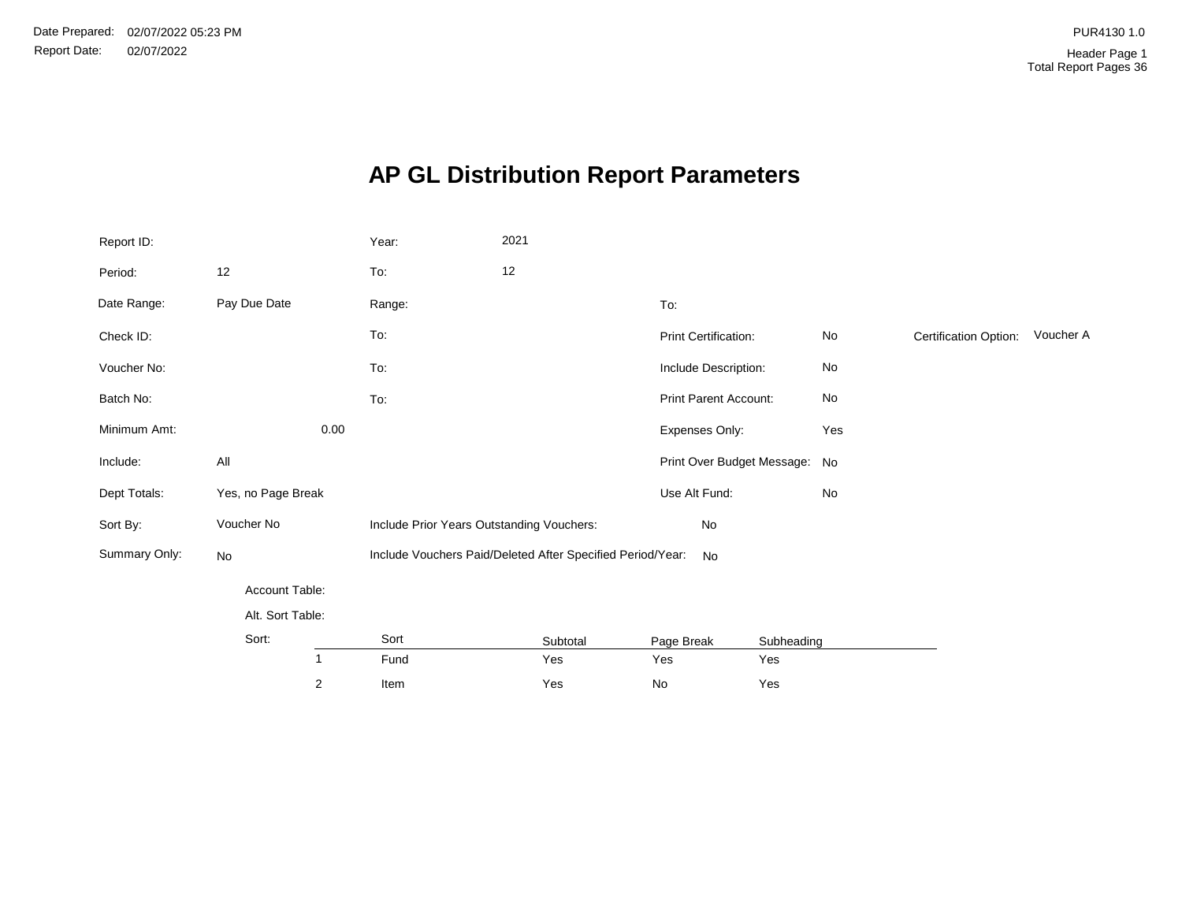# **AP GL Distribution Report Parameters**

| Report ID:    |                    |      | Year:                                                      | 2021 |          |                      |                               |     |                       |           |
|---------------|--------------------|------|------------------------------------------------------------|------|----------|----------------------|-------------------------------|-----|-----------------------|-----------|
| Period:       | 12                 |      | To:                                                        | 12   |          |                      |                               |     |                       |           |
| Date Range:   | Pay Due Date       |      | Range:                                                     |      |          | To:                  |                               |     |                       |           |
| Check ID:     |                    |      | To:                                                        |      |          | Print Certification: |                               | No  | Certification Option: | Voucher A |
| Voucher No:   |                    |      | To:                                                        |      |          | Include Description: |                               | No  |                       |           |
| Batch No:     |                    |      | To:                                                        |      |          |                      | Print Parent Account:         | No  |                       |           |
| Minimum Amt:  |                    | 0.00 |                                                            |      |          | Expenses Only:       |                               | Yes |                       |           |
| Include:      | All                |      |                                                            |      |          |                      | Print Over Budget Message: No |     |                       |           |
| Dept Totals:  | Yes, no Page Break |      |                                                            |      |          | Use Alt Fund:        |                               | No  |                       |           |
| Sort By:      | Voucher No         |      | Include Prior Years Outstanding Vouchers:                  |      |          | No                   |                               |     |                       |           |
| Summary Only: | No                 |      | Include Vouchers Paid/Deleted After Specified Period/Year: |      |          | <b>No</b>            |                               |     |                       |           |
|               | Account Table:     |      |                                                            |      |          |                      |                               |     |                       |           |
|               | Alt. Sort Table:   |      |                                                            |      |          |                      |                               |     |                       |           |
|               | Sort:              |      | Sort                                                       |      | Subtotal | Page Break           | Subheading                    |     |                       |           |
|               | $\mathbf{1}$       |      | Fund                                                       |      | Yes      | Yes                  | Yes                           |     |                       |           |
|               | $\overline{2}$     |      | Item                                                       |      | Yes      | $\mathsf{No}$        | Yes                           |     |                       |           |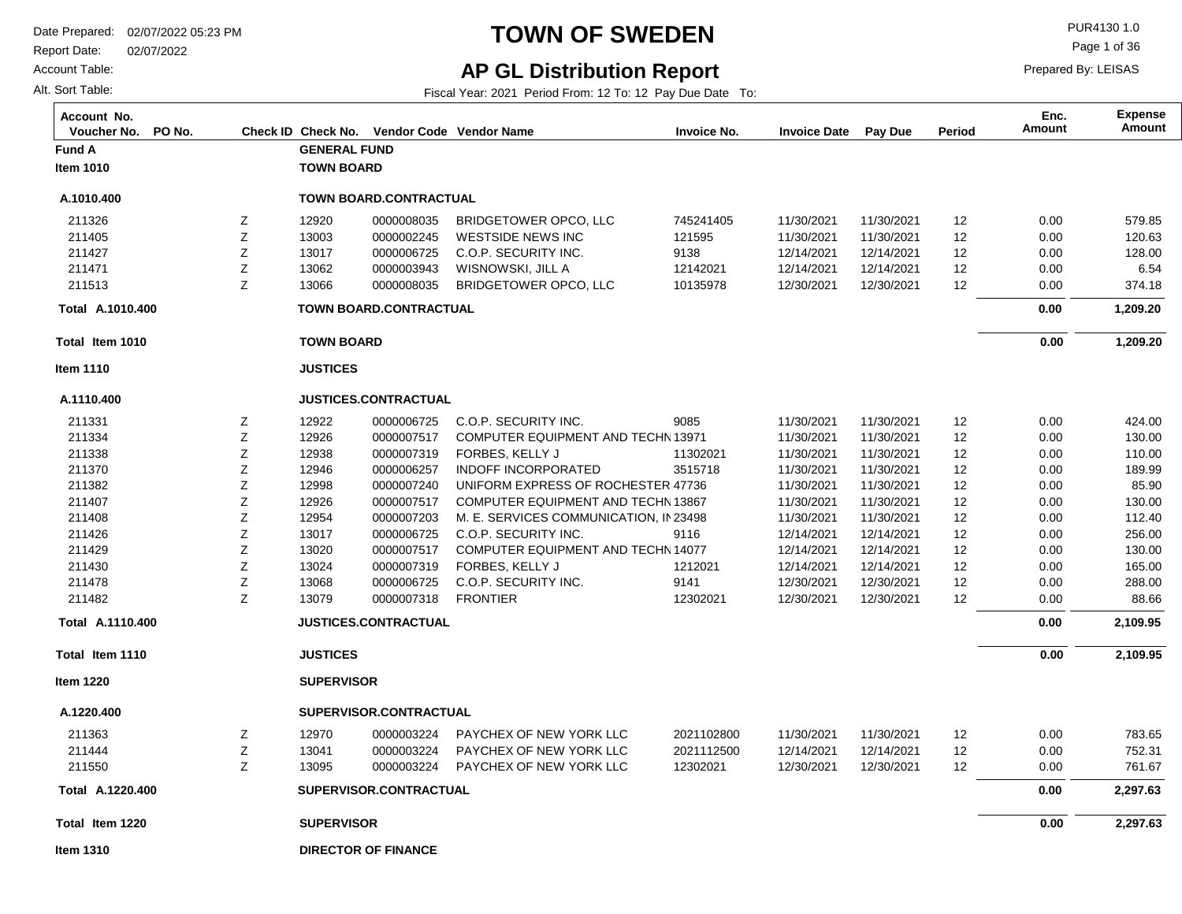Report Date: 02/07/2022

Account Table:

Alt. Sort Table:

# **TOWN OF SWEDEN** PUR4130 1.0

## **AP GL Distribution Report**

Fiscal Year: 2021 Period From: 12 To: 12 Pay Due Date To:

Page 1 of 36

| Account No.<br>Voucher No.<br>PO No. |             |                     | Check ID Check No. Vendor Code Vendor Name |                                           | <b>Invoice No.</b> | <b>Invoice Date</b> | Pay Due    | Period | Enc.<br>Amount | <b>Expense</b><br>Amount |
|--------------------------------------|-------------|---------------------|--------------------------------------------|-------------------------------------------|--------------------|---------------------|------------|--------|----------------|--------------------------|
| Fund A                               |             | <b>GENERAL FUND</b> |                                            |                                           |                    |                     |            |        |                |                          |
| <b>Item 1010</b>                     |             | <b>TOWN BOARD</b>   |                                            |                                           |                    |                     |            |        |                |                          |
| A.1010.400                           |             |                     | TOWN BOARD.CONTRACTUAL                     |                                           |                    |                     |            |        |                |                          |
| 211326                               | Ζ           | 12920               | 0000008035                                 | BRIDGETOWER OPCO, LLC                     | 745241405          | 11/30/2021          | 11/30/2021 | 12     | 0.00           | 579.85                   |
| 211405                               | Ζ           | 13003               | 0000002245                                 | <b>WESTSIDE NEWS INC</b>                  | 121595             | 11/30/2021          | 11/30/2021 | 12     | 0.00           | 120.63                   |
| 211427                               | Z           | 13017               | 0000006725                                 | C.O.P. SECURITY INC.                      | 9138               | 12/14/2021          | 12/14/2021 | 12     | 0.00           | 128.00                   |
| 211471                               | Ζ           | 13062               | 0000003943                                 | WISNOWSKI, JILL A                         | 12142021           | 12/14/2021          | 12/14/2021 | 12     | 0.00           | 6.54                     |
| 211513                               | Ζ           | 13066               | 0000008035                                 | <b>BRIDGETOWER OPCO, LLC</b>              | 10135978           | 12/30/2021          | 12/30/2021 | 12     | 0.00           | 374.18                   |
| Total A.1010.400                     |             |                     | TOWN BOARD.CONTRACTUAL                     |                                           |                    |                     |            |        | 0.00           | 1,209.20                 |
| Total Item 1010                      |             | <b>TOWN BOARD</b>   |                                            |                                           |                    |                     |            |        | 0.00           | 1,209.20                 |
| <b>Item 1110</b>                     |             | <b>JUSTICES</b>     |                                            |                                           |                    |                     |            |        |                |                          |
| A.1110.400                           |             |                     | JUSTICES.CONTRACTUAL                       |                                           |                    |                     |            |        |                |                          |
| 211331                               | Ζ           | 12922               | 0000006725                                 | C.O.P. SECURITY INC.                      | 9085               | 11/30/2021          | 11/30/2021 | 12     | 0.00           | 424.00                   |
| 211334                               | Ζ           | 12926               | 0000007517                                 | COMPUTER EQUIPMENT AND TECHN 13971        |                    | 11/30/2021          | 11/30/2021 | 12     | 0.00           | 130.00                   |
| 211338                               | Ζ           | 12938               | 0000007319                                 | FORBES, KELLY J                           | 11302021           | 11/30/2021          | 11/30/2021 | 12     | 0.00           | 110.00                   |
| 211370                               | Z           | 12946               | 0000006257                                 | <b>INDOFF INCORPORATED</b>                | 3515718            | 11/30/2021          | 11/30/2021 | 12     | 0.00           | 189.99                   |
| 211382                               | Z           | 12998               | 0000007240                                 | UNIFORM EXPRESS OF ROCHESTER 47736        |                    | 11/30/2021          | 11/30/2021 | 12     | 0.00           | 85.90                    |
| 211407                               | Ζ           | 12926               | 0000007517                                 | <b>COMPUTER EQUIPMENT AND TECHN 13867</b> |                    | 11/30/2021          | 11/30/2021 | 12     | 0.00           | 130.00                   |
| 211408                               | Z           | 12954               | 0000007203                                 | M. E. SERVICES COMMUNICATION, IN 23498    |                    | 11/30/2021          | 11/30/2021 | 12     | 0.00           | 112.40                   |
| 211426                               | Ζ           | 13017               | 0000006725                                 | C.O.P. SECURITY INC.                      | 9116               | 12/14/2021          | 12/14/2021 | 12     | 0.00           | 256.00                   |
| 211429                               | Ζ           | 13020               | 0000007517                                 | COMPUTER EQUIPMENT AND TECHN 14077        |                    | 12/14/2021          | 12/14/2021 | 12     | 0.00           | 130.00                   |
| 211430                               | $\mathsf Z$ | 13024               | 0000007319                                 | FORBES, KELLY J                           | 1212021            | 12/14/2021          | 12/14/2021 | 12     | 0.00           | 165.00                   |
| 211478                               | Ζ           | 13068               | 0000006725                                 | C.O.P. SECURITY INC.                      | 9141               | 12/30/2021          | 12/30/2021 | 12     | 0.00           | 288.00                   |
| 211482                               | Z           | 13079               | 0000007318                                 | <b>FRONTIER</b>                           | 12302021           | 12/30/2021          | 12/30/2021 | 12     | 0.00           | 88.66                    |
| Total A.1110.400                     |             |                     | <b>JUSTICES.CONTRACTUAL</b>                |                                           |                    |                     |            |        | 0.00           | 2,109.95                 |
| Total Item 1110                      |             | <b>JUSTICES</b>     |                                            |                                           |                    |                     |            |        | 0.00           | 2,109.95                 |
| <b>Item 1220</b>                     |             | <b>SUPERVISOR</b>   |                                            |                                           |                    |                     |            |        |                |                          |
| A.1220.400                           |             |                     | SUPERVISOR.CONTRACTUAL                     |                                           |                    |                     |            |        |                |                          |
| 211363                               | Z           | 12970               | 0000003224                                 | PAYCHEX OF NEW YORK LLC                   | 2021102800         | 11/30/2021          | 11/30/2021 | 12     | 0.00           | 783.65                   |
| 211444                               | Ζ           | 13041               | 0000003224                                 | PAYCHEX OF NEW YORK LLC                   | 2021112500         | 12/14/2021          | 12/14/2021 | 12     | 0.00           | 752.31                   |
| 211550                               | Z           | 13095               | 0000003224                                 | PAYCHEX OF NEW YORK LLC                   | 12302021           | 12/30/2021          | 12/30/2021 | 12     | 0.00           | 761.67                   |
| Total A.1220.400                     |             |                     | SUPERVISOR.CONTRACTUAL                     |                                           |                    |                     |            |        | 0.00           | 2,297.63                 |
| Total Item 1220                      |             | <b>SUPERVISOR</b>   |                                            |                                           |                    |                     |            |        | 0.00           | 2,297.63                 |
| <b>Item 1310</b>                     |             |                     | <b>DIRECTOR OF FINANCE</b>                 |                                           |                    |                     |            |        |                |                          |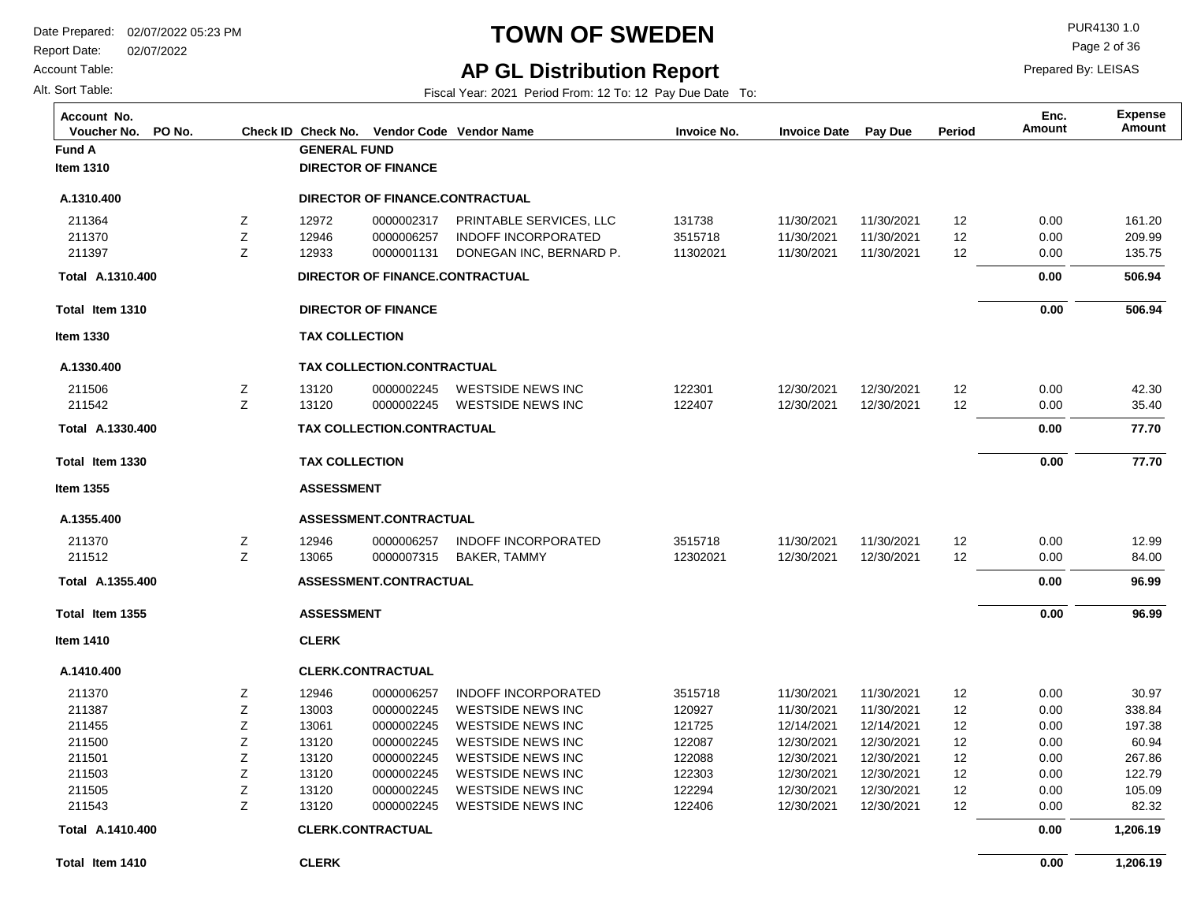Report Date: 02/07/2022

Account Table:

Alt. Sort Table:

# **TOWN OF SWEDEN** PUR4130 1.0

Page 2 of 36

## **AP GL Distribution Report**

Fiscal Year: 2021 Period From: 12 To: 12 Pay Due Date To:

| Account No.<br>PO No.<br>Voucher No. |   |                       | Check ID Check No. Vendor Code Vendor Name |                            | <b>Invoice No.</b> | <b>Invoice Date</b> | Pay Due    | Period            | Enc.<br>Amount | <b>Expense</b><br>Amount |
|--------------------------------------|---|-----------------------|--------------------------------------------|----------------------------|--------------------|---------------------|------------|-------------------|----------------|--------------------------|
| <b>Fund A</b>                        |   | <b>GENERAL FUND</b>   |                                            |                            |                    |                     |            |                   |                |                          |
| Item 1310                            |   |                       | <b>DIRECTOR OF FINANCE</b>                 |                            |                    |                     |            |                   |                |                          |
| A.1310.400                           |   |                       | DIRECTOR OF FINANCE.CONTRACTUAL            |                            |                    |                     |            |                   |                |                          |
| 211364                               | Z | 12972                 | 0000002317                                 | PRINTABLE SERVICES, LLC    | 131738             | 11/30/2021          | 11/30/2021 | $12 \overline{ }$ | 0.00           | 161.20                   |
| 211370                               | Z | 12946                 | 0000006257                                 | <b>INDOFF INCORPORATED</b> | 3515718            | 11/30/2021          | 11/30/2021 | 12                | 0.00           | 209.99                   |
| 211397                               | Z | 12933                 | 0000001131                                 | DONEGAN INC, BERNARD P.    | 11302021           | 11/30/2021          | 11/30/2021 | 12                | 0.00           | 135.75                   |
| Total A.1310.400                     |   |                       | DIRECTOR OF FINANCE.CONTRACTUAL            |                            |                    |                     |            |                   | 0.00           | 506.94                   |
| Total Item 1310                      |   |                       | <b>DIRECTOR OF FINANCE</b>                 |                            |                    |                     |            |                   | 0.00           | 506.94                   |
| <b>Item 1330</b>                     |   | <b>TAX COLLECTION</b> |                                            |                            |                    |                     |            |                   |                |                          |
| A.1330.400                           |   |                       | TAX COLLECTION.CONTRACTUAL                 |                            |                    |                     |            |                   |                |                          |
| 211506                               | Ζ | 13120                 | 0000002245                                 | WESTSIDE NEWS INC          | 122301             | 12/30/2021          | 12/30/2021 | 12 <sub>2</sub>   | 0.00           | 42.30                    |
| 211542                               | Z | 13120                 | 0000002245                                 | <b>WESTSIDE NEWS INC</b>   | 122407             | 12/30/2021          | 12/30/2021 | 12                | 0.00           | 35.40                    |
| Total A.1330.400                     |   |                       | TAX COLLECTION.CONTRACTUAL                 |                            |                    |                     |            |                   | 0.00           | 77.70                    |
| Total Item 1330                      |   | <b>TAX COLLECTION</b> |                                            |                            |                    |                     |            |                   | 0.00           | 77.70                    |
| <b>Item 1355</b>                     |   | <b>ASSESSMENT</b>     |                                            |                            |                    |                     |            |                   |                |                          |
| A.1355.400                           |   |                       | ASSESSMENT.CONTRACTUAL                     |                            |                    |                     |            |                   |                |                          |
| 211370                               | Z | 12946                 | 0000006257                                 | <b>INDOFF INCORPORATED</b> | 3515718            | 11/30/2021          | 11/30/2021 | 12                | 0.00           | 12.99                    |
| 211512                               | Z | 13065                 | 0000007315                                 | BAKER, TAMMY               | 12302021           | 12/30/2021          | 12/30/2021 | 12                | 0.00           | 84.00                    |
| Total A.1355.400                     |   |                       | <b>ASSESSMENT.CONTRACTUAL</b>              |                            |                    |                     |            |                   | 0.00           | 96.99                    |
| Total Item 1355                      |   | <b>ASSESSMENT</b>     |                                            |                            |                    |                     |            |                   | 0.00           | 96.99                    |
| <b>Item 1410</b>                     |   | <b>CLERK</b>          |                                            |                            |                    |                     |            |                   |                |                          |
| A.1410.400                           |   |                       | <b>CLERK.CONTRACTUAL</b>                   |                            |                    |                     |            |                   |                |                          |
| 211370                               | Ζ | 12946                 | 0000006257                                 | <b>INDOFF INCORPORATED</b> | 3515718            | 11/30/2021          | 11/30/2021 | $12 \overline{ }$ | 0.00           | 30.97                    |
| 211387                               | Z | 13003                 | 0000002245                                 | <b>WESTSIDE NEWS INC</b>   | 120927             | 11/30/2021          | 11/30/2021 | 12                | 0.00           | 338.84                   |
| 211455                               | Z | 13061                 | 0000002245                                 | <b>WESTSIDE NEWS INC</b>   | 121725             | 12/14/2021          | 12/14/2021 | 12                | 0.00           | 197.38                   |
| 211500                               | Z | 13120                 | 0000002245                                 | WESTSIDE NEWS INC          | 122087             | 12/30/2021          | 12/30/2021 | 12                | 0.00           | 60.94                    |
| 211501                               | Z | 13120                 | 0000002245                                 | WESTSIDE NEWS INC          | 122088             | 12/30/2021          | 12/30/2021 | 12                | 0.00           | 267.86                   |
| 211503                               | Z | 13120                 | 0000002245                                 | <b>WESTSIDE NEWS INC</b>   | 122303             | 12/30/2021          | 12/30/2021 | 12                | 0.00           | 122.79                   |
| 211505                               | Z | 13120                 | 0000002245                                 | WESTSIDE NEWS INC          | 122294             | 12/30/2021          | 12/30/2021 | 12                | 0.00           | 105.09                   |
| 211543                               | Z | 13120                 | 0000002245                                 | WESTSIDE NEWS INC          | 122406             | 12/30/2021          | 12/30/2021 | 12 <sup>°</sup>   | 0.00           | 82.32                    |
| Total A.1410.400                     |   |                       | <b>CLERK.CONTRACTUAL</b>                   |                            |                    |                     |            |                   | 0.00           | 1,206.19                 |
| Total Item 1410                      |   | <b>CLERK</b>          |                                            |                            |                    |                     |            |                   | 0.00           | 1,206.19                 |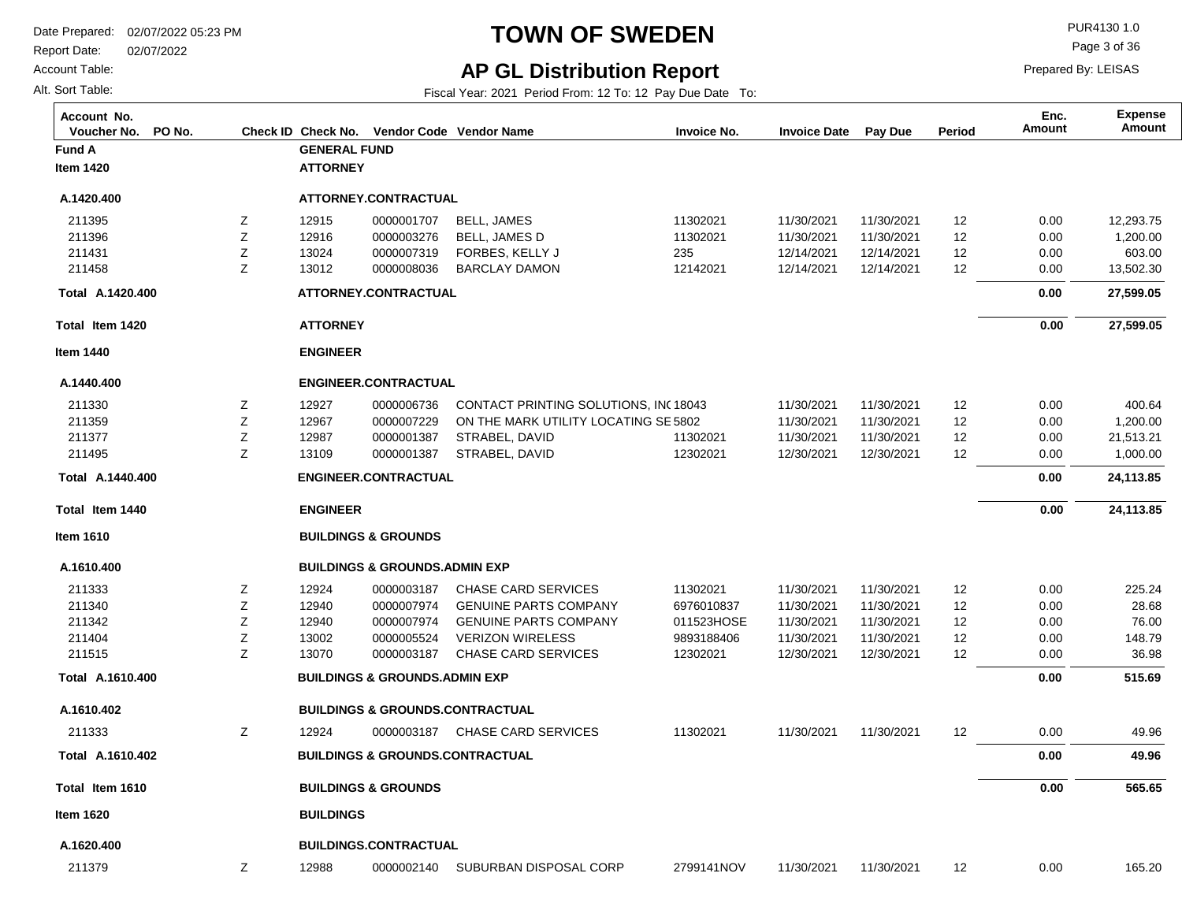**Fund A GENERAL FUND**

**ATTORNEY**

Report Date: 02/07/2022

**Total Item 1420**

**A.1420.400 Total** 

**Item 1440**

**A.1440.400**

**Total Item 1440**

**A.1440.400 Total** 

**Item 1610**

**A.1610.400**

**Total Item 1610**

**A.1610.402 Total** 

**A.1610.400 Total** 

**A.1610.402**

211333

**Item 1620**

**A.1620.400**

211379

Account Table:

Alt. Sort Table:

**Item 1420**

**A.1420.400**

# **TOWN OF SWEDEN** PUR4130 1.0

Prepared By: LEISAS

**Amount Enc.**

Page 3 of 36

### **AP GL Distribution Report**

Fiscal Year: 2021 Period From: 12 To: 12 Pay Due Date To:

**Voucher No. PO No. Check ID Check No. Vendor Code Invoice No. Invoice Date Pay Due Period Amount Vendor NameAccount No. Expense**

|                  | <b>BUILDINGS</b> |                                            |                                                                                     |                        |                          |                          |          |              |                       |
|------------------|------------------|--------------------------------------------|-------------------------------------------------------------------------------------|------------------------|--------------------------|--------------------------|----------|--------------|-----------------------|
|                  |                  | <b>BUILDINGS &amp; GROUNDS</b>             |                                                                                     |                        |                          |                          |          | 0.00         | 565.65                |
|                  |                  | <b>BUILDINGS &amp; GROUNDS.CONTRACTUAL</b> |                                                                                     |                        |                          |                          |          | 0.00         | 49.96                 |
| Z                | 12924            | 0000003187                                 | CHASE CARD SERVICES                                                                 | 11302021               | 11/30/2021               | 11/30/2021               | 12       | 0.00         | 49.96                 |
|                  |                  | <b>BUILDINGS &amp; GROUNDS.CONTRACTUAL</b> |                                                                                     |                        |                          |                          |          |              |                       |
|                  |                  | <b>BUILDINGS &amp; GROUNDS.ADMIN EXP</b>   |                                                                                     |                        |                          |                          |          | 0.00         | 515.69                |
| Z                | 13070            | 0000003187                                 | <b>CHASE CARD SERVICES</b>                                                          | 12302021               | 12/30/2021               | 12/30/2021               | 12       | 0.00         | 36.98                 |
| Z                | 13002            | 0000005524                                 | <b>VERIZON WIRELESS</b>                                                             | 9893188406             | 11/30/2021               | 11/30/2021               | 12       | 0.00         | 148.79                |
| Ζ                | 12940            | 0000007974                                 | <b>GENUINE PARTS COMPANY</b>                                                        | 011523HOSE             | 11/30/2021               | 11/30/2021               | 12       | 0.00         | 76.00                 |
| Z<br>$\mathsf Z$ | 12924<br>12940   | 0000003187<br>0000007974                   | <b>CHASE CARD SERVICES</b><br><b>GENUINE PARTS COMPANY</b>                          | 11302021<br>6976010837 | 11/30/2021<br>11/30/2021 | 11/30/2021<br>11/30/2021 | 12<br>12 | 0.00<br>0.00 | 225.24<br>28.68       |
|                  |                  | <b>BUILDINGS &amp; GROUNDS, ADMIN EXP</b>  |                                                                                     |                        |                          |                          |          |              |                       |
|                  |                  | <b>BUILDINGS &amp; GROUNDS</b>             |                                                                                     |                        |                          |                          |          |              |                       |
|                  | <b>ENGINEER</b>  |                                            |                                                                                     |                        |                          |                          |          | 0.00         | 24,113.85             |
|                  |                  | <b>ENGINEER.CONTRACTUAL</b>                |                                                                                     |                        |                          |                          |          | 0.00         | 24,113.85             |
| Z                | 13109            | 0000001387                                 | STRABEL, DAVID                                                                      | 12302021               | 12/30/2021               | 12/30/2021               | 12       | 0.00         | 1,000.00              |
| Ζ                | 12987            | 0000001387                                 | STRABEL, DAVID                                                                      | 11302021               | 11/30/2021               | 11/30/2021               | 12       | 0.00         | 21,513.21             |
| Ζ<br>Ζ           | 12927<br>12967   | 0000006736<br>0000007229                   | <b>CONTACT PRINTING SOLUTIONS. INC18043</b><br>ON THE MARK UTILITY LOCATING SE 5802 |                        | 11/30/2021<br>11/30/2021 | 11/30/2021<br>11/30/2021 | 12<br>12 | 0.00<br>0.00 | 400.64<br>1,200.00    |
|                  |                  | <b>ENGINEER.CONTRACTUAL</b>                |                                                                                     |                        |                          |                          |          |              |                       |
|                  | <b>ENGINEER</b>  |                                            |                                                                                     |                        |                          |                          |          |              |                       |
|                  | <b>ATTORNEY</b>  |                                            |                                                                                     |                        |                          |                          |          | 0.00         | 27,599.05             |
|                  |                  | ATTORNEY.CONTRACTUAL                       |                                                                                     |                        |                          |                          |          | 0.00         | 27,599.05             |
| Z                | 13012            | 0000008036                                 | <b>BARCLAY DAMON</b>                                                                | 12142021               | 12/14/2021               | 12/14/2021               | 12       | 0.00         | 13,502.30             |
| Z                | 13024            | 0000007319                                 | FORBES, KELLY J                                                                     | 235                    | 12/14/2021               | 12/14/2021               | 12       | 0.00         | 603.00                |
| Ζ<br>Ζ           | 12915<br>12916   | 0000001707<br>0000003276                   | <b>BELL, JAMES</b><br><b>BELL, JAMES D</b>                                          | 11302021<br>11302021   | 11/30/2021<br>11/30/2021 | 11/30/2021<br>11/30/2021 | 12<br>12 | 0.00<br>0.00 | 12,293.75<br>1,200.00 |
|                  |                  | ATTORNEY.CONTRACTUAL                       |                                                                                     |                        |                          |                          |          |              |                       |

**BUILDINGS.CONTRACTUAL**

12988 Z 0000002140 SUBURBAN DISPOSAL CORP

2799141NOV

11/30/2021 11/30/2021 12

165.20

0.00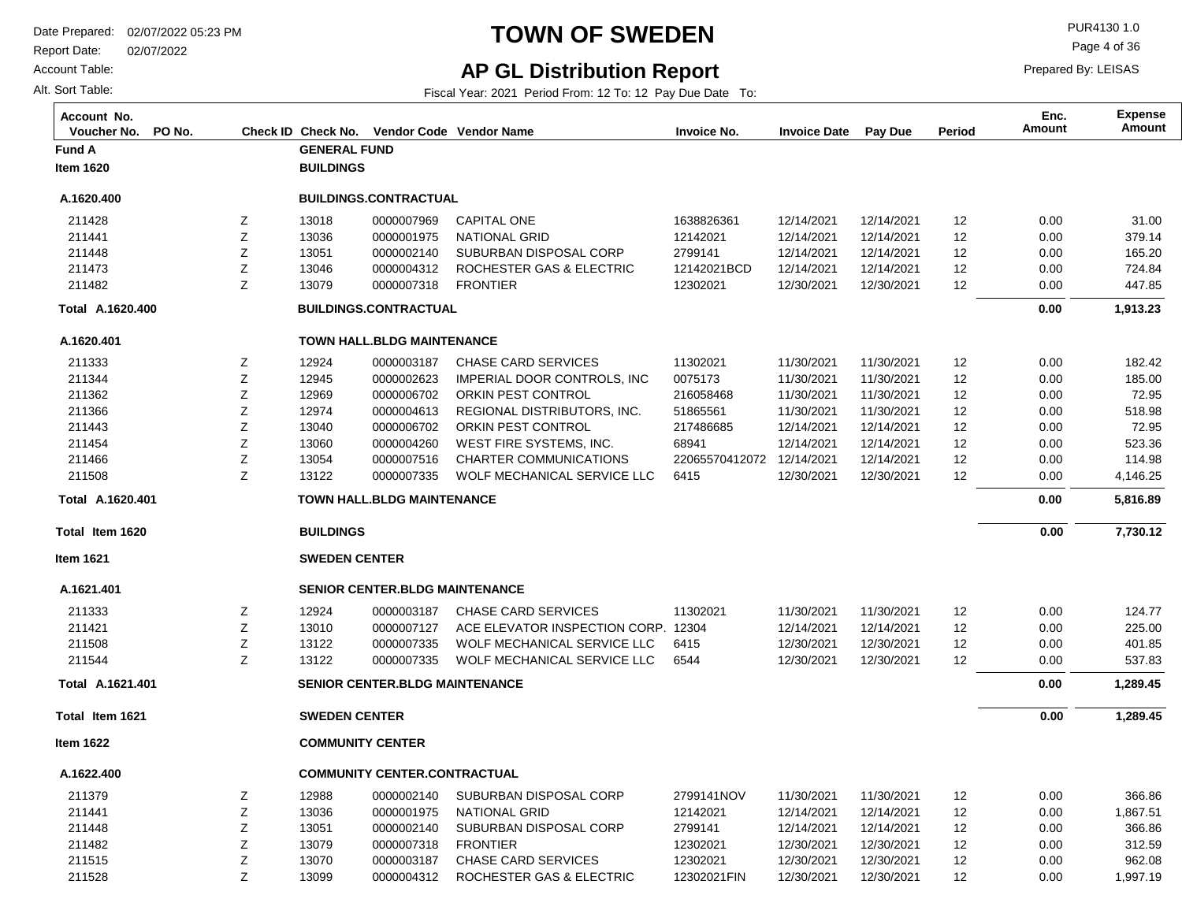Report Date: 02/07/2022

Account Table:

Alt. Sort Table:

# **TOWN OF SWEDEN** PUR4130 1.0

Page 4 of 36

Prepared By: LEISAS

## **AP GL Distribution Report**

Fiscal Year: 2021 Period From: 12 To: 12 Pay Due Date To:

| Account No.<br>Voucher No.<br>PO No. |   | Check ID Check No.      |                                       | Vendor Code Vendor Name             | <b>Invoice No.</b>        | <b>Invoice Date</b> | <b>Pay Due</b> | <b>Period</b> | Enc.<br><b>Amount</b> | <b>Expense</b><br>Amount |
|--------------------------------------|---|-------------------------|---------------------------------------|-------------------------------------|---------------------------|---------------------|----------------|---------------|-----------------------|--------------------------|
| <b>Fund A</b>                        |   | <b>GENERAL FUND</b>     |                                       |                                     |                           |                     |                |               |                       |                          |
| <b>Item 1620</b>                     |   | <b>BUILDINGS</b>        |                                       |                                     |                           |                     |                |               |                       |                          |
| A.1620.400                           |   |                         | <b>BUILDINGS.CONTRACTUAL</b>          |                                     |                           |                     |                |               |                       |                          |
| 211428                               | Ζ | 13018                   | 0000007969                            | <b>CAPITAL ONE</b>                  | 1638826361                | 12/14/2021          | 12/14/2021     | 12            | 0.00                  | 31.00                    |
| 211441                               | Ζ | 13036                   | 0000001975                            | <b>NATIONAL GRID</b>                | 12142021                  | 12/14/2021          | 12/14/2021     | 12            | 0.00                  | 379.14                   |
| 211448                               | Ζ | 13051                   | 0000002140                            | SUBURBAN DISPOSAL CORP              | 2799141                   | 12/14/2021          | 12/14/2021     | 12            | 0.00                  | 165.20                   |
| 211473                               | Ζ | 13046                   | 0000004312                            | ROCHESTER GAS & ELECTRIC            | 12142021BCD               | 12/14/2021          | 12/14/2021     | 12            | 0.00                  | 724.84                   |
| 211482                               | Ζ | 13079                   | 0000007318                            | <b>FRONTIER</b>                     | 12302021                  | 12/30/2021          | 12/30/2021     | 12            | 0.00                  | 447.85                   |
| Total A.1620.400                     |   |                         | <b>BUILDINGS.CONTRACTUAL</b>          |                                     |                           |                     |                |               | 0.00                  | 1,913.23                 |
| A.1620.401                           |   |                         | <b>TOWN HALL.BLDG MAINTENANCE</b>     |                                     |                           |                     |                |               |                       |                          |
| 211333                               | Z | 12924                   | 0000003187                            | <b>CHASE CARD SERVICES</b>          | 11302021                  | 11/30/2021          | 11/30/2021     | 12            | 0.00                  | 182.42                   |
| 211344                               | Ζ | 12945                   | 0000002623                            | IMPERIAL DOOR CONTROLS, INC         | 0075173                   | 11/30/2021          | 11/30/2021     | 12            | 0.00                  | 185.00                   |
| 211362                               | Ζ | 12969                   | 0000006702                            | ORKIN PEST CONTROL                  | 216058468                 | 11/30/2021          | 11/30/2021     | 12            | 0.00                  | 72.95                    |
| 211366                               | Z | 12974                   | 0000004613                            | REGIONAL DISTRIBUTORS, INC.         | 51865561                  | 11/30/2021          | 11/30/2021     | 12            | 0.00                  | 518.98                   |
| 211443                               | Z | 13040                   | 0000006702                            | ORKIN PEST CONTROL                  | 217486685                 | 12/14/2021          | 12/14/2021     | 12            | 0.00                  | 72.95                    |
| 211454                               | Ζ | 13060                   | 0000004260                            | WEST FIRE SYSTEMS, INC.             | 68941                     | 12/14/2021          | 12/14/2021     | 12            | 0.00                  | 523.36                   |
| 211466                               | Ζ | 13054                   | 0000007516                            | <b>CHARTER COMMUNICATIONS</b>       | 22065570412072 12/14/2021 |                     | 12/14/2021     | 12            | 0.00                  | 114.98                   |
| 211508                               | Ζ | 13122                   | 0000007335                            | WOLF MECHANICAL SERVICE LLC         | 6415                      | 12/30/2021          | 12/30/2021     | 12            | 0.00                  | 4,146.25                 |
| Total A.1620.401                     |   |                         | <b>TOWN HALL BLDG MAINTENANCE</b>     |                                     |                           |                     |                |               | 0.00                  | 5,816.89                 |
| Total Item 1620                      |   | <b>BUILDINGS</b>        |                                       |                                     |                           |                     |                |               | 0.00                  | 7,730.12                 |
| <b>Item 1621</b>                     |   | <b>SWEDEN CENTER</b>    |                                       |                                     |                           |                     |                |               |                       |                          |
| A.1621.401                           |   |                         | <b>SENIOR CENTER.BLDG MAINTENANCE</b> |                                     |                           |                     |                |               |                       |                          |
| 211333                               | Ζ | 12924                   | 0000003187                            | <b>CHASE CARD SERVICES</b>          | 11302021                  | 11/30/2021          | 11/30/2021     | 12            | 0.00                  | 124.77                   |
| 211421                               | Ζ | 13010                   | 0000007127                            | ACE ELEVATOR INSPECTION CORP. 12304 |                           | 12/14/2021          | 12/14/2021     | 12            | 0.00                  | 225.00                   |
| 211508                               | Ζ | 13122                   | 0000007335                            | WOLF MECHANICAL SERVICE LLC         | 6415                      | 12/30/2021          | 12/30/2021     | 12            | 0.00                  | 401.85                   |
| 211544                               | Z | 13122                   | 0000007335                            | WOLF MECHANICAL SERVICE LLC         | 6544                      | 12/30/2021          | 12/30/2021     | 12            | 0.00                  | 537.83                   |
| Total A.1621.401                     |   |                         | <b>SENIOR CENTER.BLDG MAINTENANCE</b> |                                     |                           |                     |                |               | 0.00                  | 1,289.45                 |
| Total Item 1621                      |   | <b>SWEDEN CENTER</b>    |                                       |                                     |                           |                     |                |               | 0.00                  | 1,289.45                 |
| <b>Item 1622</b>                     |   | <b>COMMUNITY CENTER</b> |                                       |                                     |                           |                     |                |               |                       |                          |
| A.1622.400                           |   |                         | <b>COMMUNITY CENTER.CONTRACTUAL</b>   |                                     |                           |                     |                |               |                       |                          |
| 211379                               | Z | 12988                   | 0000002140                            | SUBURBAN DISPOSAL CORP              | 2799141NOV                | 11/30/2021          | 11/30/2021     | 12            | 0.00                  | 366.86                   |
| 211441                               | Z | 13036                   | 0000001975                            | <b>NATIONAL GRID</b>                | 12142021                  | 12/14/2021          | 12/14/2021     | 12            | 0.00                  | 1,867.51                 |
| 211448                               | Ζ | 13051                   | 0000002140                            | SUBURBAN DISPOSAL CORP              | 2799141                   | 12/14/2021          | 12/14/2021     | 12            | 0.00                  | 366.86                   |
| 211482                               | Z | 13079                   | 0000007318                            | <b>FRONTIER</b>                     | 12302021                  | 12/30/2021          | 12/30/2021     | 12            | 0.00                  | 312.59                   |
| 211515                               | Ζ | 13070                   | 0000003187                            | <b>CHASE CARD SERVICES</b>          | 12302021                  | 12/30/2021          | 12/30/2021     | 12            | 0.00                  | 962.08                   |
| 211528                               | Z | 13099                   | 0000004312                            | ROCHESTER GAS & ELECTRIC            | 12302021FIN               | 12/30/2021          | 12/30/2021     | 12            | 0.00                  | 1,997.19                 |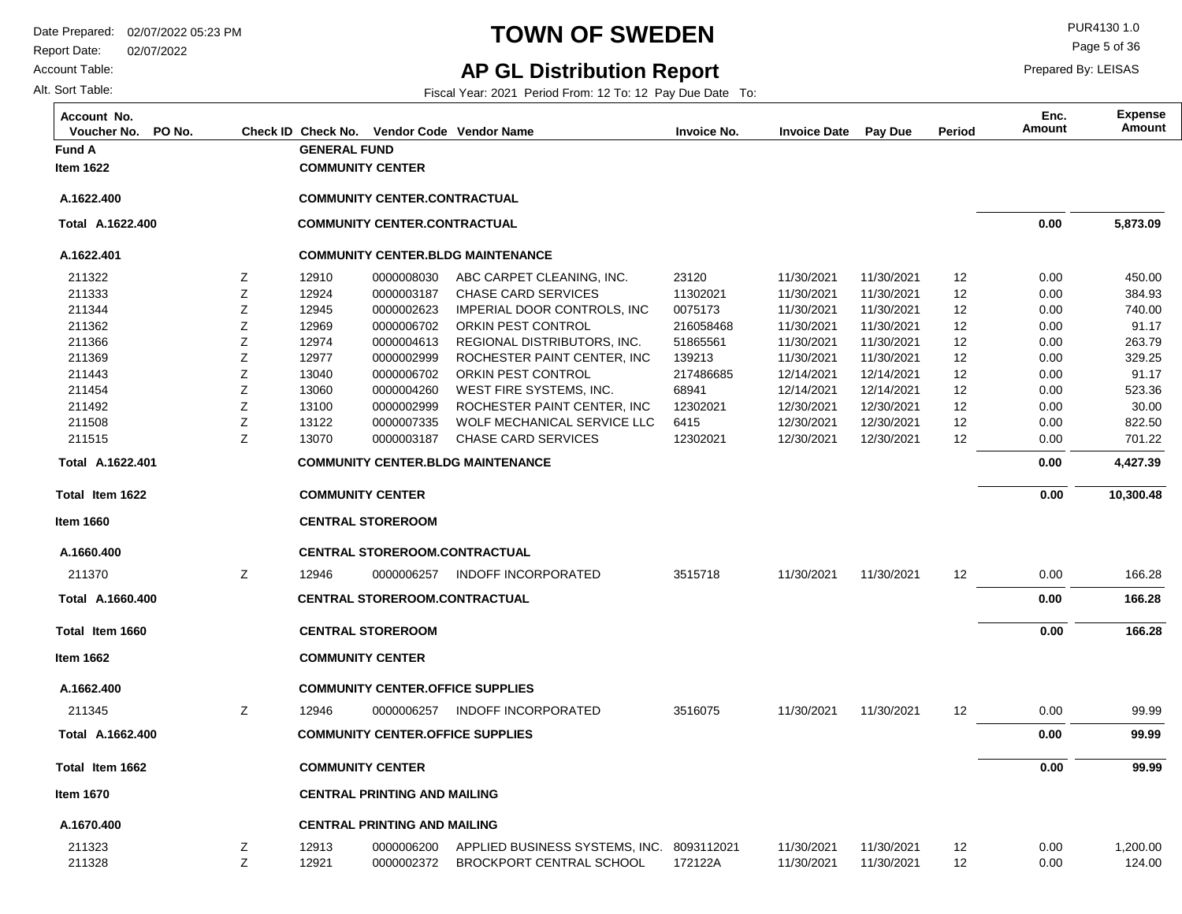Report Date: 02/07/2022

Account Table:

Alt. Sort Table:

# **TOWN OF SWEDEN** PUR4130 1.0

**AP GL Distribution Report**

Page 5 of 36

Prepared By: LEISAS

Fiscal Year: 2021 Period From: 12 To: 12 Pay Due Date To:

| Account No.<br>PO No.<br>Voucher No. |        |                         |                                     | Check ID Check No. Vendor Code Vendor Name             | <b>Invoice No.</b> | <b>Invoice Date</b>      | Pay Due                  | Period   | Enc.<br>Amount | <b>Expense</b><br>Amount |
|--------------------------------------|--------|-------------------------|-------------------------------------|--------------------------------------------------------|--------------------|--------------------------|--------------------------|----------|----------------|--------------------------|
| <b>Fund A</b>                        |        | <b>GENERAL FUND</b>     |                                     |                                                        |                    |                          |                          |          |                |                          |
| <b>Item 1622</b>                     |        | <b>COMMUNITY CENTER</b> |                                     |                                                        |                    |                          |                          |          |                |                          |
| A.1622.400                           |        |                         | <b>COMMUNITY CENTER.CONTRACTUAL</b> |                                                        |                    |                          |                          |          |                |                          |
| Total A.1622.400                     |        |                         | <b>COMMUNITY CENTER.CONTRACTUAL</b> |                                                        |                    |                          |                          |          | 0.00           | 5,873.09                 |
| A.1622.401                           |        |                         |                                     | <b>COMMUNITY CENTER.BLDG MAINTENANCE</b>               |                    |                          |                          |          |                |                          |
| 211322                               | Ζ      | 12910                   | 0000008030                          | ABC CARPET CLEANING, INC.                              | 23120              | 11/30/2021               | 11/30/2021               | 12       | 0.00           | 450.00                   |
| 211333                               | Z      | 12924                   | 0000003187                          | <b>CHASE CARD SERVICES</b>                             | 11302021           | 11/30/2021               | 11/30/2021               | 12       | 0.00           | 384.93                   |
| 211344                               | Ζ      | 12945                   | 0000002623                          | IMPERIAL DOOR CONTROLS, INC                            | 0075173            | 11/30/2021               | 11/30/2021               | 12       | 0.00           | 740.00                   |
| 211362                               | Ζ      | 12969                   | 0000006702                          | ORKIN PEST CONTROL                                     | 216058468          | 11/30/2021               | 11/30/2021               | 12       | 0.00           | 91.17                    |
| 211366                               | Ζ      | 12974                   | 0000004613                          | REGIONAL DISTRIBUTORS, INC.                            | 51865561           | 11/30/2021               | 11/30/2021               | 12       | 0.00           | 263.79                   |
| 211369                               | Ζ      | 12977                   | 0000002999                          | ROCHESTER PAINT CENTER, INC                            | 139213             | 11/30/2021               | 11/30/2021               | 12       | 0.00           | 329.25                   |
| 211443                               | Z      | 13040                   | 0000006702                          | ORKIN PEST CONTROL                                     | 217486685          | 12/14/2021               | 12/14/2021               | 12       | 0.00           | 91.17                    |
| 211454<br>211492                     | Z<br>Z | 13060<br>13100          | 0000004260                          | WEST FIRE SYSTEMS, INC.<br>ROCHESTER PAINT CENTER, INC | 68941<br>12302021  | 12/14/2021<br>12/30/2021 | 12/14/2021<br>12/30/2021 | 12<br>12 | 0.00           | 523.36<br>30.00          |
| 211508                               | Ζ      | 13122                   | 0000002999<br>0000007335            | WOLF MECHANICAL SERVICE LLC                            | 6415               | 12/30/2021               | 12/30/2021               | 12       | 0.00<br>0.00   | 822.50                   |
| 211515                               | Z      | 13070                   | 0000003187                          | <b>CHASE CARD SERVICES</b>                             | 12302021           | 12/30/2021               | 12/30/2021               | 12       | 0.00           | 701.22                   |
| Total A.1622.401                     |        |                         |                                     | <b>COMMUNITY CENTER.BLDG MAINTENANCE</b>               |                    |                          |                          |          | 0.00           | 4,427.39                 |
| Total Item 1622                      |        | <b>COMMUNITY CENTER</b> |                                     |                                                        |                    |                          |                          |          | 0.00           | 10,300.48                |
|                                      |        |                         |                                     |                                                        |                    |                          |                          |          |                |                          |
| <b>Item 1660</b>                     |        |                         | <b>CENTRAL STOREROOM</b>            |                                                        |                    |                          |                          |          |                |                          |
| A.1660.400                           |        |                         |                                     | <b>CENTRAL STOREROOM.CONTRACTUAL</b>                   |                    |                          |                          |          |                |                          |
| 211370                               | Z      | 12946                   | 0000006257                          | <b>INDOFF INCORPORATED</b>                             | 3515718            | 11/30/2021               | 11/30/2021               | 12       | 0.00           | 166.28                   |
| Total A.1660.400                     |        |                         |                                     | <b>CENTRAL STOREROOM.CONTRACTUAL</b>                   |                    |                          |                          |          | 0.00           | 166.28                   |
| Total Item 1660                      |        |                         | <b>CENTRAL STOREROOM</b>            |                                                        |                    |                          |                          |          | 0.00           | 166.28                   |
| <b>Item 1662</b>                     |        | <b>COMMUNITY CENTER</b> |                                     |                                                        |                    |                          |                          |          |                |                          |
| A.1662.400                           |        |                         |                                     | <b>COMMUNITY CENTER.OFFICE SUPPLIES</b>                |                    |                          |                          |          |                |                          |
| 211345                               | Z      | 12946                   | 0000006257                          | <b>INDOFF INCORPORATED</b>                             | 3516075            | 11/30/2021               | 11/30/2021               | 12       | 0.00           | 99.99                    |
| Total A.1662.400                     |        |                         |                                     | <b>COMMUNITY CENTER.OFFICE SUPPLIES</b>                |                    |                          |                          |          | 0.00           | 99.99                    |
| Total Item 1662                      |        | <b>COMMUNITY CENTER</b> |                                     |                                                        |                    |                          |                          |          | 0.00           | 99.99                    |
| <b>Item 1670</b>                     |        |                         | <b>CENTRAL PRINTING AND MAILING</b> |                                                        |                    |                          |                          |          |                |                          |
| A.1670.400                           |        |                         | <b>CENTRAL PRINTING AND MAILING</b> |                                                        |                    |                          |                          |          |                |                          |
| 211323                               | Ζ      | 12913                   | 0000006200                          | APPLIED BUSINESS SYSTEMS, INC.                         | 8093112021         | 11/30/2021               | 11/30/2021               | 12       | 0.00           | 1,200.00                 |
| 211328                               | Z      | 12921                   | 0000002372                          | <b>BROCKPORT CENTRAL SCHOOL</b>                        | 172122A            | 11/30/2021               | 11/30/2021               | 12       | 0.00           | 124.00                   |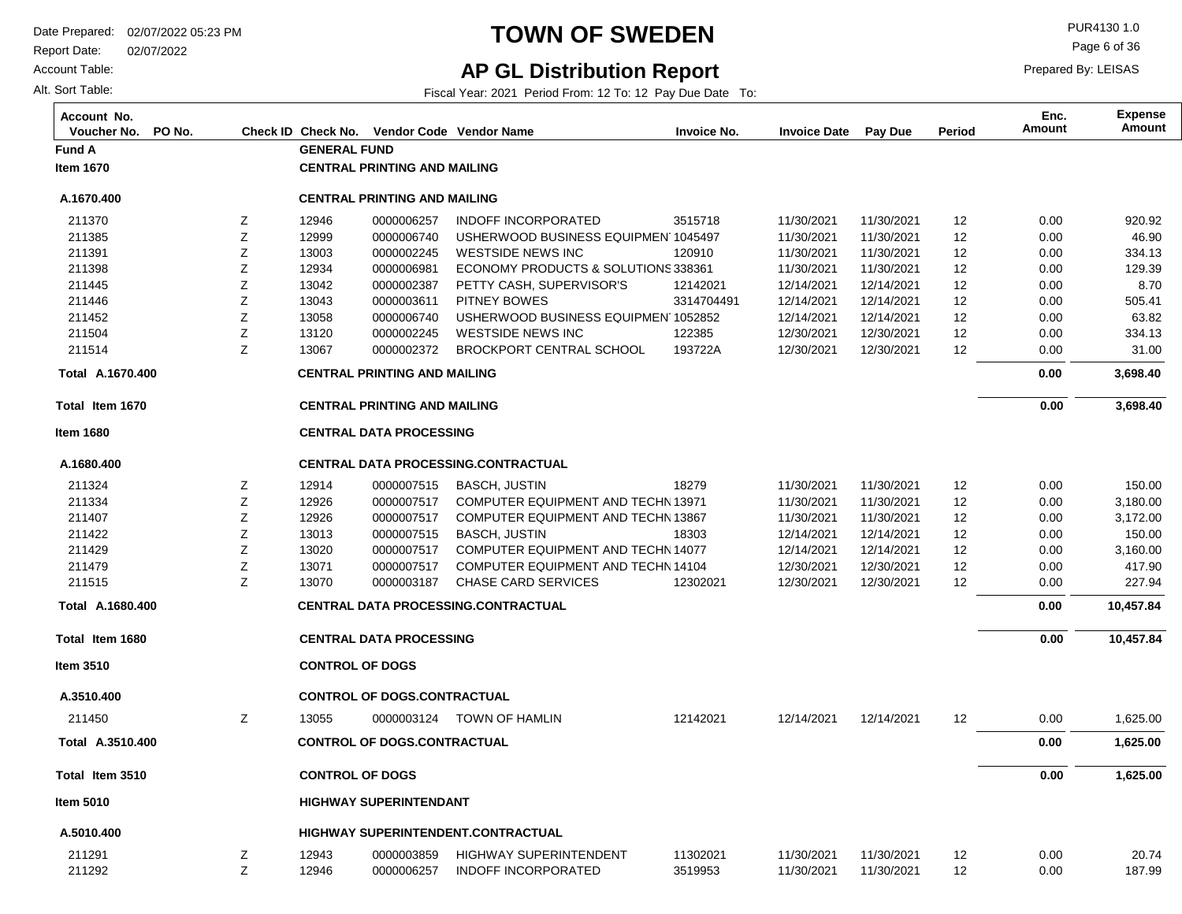Report Date: 02/07/2022

Account Table:

Alt. Sort Table:

# **TOWN OF SWEDEN** PUR4130 1.0

**AP GL Distribution Report**

Fiscal Year: 2021 Period From: 12 To: 12 Pay Due Date To:

Page 6 of 36

| Account No.<br>Voucher No.<br>PO No. |   |                        |                                     | Check ID Check No. Vendor Code Vendor Name | <b>Invoice No.</b> | <b>Invoice Date</b> | Pay Due    | Period | Enc.<br><b>Amount</b> | <b>Expense</b><br>Amount |
|--------------------------------------|---|------------------------|-------------------------------------|--------------------------------------------|--------------------|---------------------|------------|--------|-----------------------|--------------------------|
| <b>Fund A</b>                        |   | <b>GENERAL FUND</b>    |                                     |                                            |                    |                     |            |        |                       |                          |
| <b>Item 1670</b>                     |   |                        | <b>CENTRAL PRINTING AND MAILING</b> |                                            |                    |                     |            |        |                       |                          |
| A.1670.400                           |   |                        | <b>CENTRAL PRINTING AND MAILING</b> |                                            |                    |                     |            |        |                       |                          |
| 211370                               | Ζ | 12946                  | 0000006257                          | <b>INDOFF INCORPORATED</b>                 | 3515718            | 11/30/2021          | 11/30/2021 | 12     | 0.00                  | 920.92                   |
| 211385                               | Ζ | 12999                  | 0000006740                          | USHERWOOD BUSINESS EQUIPMEN 1045497        |                    | 11/30/2021          | 11/30/2021 | 12     | 0.00                  | 46.90                    |
| 211391                               | Z | 13003                  | 0000002245                          | WESTSIDE NEWS INC                          | 120910             | 11/30/2021          | 11/30/2021 | 12     | 0.00                  | 334.13                   |
| 211398                               | Z | 12934                  | 0000006981                          | ECONOMY PRODUCTS & SOLUTIONS 338361        |                    | 11/30/2021          | 11/30/2021 | 12     | 0.00                  | 129.39                   |
| 211445                               | Ζ | 13042                  | 0000002387                          | PETTY CASH, SUPERVISOR'S                   | 12142021           | 12/14/2021          | 12/14/2021 | 12     | 0.00                  | 8.70                     |
| 211446                               | Ζ | 13043                  | 0000003611                          | <b>PITNEY BOWES</b>                        | 3314704491         | 12/14/2021          | 12/14/2021 | 12     | 0.00                  | 505.41                   |
| 211452                               | Ζ | 13058                  | 0000006740                          | USHERWOOD BUSINESS EQUIPMEN 1052852        |                    | 12/14/2021          | 12/14/2021 | 12     | 0.00                  | 63.82                    |
| 211504                               | Ζ | 13120                  | 0000002245                          | <b>WESTSIDE NEWS INC</b>                   | 122385             | 12/30/2021          | 12/30/2021 | 12     | 0.00                  | 334.13                   |
| 211514                               | Z | 13067                  | 0000002372                          | <b>BROCKPORT CENTRAL SCHOOL</b>            | 193722A            | 12/30/2021          | 12/30/2021 | 12     | 0.00                  | 31.00                    |
| Total A.1670.400                     |   |                        | <b>CENTRAL PRINTING AND MAILING</b> |                                            |                    |                     |            |        | 0.00                  | 3,698.40                 |
| Total Item 1670                      |   |                        | <b>CENTRAL PRINTING AND MAILING</b> |                                            |                    |                     |            |        | 0.00                  | 3,698.40                 |
| <b>Item 1680</b>                     |   |                        | <b>CENTRAL DATA PROCESSING</b>      |                                            |                    |                     |            |        |                       |                          |
| A.1680.400                           |   |                        |                                     | <b>CENTRAL DATA PROCESSING.CONTRACTUAL</b> |                    |                     |            |        |                       |                          |
| 211324                               | Ζ | 12914                  | 0000007515                          | <b>BASCH, JUSTIN</b>                       | 18279              | 11/30/2021          | 11/30/2021 | 12     | 0.00                  | 150.00                   |
| 211334                               | Ζ | 12926                  | 0000007517                          | COMPUTER EQUIPMENT AND TECHN 13971         |                    | 11/30/2021          | 11/30/2021 | 12     | 0.00                  | 3,180.00                 |
| 211407                               | Z | 12926                  | 0000007517                          | COMPUTER EQUIPMENT AND TECHN 13867         |                    | 11/30/2021          | 11/30/2021 | 12     | 0.00                  | 3,172.00                 |
| 211422                               | Ζ | 13013                  | 0000007515                          | <b>BASCH, JUSTIN</b>                       | 18303              | 12/14/2021          | 12/14/2021 | 12     | 0.00                  | 150.00                   |
| 211429                               | Z | 13020                  | 0000007517                          | COMPUTER EQUIPMENT AND TECHN 14077         |                    | 12/14/2021          | 12/14/2021 | 12     | 0.00                  | 3,160.00                 |
| 211479                               | Ζ | 13071                  | 0000007517                          | COMPUTER EQUIPMENT AND TECHN 14104         |                    | 12/30/2021          | 12/30/2021 | 12     | 0.00                  | 417.90                   |
| 211515                               | Ζ | 13070                  | 0000003187                          | <b>CHASE CARD SERVICES</b>                 | 12302021           | 12/30/2021          | 12/30/2021 | 12     | 0.00                  | 227.94                   |
| Total A.1680.400                     |   |                        |                                     | <b>CENTRAL DATA PROCESSING.CONTRACTUAL</b> |                    |                     |            |        | 0.00                  | 10,457.84                |
| Total Item 1680                      |   |                        | <b>CENTRAL DATA PROCESSING</b>      |                                            |                    |                     |            |        | 0.00                  | 10,457.84                |
| Item 3510                            |   | <b>CONTROL OF DOGS</b> |                                     |                                            |                    |                     |            |        |                       |                          |
| A.3510.400                           |   |                        | <b>CONTROL OF DOGS.CONTRACTUAL</b>  |                                            |                    |                     |            |        |                       |                          |
| 211450                               | Ζ | 13055                  |                                     | 0000003124 TOWN OF HAMLIN                  | 12142021           | 12/14/2021          | 12/14/2021 | 12     | 0.00                  | 1,625.00                 |
| Total A.3510.400                     |   |                        | <b>CONTROL OF DOGS.CONTRACTUAL</b>  |                                            |                    |                     |            |        | 0.00                  | 1,625.00                 |
| Total Item 3510                      |   | <b>CONTROL OF DOGS</b> |                                     |                                            |                    |                     |            |        | 0.00                  | 1,625.00                 |
| <b>Item 5010</b>                     |   |                        | <b>HIGHWAY SUPERINTENDANT</b>       |                                            |                    |                     |            |        |                       |                          |
| A.5010.400                           |   |                        |                                     | HIGHWAY SUPERINTENDENT.CONTRACTUAL         |                    |                     |            |        |                       |                          |
| 211291                               | Ζ | 12943                  | 0000003859                          | HIGHWAY SUPERINTENDENT                     | 11302021           | 11/30/2021          | 11/30/2021 | 12     | 0.00                  | 20.74                    |
| 211292                               | Z | 12946                  | 0000006257                          | <b>INDOFF INCORPORATED</b>                 | 3519953            | 11/30/2021          | 11/30/2021 | 12     | 0.00                  | 187.99                   |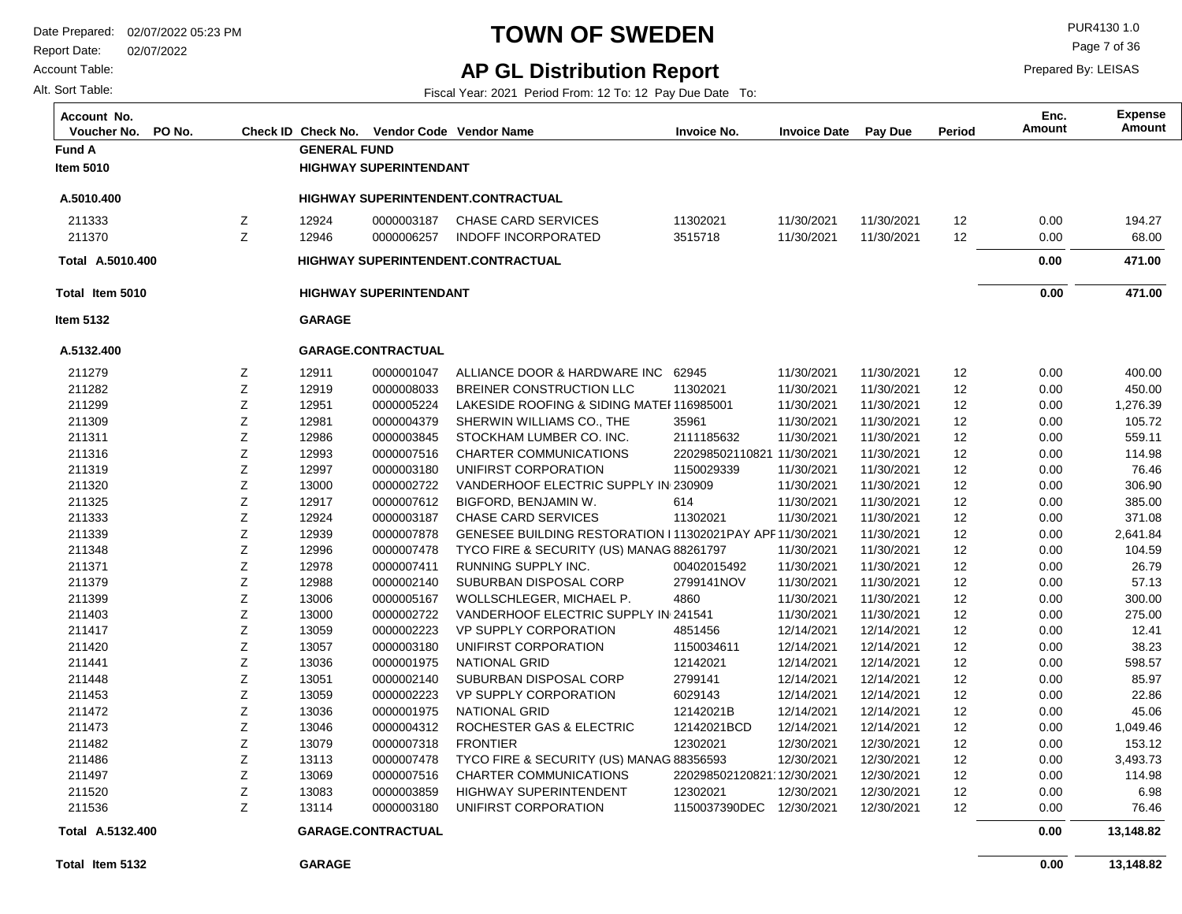Report Date: 02/07/2022

Account Table:

Alt. Sort Table:

# **TOWN OF SWEDEN** PURA130 1.0

**AP GL Distribution Report**

Fiscal Year: 2021 Period From: 12 To: 12 Pay Due Date To:

Page 7 of 36

| Account No.<br>PO No.<br>Voucher No. |   |                     | Check ID Check No. Vendor Code Vendor Name |                                                           | <b>Invoice No.</b>         | <b>Invoice Date</b> | Pay Due    | Period          | Enc.<br><b>Amount</b> | <b>Expense</b><br><b>Amount</b> |
|--------------------------------------|---|---------------------|--------------------------------------------|-----------------------------------------------------------|----------------------------|---------------------|------------|-----------------|-----------------------|---------------------------------|
| <b>Fund A</b>                        |   | <b>GENERAL FUND</b> |                                            |                                                           |                            |                     |            |                 |                       |                                 |
| <b>Item 5010</b>                     |   |                     | <b>HIGHWAY SUPERINTENDANT</b>              |                                                           |                            |                     |            |                 |                       |                                 |
| A.5010.400                           |   |                     |                                            | HIGHWAY SUPERINTENDENT.CONTRACTUAL                        |                            |                     |            |                 |                       |                                 |
| 211333                               | z | 12924               | 0000003187                                 | <b>CHASE CARD SERVICES</b>                                | 11302021                   | 11/30/2021          | 11/30/2021 | 12              | 0.00                  | 194.27                          |
| 211370                               | Z | 12946               | 0000006257                                 | <b>INDOFF INCORPORATED</b>                                | 3515718                    | 11/30/2021          | 11/30/2021 | 12              | 0.00                  | 68.00                           |
| Total A.5010.400                     |   |                     |                                            | HIGHWAY SUPERINTENDENT.CONTRACTUAL                        |                            |                     |            |                 | 0.00                  | 471.00                          |
| Total Item 5010                      |   |                     | <b>HIGHWAY SUPERINTENDANT</b>              |                                                           |                            |                     |            |                 | 0.00                  | 471.00                          |
| <b>Item 5132</b>                     |   | <b>GARAGE</b>       |                                            |                                                           |                            |                     |            |                 |                       |                                 |
| A.5132.400                           |   |                     | GARAGE.CONTRACTUAL                         |                                                           |                            |                     |            |                 |                       |                                 |
| 211279                               | Z | 12911               | 0000001047                                 | ALLIANCE DOOR & HARDWARE INC 62945                        |                            | 11/30/2021          | 11/30/2021 | 12              | 0.00                  | 400.00                          |
| 211282                               | Z | 12919               | 0000008033                                 | BREINER CONSTRUCTION LLC                                  | 11302021                   | 11/30/2021          | 11/30/2021 | 12              | 0.00                  | 450.00                          |
| 211299                               | Z | 12951               | 0000005224                                 | LAKESIDE ROOFING & SIDING MATEF116985001                  |                            | 11/30/2021          | 11/30/2021 | 12              | 0.00                  | 1,276.39                        |
| 211309                               | Ζ | 12981               | 0000004379                                 | SHERWIN WILLIAMS CO., THE                                 | 35961                      | 11/30/2021          | 11/30/2021 | 12              | 0.00                  | 105.72                          |
| 211311                               | Z | 12986               | 0000003845                                 | STOCKHAM LUMBER CO. INC.                                  | 2111185632                 | 11/30/2021          | 11/30/2021 | 12              | 0.00                  | 559.11                          |
| 211316                               | Z | 12993               | 0000007516                                 | <b>CHARTER COMMUNICATIONS</b>                             | 220298502110821 11/30/2021 |                     | 11/30/2021 | 12              | 0.00                  | 114.98                          |
| 211319                               | Ζ | 12997               | 0000003180                                 | UNIFIRST CORPORATION                                      | 1150029339                 | 11/30/2021          | 11/30/2021 | 12              | 0.00                  | 76.46                           |
| 211320                               | Ζ | 13000               | 0000002722                                 | VANDERHOOF ELECTRIC SUPPLY IN 230909                      |                            | 11/30/2021          | 11/30/2021 | 12              | 0.00                  | 306.90                          |
| 211325                               | Ζ | 12917               | 0000007612                                 | BIGFORD, BENJAMIN W.                                      | 614                        | 11/30/2021          | 11/30/2021 | 12              | 0.00                  | 385.00                          |
| 211333                               | Ζ | 12924               | 0000003187                                 | <b>CHASE CARD SERVICES</b>                                | 11302021                   | 11/30/2021          | 11/30/2021 | 12              | 0.00                  | 371.08                          |
| 211339                               | Ζ | 12939               | 0000007878                                 | GENESEE BUILDING RESTORATION I 11302021PAY APF 11/30/2021 |                            |                     | 11/30/2021 | 12              | 0.00                  | 2,641.84                        |
| 211348                               | Ζ | 12996               | 0000007478                                 | TYCO FIRE & SECURITY (US) MANAG 88261797                  |                            | 11/30/2021          | 11/30/2021 | 12              | 0.00                  | 104.59                          |
| 211371                               | Ζ | 12978               | 0000007411                                 | RUNNING SUPPLY INC.                                       | 00402015492                | 11/30/2021          | 11/30/2021 | 12              | 0.00                  | 26.79                           |
| 211379                               | Ζ | 12988               | 0000002140                                 | SUBURBAN DISPOSAL CORP                                    | 2799141NOV                 | 11/30/2021          | 11/30/2021 | 12              | 0.00                  | 57.13                           |
| 211399                               | Ζ | 13006               | 0000005167                                 | WOLLSCHLEGER, MICHAEL P.                                  | 4860                       | 11/30/2021          | 11/30/2021 | 12              | 0.00                  | 300.00                          |
| 211403                               | Ζ | 13000               | 0000002722                                 | VANDERHOOF ELECTRIC SUPPLY IN 241541                      |                            | 11/30/2021          | 11/30/2021 | 12              | 0.00                  | 275.00                          |
| 211417                               | Ζ | 13059               | 0000002223                                 | VP SUPPLY CORPORATION                                     | 4851456                    | 12/14/2021          | 12/14/2021 | 12              | 0.00                  | 12.41                           |
| 211420                               | Ζ | 13057               | 0000003180                                 | UNIFIRST CORPORATION                                      | 1150034611                 | 12/14/2021          | 12/14/2021 | 12              | 0.00                  | 38.23                           |
| 211441                               | Ζ | 13036               | 0000001975                                 | <b>NATIONAL GRID</b>                                      | 12142021                   | 12/14/2021          | 12/14/2021 | 12              | 0.00                  | 598.57                          |
| 211448                               | Ζ | 13051               | 0000002140                                 | SUBURBAN DISPOSAL CORP                                    | 2799141                    | 12/14/2021          | 12/14/2021 | 12              | 0.00                  | 85.97                           |
| 211453                               | Ζ | 13059               | 0000002223                                 | VP SUPPLY CORPORATION                                     | 6029143                    | 12/14/2021          | 12/14/2021 | 12              | 0.00                  | 22.86                           |
| 211472                               | Ζ | 13036               | 0000001975                                 | <b>NATIONAL GRID</b>                                      | 12142021B                  | 12/14/2021          | 12/14/2021 | 12              | 0.00                  | 45.06                           |
| 211473                               | Ζ | 13046               | 0000004312                                 | ROCHESTER GAS & ELECTRIC                                  | 12142021BCD                | 12/14/2021          | 12/14/2021 | 12              | 0.00                  | 1,049.46                        |
| 211482                               | Ζ | 13079               | 0000007318                                 | <b>FRONTIER</b>                                           | 12302021                   | 12/30/2021          | 12/30/2021 | 12              | 0.00                  | 153.12                          |
| 211486                               | Z | 13113               | 0000007478                                 | TYCO FIRE & SECURITY (US) MANAG 88356593                  |                            | 12/30/2021          | 12/30/2021 | 12              | 0.00                  | 3,493.73                        |
| 211497                               | Ζ | 13069               | 0000007516                                 | <b>CHARTER COMMUNICATIONS</b>                             | 220298502120821 12/30/2021 |                     | 12/30/2021 | 12              | 0.00                  | 114.98                          |
| 211520                               | Ζ | 13083               | 0000003859                                 | HIGHWAY SUPERINTENDENT                                    | 12302021                   | 12/30/2021          | 12/30/2021 | 12              | 0.00                  | 6.98                            |
| 211536                               | Z | 13114               | 0000003180                                 | UNIFIRST CORPORATION                                      | 1150037390DEC 12/30/2021   |                     | 12/30/2021 | 12 <sup>°</sup> | 0.00                  | 76.46                           |
| Total A.5132.400                     |   |                     | GARAGE.CONTRACTUAL                         |                                                           |                            |                     |            |                 | 0.00                  | 13,148.82                       |
| Total Item 5132                      |   | <b>GARAGE</b>       |                                            |                                                           |                            |                     |            |                 | 0.00                  | 13,148.82                       |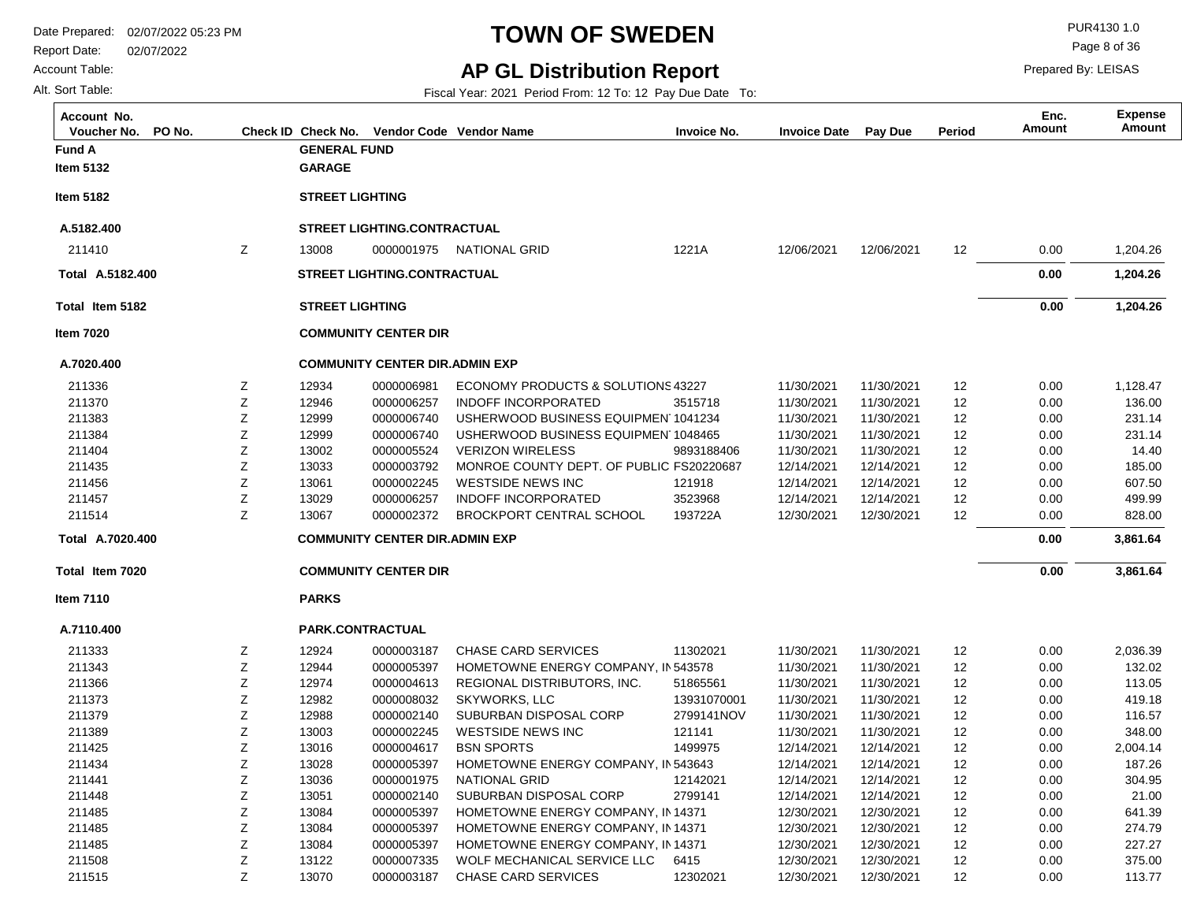Report Date: 02/07/2022

#### Account Table:

Alt. Sort Table:

# **TOWN OF SWEDEN** PURA130 1.0

**AP GL Distribution Report**

Fiscal Year: 2021 Period From: 12 To: 12 Pay Due Date To:

Page 8 of 36

Prepared By: LEISAS

| Account No.<br>PO No.<br>Voucher No. |   | Check ID Check No.     |                                       | Vendor Code Vendor Name                  | <b>Invoice No.</b> | <b>Invoice Date</b> | <b>Pay Due</b> | Period | Enc.<br><b>Amount</b> | <b>Expense</b><br>Amount |
|--------------------------------------|---|------------------------|---------------------------------------|------------------------------------------|--------------------|---------------------|----------------|--------|-----------------------|--------------------------|
| <b>Fund A</b>                        |   | <b>GENERAL FUND</b>    |                                       |                                          |                    |                     |                |        |                       |                          |
| <b>Item 5132</b>                     |   | <b>GARAGE</b>          |                                       |                                          |                    |                     |                |        |                       |                          |
| <b>Item 5182</b>                     |   | <b>STREET LIGHTING</b> |                                       |                                          |                    |                     |                |        |                       |                          |
| A.5182.400                           |   |                        | <b>STREET LIGHTING.CONTRACTUAL</b>    |                                          |                    |                     |                |        |                       |                          |
| 211410                               | Ζ | 13008                  |                                       | 0000001975 NATIONAL GRID                 | 1221A              | 12/06/2021          | 12/06/2021     | 12     | 0.00                  | 1,204.26                 |
| Total A.5182.400                     |   |                        | STREET LIGHTING.CONTRACTUAL           |                                          |                    |                     |                |        | 0.00                  | 1,204.26                 |
| Total Item 5182                      |   | <b>STREET LIGHTING</b> |                                       |                                          |                    |                     |                |        | 0.00                  | 1,204.26                 |
| <b>Item 7020</b>                     |   |                        | <b>COMMUNITY CENTER DIR</b>           |                                          |                    |                     |                |        |                       |                          |
| A.7020.400                           |   |                        | <b>COMMUNITY CENTER DIR.ADMIN EXP</b> |                                          |                    |                     |                |        |                       |                          |
| 211336                               | Ζ | 12934                  | 0000006981                            | ECONOMY PRODUCTS & SOLUTIONS 43227       |                    | 11/30/2021          | 11/30/2021     | 12     | 0.00                  | 1,128.47                 |
| 211370                               | Z | 12946                  | 0000006257                            | <b>INDOFF INCORPORATED</b>               | 3515718            | 11/30/2021          | 11/30/2021     | 12     | 0.00                  | 136.00                   |
| 211383                               | Ζ | 12999                  | 0000006740                            | USHERWOOD BUSINESS EQUIPMEN 1041234      |                    | 11/30/2021          | 11/30/2021     | 12     | 0.00                  | 231.14                   |
| 211384                               | Ζ | 12999                  | 0000006740                            | USHERWOOD BUSINESS EQUIPMEN 1048465      |                    | 11/30/2021          | 11/30/2021     | 12     | 0.00                  | 231.14                   |
| 211404                               | Ζ | 13002                  | 0000005524                            | <b>VERIZON WIRELESS</b>                  | 9893188406         | 11/30/2021          | 11/30/2021     | 12     | 0.00                  | 14.40                    |
| 211435                               | Z | 13033                  | 0000003792                            | MONROE COUNTY DEPT. OF PUBLIC FS20220687 |                    | 12/14/2021          | 12/14/2021     | 12     | 0.00                  | 185.00                   |
| 211456                               | Z | 13061                  | 0000002245                            | <b>WESTSIDE NEWS INC</b>                 | 121918             | 12/14/2021          | 12/14/2021     | 12     | 0.00                  | 607.50                   |
| 211457                               | Z | 13029                  | 0000006257                            | <b>INDOFF INCORPORATED</b>               | 3523968            | 12/14/2021          | 12/14/2021     | 12     | 0.00                  | 499.99                   |
| 211514                               | Z | 13067                  | 0000002372                            | <b>BROCKPORT CENTRAL SCHOOL</b>          | 193722A            | 12/30/2021          | 12/30/2021     | 12     | 0.00                  | 828.00                   |
| Total A.7020.400                     |   |                        | <b>COMMUNITY CENTER DIR.ADMIN EXP</b> |                                          |                    |                     |                |        | 0.00                  | 3,861.64                 |
| Total Item 7020                      |   |                        | <b>COMMUNITY CENTER DIR</b>           |                                          |                    |                     |                |        | 0.00                  | 3,861.64                 |
| <b>Item 7110</b>                     |   | <b>PARKS</b>           |                                       |                                          |                    |                     |                |        |                       |                          |
| A.7110.400                           |   |                        | PARK.CONTRACTUAL                      |                                          |                    |                     |                |        |                       |                          |
| 211333                               | Ζ | 12924                  | 0000003187                            | <b>CHASE CARD SERVICES</b>               | 11302021           | 11/30/2021          | 11/30/2021     | 12     | 0.00                  | 2,036.39                 |
| 211343                               | Ζ | 12944                  | 0000005397                            | HOMETOWNE ENERGY COMPANY, IN 543578      |                    | 11/30/2021          | 11/30/2021     | 12     | 0.00                  | 132.02                   |
| 211366                               | Ζ | 12974                  | 0000004613                            | REGIONAL DISTRIBUTORS, INC.              | 51865561           | 11/30/2021          | 11/30/2021     | 12     | 0.00                  | 113.05                   |
| 211373                               | Ζ | 12982                  | 0000008032                            | <b>SKYWORKS, LLC</b>                     | 13931070001        | 11/30/2021          | 11/30/2021     | 12     | 0.00                  | 419.18                   |
| 211379                               | Z | 12988                  | 0000002140                            | SUBURBAN DISPOSAL CORP                   | 2799141NOV         | 11/30/2021          | 11/30/2021     | 12     | 0.00                  | 116.57                   |
| 211389                               | Ζ | 13003                  | 0000002245                            | <b>WESTSIDE NEWS INC</b>                 | 121141             | 11/30/2021          | 11/30/2021     | 12     | 0.00                  | 348.00                   |
| 211425                               | Z | 13016                  | 0000004617                            | <b>BSN SPORTS</b>                        | 1499975            | 12/14/2021          | 12/14/2021     | 12     | 0.00                  | 2,004.14                 |
| 211434                               | Ζ | 13028                  | 0000005397                            | HOMETOWNE ENERGY COMPANY, IN 543643      |                    | 12/14/2021          | 12/14/2021     | 12     | 0.00                  | 187.26                   |
| 211441                               | Z | 13036                  | 0000001975                            | <b>NATIONAL GRID</b>                     | 12142021           | 12/14/2021          | 12/14/2021     | 12     | 0.00                  | 304.95                   |
| 211448                               | Ζ | 13051                  | 0000002140                            | SUBURBAN DISPOSAL CORP                   | 2799141            | 12/14/2021          | 12/14/2021     | 12     | 0.00                  | 21.00                    |
| 211485                               | Z | 13084                  | 0000005397                            | HOMETOWNE ENERGY COMPANY, IN 14371       |                    | 12/30/2021          | 12/30/2021     | 12     | 0.00                  | 641.39                   |
| 211485                               | Z | 13084                  | 0000005397                            | HOMETOWNE ENERGY COMPANY, IN 14371       |                    | 12/30/2021          | 12/30/2021     | 12     | 0.00                  | 274.79                   |
| 211485                               | Ζ | 13084                  | 0000005397                            | HOMETOWNE ENERGY COMPANY, IN 14371       |                    | 12/30/2021          | 12/30/2021     | 12     | 0.00                  | 227.27                   |
| 211508                               | Ζ | 13122                  | 0000007335                            | WOLF MECHANICAL SERVICE LLC              | 6415               | 12/30/2021          | 12/30/2021     | 12     | 0.00                  | 375.00                   |
| 211515                               | Z | 13070                  | 0000003187                            | <b>CHASE CARD SERVICES</b>               | 12302021           | 12/30/2021          | 12/30/2021     | 12     | 0.00                  | 113.77                   |

0000003187 CHASE CARD SERVICES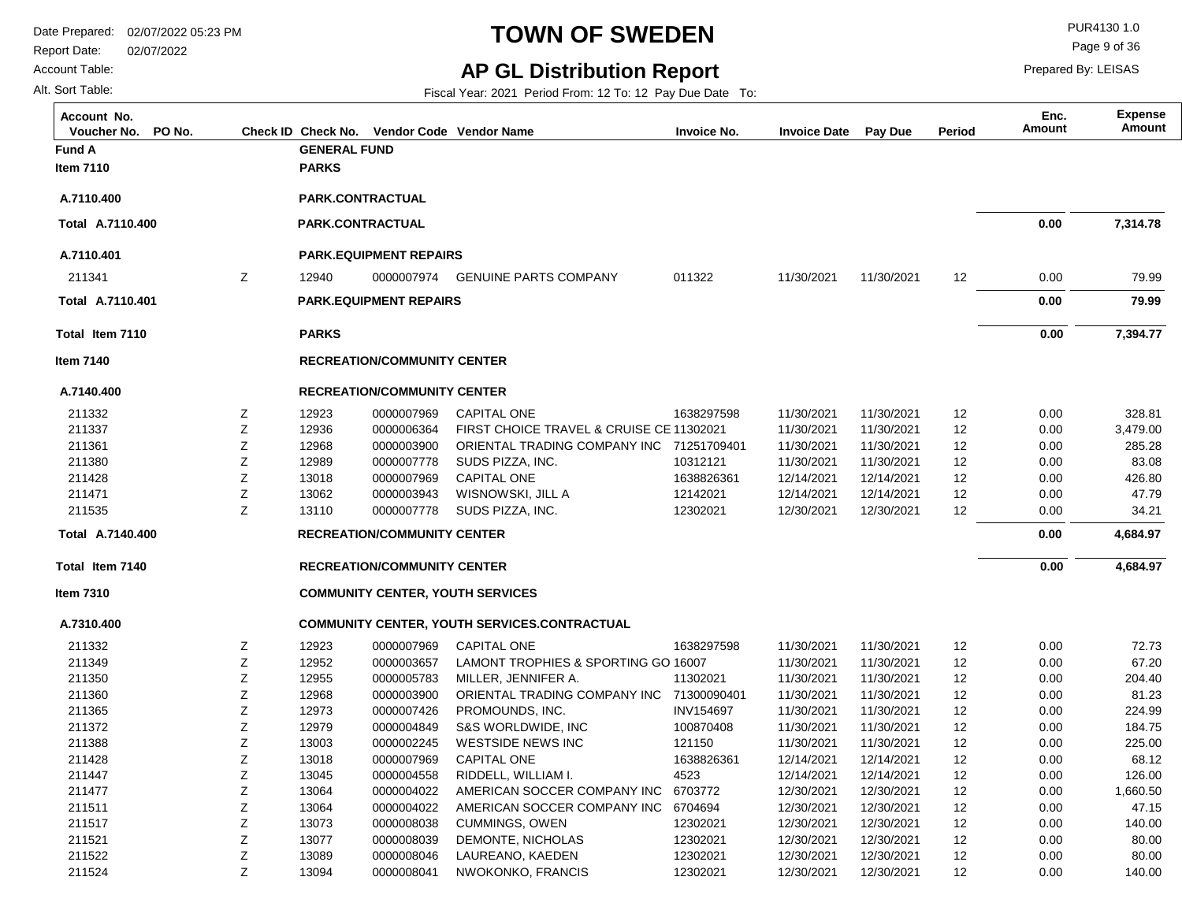Report Date: 02/07/2022

#### Account Table:

Alt. Sort Table:

# **TOWN OF SWEDEN** PURA130 1.0

**AP GL Distribution Report**

Fiscal Year: 2021 Period From: 12 To: 12 Pay Due Date To:

Page 9 of 36

| Account No.<br>Voucher No.<br>PO No. |   |                     | Check ID Check No. Vendor Code Vendor Name |                                                     | <b>Invoice No.</b> | <b>Invoice Date Pay Due</b> |            | Period            | Enc.<br>Amount | <b>Expense</b><br><b>Amount</b> |
|--------------------------------------|---|---------------------|--------------------------------------------|-----------------------------------------------------|--------------------|-----------------------------|------------|-------------------|----------------|---------------------------------|
| <b>Fund A</b>                        |   | <b>GENERAL FUND</b> |                                            |                                                     |                    |                             |            |                   |                |                                 |
| Item 7110                            |   | <b>PARKS</b>        |                                            |                                                     |                    |                             |            |                   |                |                                 |
|                                      |   |                     |                                            |                                                     |                    |                             |            |                   |                |                                 |
| A.7110.400                           |   |                     | PARK.CONTRACTUAL                           |                                                     |                    |                             |            |                   |                |                                 |
| Total A.7110.400                     |   | PARK.CONTRACTUAL    |                                            |                                                     |                    |                             |            |                   | 0.00           | 7,314.78                        |
| A.7110.401                           |   |                     | <b>PARK.EQUIPMENT REPAIRS</b>              |                                                     |                    |                             |            |                   |                |                                 |
| 211341                               | Ζ | 12940               | 0000007974                                 | <b>GENUINE PARTS COMPANY</b>                        | 011322             | 11/30/2021                  | 11/30/2021 | 12                | 0.00           | 79.99                           |
| Total A.7110.401                     |   |                     | <b>PARK.EQUIPMENT REPAIRS</b>              |                                                     |                    |                             |            |                   | 0.00           | 79.99                           |
| Total Item 7110                      |   | <b>PARKS</b>        |                                            |                                                     |                    |                             |            |                   | 0.00           | 7,394.77                        |
| <b>Item 7140</b>                     |   |                     | <b>RECREATION/COMMUNITY CENTER</b>         |                                                     |                    |                             |            |                   |                |                                 |
| A.7140.400                           |   |                     | <b>RECREATION/COMMUNITY CENTER</b>         |                                                     |                    |                             |            |                   |                |                                 |
| 211332                               | Ζ | 12923               | 0000007969                                 | <b>CAPITAL ONE</b>                                  | 1638297598         | 11/30/2021                  | 11/30/2021 | $12 \overline{ }$ | 0.00           | 328.81                          |
| 211337                               | Ζ | 12936               | 0000006364                                 | FIRST CHOICE TRAVEL & CRUISE CE 11302021            |                    | 11/30/2021                  | 11/30/2021 | 12                | 0.00           | 3,479.00                        |
| 211361                               | Ζ | 12968               | 0000003900                                 | ORIENTAL TRADING COMPANY INC 71251709401            |                    | 11/30/2021                  | 11/30/2021 | 12                | 0.00           | 285.28                          |
| 211380                               | Ζ | 12989               | 0000007778                                 | SUDS PIZZA, INC.                                    | 10312121           | 11/30/2021                  | 11/30/2021 | 12                | 0.00           | 83.08                           |
| 211428                               | Ζ | 13018               | 0000007969                                 | <b>CAPITAL ONE</b>                                  | 1638826361         | 12/14/2021                  | 12/14/2021 | 12                | 0.00           | 426.80                          |
| 211471                               | Ζ | 13062               | 0000003943                                 | WISNOWSKI, JILL A                                   | 12142021           | 12/14/2021                  | 12/14/2021 | 12                | 0.00           | 47.79                           |
| 211535                               | Z | 13110               | 0000007778                                 | SUDS PIZZA, INC.                                    | 12302021           | 12/30/2021                  | 12/30/2021 | 12                | 0.00           | 34.21                           |
| Total A.7140.400                     |   |                     | <b>RECREATION/COMMUNITY CENTER</b>         |                                                     |                    |                             |            |                   | 0.00           | 4,684.97                        |
| Total Item 7140                      |   |                     | <b>RECREATION/COMMUNITY CENTER</b>         |                                                     |                    |                             |            |                   | 0.00           | 4,684.97                        |
| <b>Item 7310</b>                     |   |                     |                                            | <b>COMMUNITY CENTER, YOUTH SERVICES</b>             |                    |                             |            |                   |                |                                 |
| A.7310.400                           |   |                     |                                            | <b>COMMUNITY CENTER, YOUTH SERVICES.CONTRACTUAL</b> |                    |                             |            |                   |                |                                 |
| 211332                               | Ζ | 12923               | 0000007969                                 | <b>CAPITAL ONE</b>                                  | 1638297598         | 11/30/2021                  | 11/30/2021 | 12                | 0.00           | 72.73                           |
| 211349                               | Z | 12952               | 0000003657                                 | LAMONT TROPHIES & SPORTING GO 16007                 |                    | 11/30/2021                  | 11/30/2021 | 12                | 0.00           | 67.20                           |
| 211350                               | Ζ | 12955               | 0000005783                                 | MILLER, JENNIFER A.                                 | 11302021           | 11/30/2021                  | 11/30/2021 | 12                | 0.00           | 204.40                          |
| 211360                               | Ζ | 12968               | 0000003900                                 | ORIENTAL TRADING COMPANY INC 71300090401            |                    | 11/30/2021                  | 11/30/2021 | 12                | 0.00           | 81.23                           |
| 211365                               | Ζ | 12973               | 0000007426                                 | PROMOUNDS, INC.                                     | <b>INV154697</b>   | 11/30/2021                  | 11/30/2021 | 12                | 0.00           | 224.99                          |
| 211372                               | Ζ | 12979               | 0000004849                                 | S&S WORLDWIDE, INC                                  | 100870408          | 11/30/2021                  | 11/30/2021 | 12                | 0.00           | 184.75                          |
| 211388                               | Ζ | 13003               | 0000002245                                 | <b>WESTSIDE NEWS INC</b>                            | 121150             | 11/30/2021                  | 11/30/2021 | 12                | 0.00           | 225.00                          |
| 211428                               | Ζ | 13018               | 0000007969                                 | <b>CAPITAL ONE</b>                                  | 1638826361         | 12/14/2021                  | 12/14/2021 | $12 \overline{ }$ | 0.00           | 68.12                           |
| 211447                               | Z | 13045               | 0000004558                                 | RIDDELL, WILLIAM I.                                 | 4523               | 12/14/2021                  | 12/14/2021 | 12                | 0.00           | 126.00                          |
| 211477                               | Ζ | 13064               | 0000004022                                 | AMERICAN SOCCER COMPANY INC                         | 6703772            | 12/30/2021                  | 12/30/2021 | 12                | 0.00           | 1,660.50                        |
| 211511                               | Z | 13064               | 0000004022                                 | AMERICAN SOCCER COMPANY INC                         | 6704694            | 12/30/2021                  | 12/30/2021 | 12                | 0.00           | 47.15                           |
| 211517                               | Ζ | 13073               | 0000008038                                 | <b>CUMMINGS, OWEN</b>                               | 12302021           | 12/30/2021                  | 12/30/2021 | 12                | 0.00           | 140.00                          |
| 211521                               | Ζ | 13077               | 0000008039                                 | DEMONTE, NICHOLAS                                   | 12302021           | 12/30/2021                  | 12/30/2021 | 12                | 0.00           | 80.00                           |
| 211522                               | Z | 13089               | 0000008046                                 | LAUREANO, KAEDEN                                    | 12302021           | 12/30/2021                  | 12/30/2021 | 12                | 0.00           | 80.00                           |
| 211524                               | Z | 13094               | 0000008041                                 | NWOKONKO, FRANCIS                                   | 12302021           | 12/30/2021                  | 12/30/2021 | 12                | 0.00           | 140.00                          |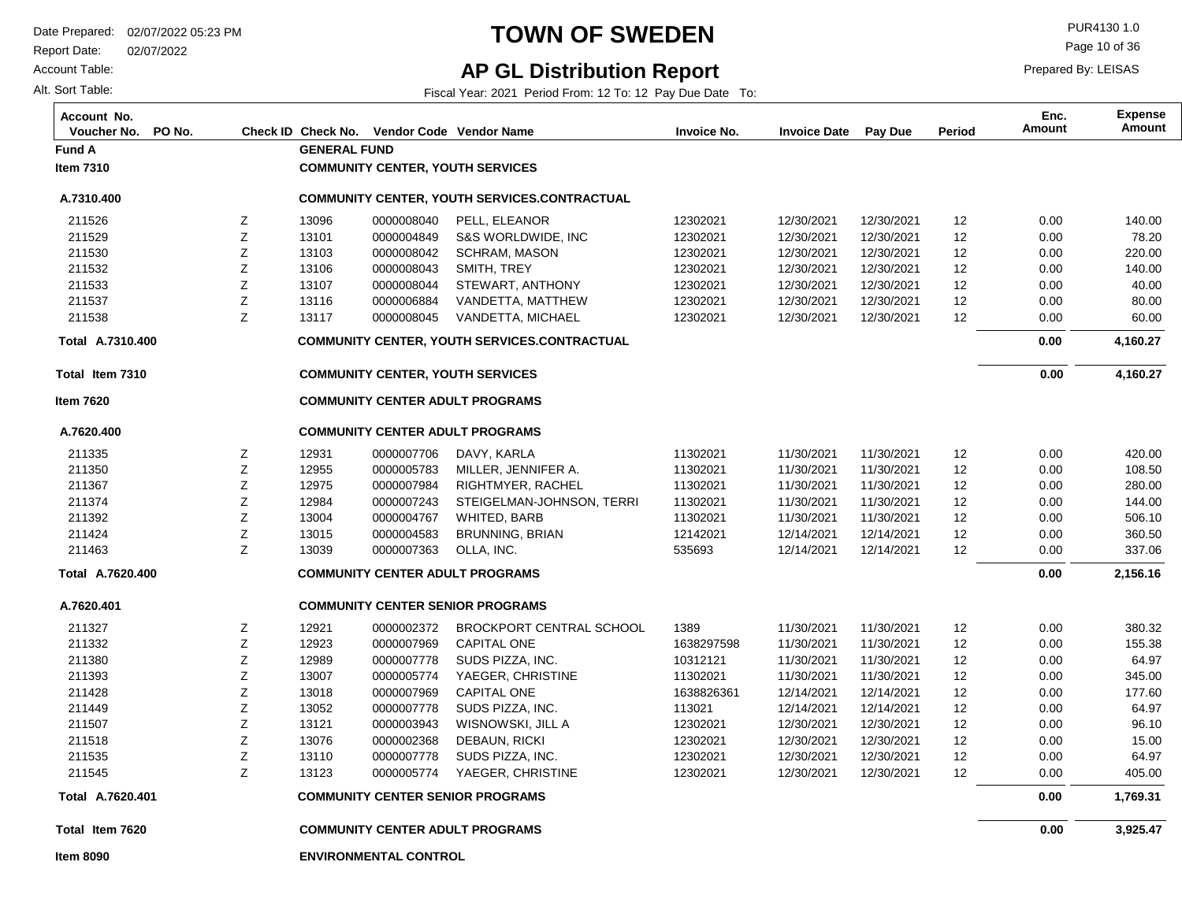**Fund A GENERAL FUND**

Z Z  $\overline{\phantom{a}}$ 

13096 13101

Report Date: 02/07/2022

Account Table:

Alt. Sort Table:

**Item 7310**

**A.7310.400**

211526 211529

### **TOWN OF SWEDEN** PUR4130 1.0

### **AP GL Distribution Report**

**COMMUNITY CENTER, YOUTH SERVICES**

0000008040 0000004849 0000008042

PELL, ELEANOR S&S WORLDWIDE, INC SCHERAM, MASONIA

**COMMUNITY CENTER, YOUTH SERVICES.CONTRACTUAL**

**COMMUNITY CENTER ADULT PROGRAMS**

**COMMUNITY CENTER SENIOR PROGRAMS**

0000007778 0000005774 SUDS PIZZA, INC. YAEGER, CHRISTINE

Fiscal Year: 2021 Period From: 12 To: 12 Pay Due Date To:

**Voucher No. PO No. Check ID Check No. Vendor Code Invoice No. Invoice Date Pay Due Period Amount Vendor NameAccount No. Expense**

> 12302021 12302021 12302021

12/30/2021 12/30/2021 12/30/2021

12/30/2021 12/30/2021

12302021 12302021

Page 10 of 36

Prepared By: LEISAS

**Amount Enc.**

> 0.00 0.00

12 12 12

12/30/2021 12/30/2021 12/30/2021

> 12 12

12/30/2021 12/30/2021

 140.00 78.20 220.00

| 211530           | Ζ | 13103 | 0000008042                              | <b>SCHRAM, MASON</b>                                | 12302021   | 12/30/2021 | 12/30/2021 | 12 | 0.00 | 220.00   |
|------------------|---|-------|-----------------------------------------|-----------------------------------------------------|------------|------------|------------|----|------|----------|
| 211532           | Ζ | 13106 | 0000008043                              | SMITH, TREY                                         | 12302021   | 12/30/2021 | 12/30/2021 | 12 | 0.00 | 140.00   |
| 211533           | Ζ | 13107 | 0000008044                              | STEWART, ANTHONY                                    | 12302021   | 12/30/2021 | 12/30/2021 | 12 | 0.00 | 40.00    |
| 211537           | Ζ | 13116 | 0000006884                              | VANDETTA, MATTHEW                                   | 12302021   | 12/30/2021 | 12/30/2021 | 12 | 0.00 | 80.00    |
| 211538           | Z | 13117 | 0000008045                              | VANDETTA, MICHAEL                                   | 12302021   | 12/30/2021 | 12/30/2021 | 12 | 0.00 | 60.00    |
| Total A.7310.400 |   |       |                                         | <b>COMMUNITY CENTER, YOUTH SERVICES.CONTRACTUAL</b> |            |            |            |    | 0.00 | 4,160.27 |
| Total Item 7310  |   |       | <b>COMMUNITY CENTER, YOUTH SERVICES</b> |                                                     |            |            |            |    | 0.00 | 4,160.27 |
| <b>Item 7620</b> |   |       |                                         | <b>COMMUNITY CENTER ADULT PROGRAMS</b>              |            |            |            |    |      |          |
| A.7620.400       |   |       |                                         | <b>COMMUNITY CENTER ADULT PROGRAMS</b>              |            |            |            |    |      |          |
| 211335           | Ζ | 12931 | 0000007706                              | DAVY, KARLA                                         | 11302021   | 11/30/2021 | 11/30/2021 | 12 | 0.00 | 420.00   |
| 211350           | Ζ | 12955 | 0000005783                              | MILLER, JENNIFER A.                                 | 11302021   | 11/30/2021 | 11/30/2021 | 12 | 0.00 | 108.50   |
| 211367           | Ζ | 12975 | 0000007984                              | RIGHTMYER, RACHEL                                   | 11302021   | 11/30/2021 | 11/30/2021 | 12 | 0.00 | 280.00   |
| 211374           | Ζ | 12984 | 0000007243                              | STEIGELMAN-JOHNSON, TERRI                           | 11302021   | 11/30/2021 | 11/30/2021 | 12 | 0.00 | 144.00   |
| 211392           | Ζ | 13004 | 0000004767                              | WHITED, BARB                                        | 11302021   | 11/30/2021 | 11/30/2021 | 12 | 0.00 | 506.10   |
| 211424           | Ζ | 13015 | 0000004583                              | <b>BRUNNING, BRIAN</b>                              | 12142021   | 12/14/2021 | 12/14/2021 | 12 | 0.00 | 360.50   |
| 211463           | Ζ | 13039 | 0000007363                              | OLLA, INC.                                          | 535693     | 12/14/2021 | 12/14/2021 | 12 | 0.00 | 337.06   |
| Total A.7620.400 |   |       |                                         | <b>COMMUNITY CENTER ADULT PROGRAMS</b>              |            |            |            |    | 0.00 | 2,156.16 |
| A.7620.401       |   |       |                                         | <b>COMMUNITY CENTER SENIOR PROGRAMS</b>             |            |            |            |    |      |          |
| 211327           | Ζ | 12921 | 0000002372                              | <b>BROCKPORT CENTRAL SCHOOL</b>                     | 1389       | 11/30/2021 | 11/30/2021 | 12 | 0.00 | 380.32   |
| 211332           | Ζ | 12923 | 0000007969                              | <b>CAPITAL ONE</b>                                  | 1638297598 | 11/30/2021 | 11/30/2021 | 12 | 0.00 | 155.38   |
| 211380           | Ζ | 12989 | 0000007778                              | SUDS PIZZA, INC.                                    | 10312121   | 11/30/2021 | 11/30/2021 | 12 | 0.00 | 64.97    |
| 211393           | Ζ | 13007 | 0000005774                              | YAEGER, CHRISTINE                                   | 11302021   | 11/30/2021 | 11/30/2021 | 12 | 0.00 | 345.00   |
| 211428           | Ζ | 13018 | 0000007969                              | <b>CAPITAL ONE</b>                                  | 1638826361 | 12/14/2021 | 12/14/2021 | 12 | 0.00 | 177.60   |
| 211449           | Ζ | 13052 | 0000007778                              | SUDS PIZZA, INC.                                    | 113021     | 12/14/2021 | 12/14/2021 | 12 | 0.00 | 64.97    |
| 211507           | Z | 13121 | 0000003943                              | WISNOWSKI, JILL A                                   | 12302021   | 12/30/2021 | 12/30/2021 | 12 | 0.00 | 96.10    |
| 211518           | Z | 13076 | 0000002368                              | DEBAUN, RICKI                                       | 12302021   | 12/30/2021 | 12/30/2021 | 12 | 0.00 | 15.00    |

 **1,769.31 0.00** 

 0.00 0.00

 **0.00** 

 64.97 405.00

**Total Item 7620**

**Item 8090**

211535 211545

**A.7620.401 Total** 

**ENVIRONMENTAL CONTROL**

Z Z 13110 13123

 **3,925.47**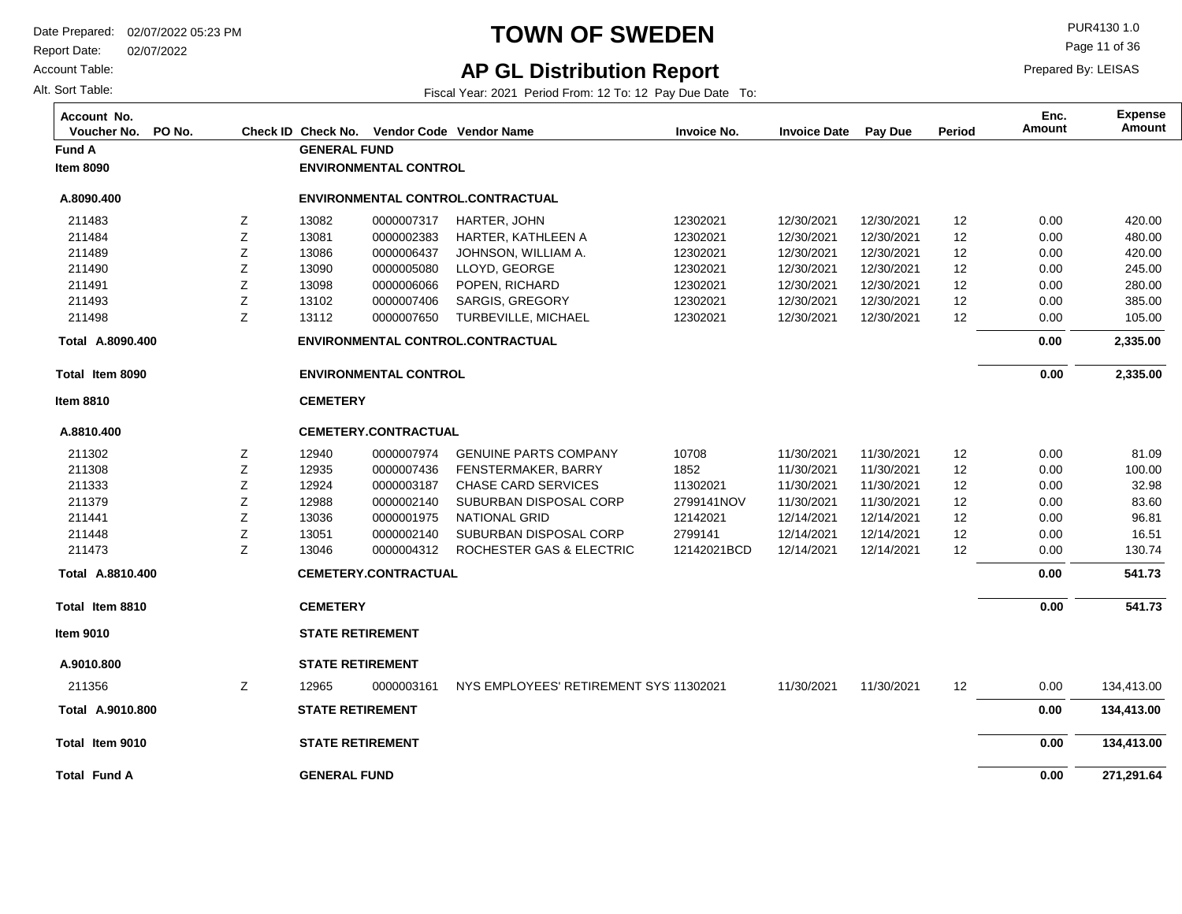Report Date: 02/07/2022

Account Table:

Alt. Sort Table:

## **TOWN OF SWEDEN** PURA130 1.0

Prepared By: LEISAS Page 11 of 36

**Amount Enc.**

### **AP GL Distribution Report**

Fiscal Year: 2021 Period From: 12 To: 12 Pay Due Date To:

**Voucher No. PO No. Check ID Check No. Vendor Code Invoice No. Invoice Date Pay Due Period Amount Vendor NameAccount No. Expense**

| Fund A              |   | <b>GENERAL FUND</b> |                              |                                        |             |            |            |    |      |            |
|---------------------|---|---------------------|------------------------------|----------------------------------------|-------------|------------|------------|----|------|------------|
| <b>Item 8090</b>    |   |                     | <b>ENVIRONMENTAL CONTROL</b> |                                        |             |            |            |    |      |            |
| A.8090.400          |   |                     |                              | ENVIRONMENTAL CONTROL.CONTRACTUAL      |             |            |            |    |      |            |
| 211483              | Z | 13082               | 0000007317                   | HARTER, JOHN                           | 12302021    | 12/30/2021 | 12/30/2021 | 12 | 0.00 | 420.00     |
| 211484              | Ζ | 13081               | 0000002383                   | HARTER, KATHLEEN A                     | 12302021    | 12/30/2021 | 12/30/2021 | 12 | 0.00 | 480.00     |
| 211489              | Z | 13086               | 0000006437                   | JOHNSON, WILLIAM A.                    | 12302021    | 12/30/2021 | 12/30/2021 | 12 | 0.00 | 420.00     |
| 211490              | Z | 13090               | 0000005080                   | LLOYD, GEORGE                          | 12302021    | 12/30/2021 | 12/30/2021 | 12 | 0.00 | 245.00     |
| 211491              | Z | 13098               | 0000006066                   | POPEN, RICHARD                         | 12302021    | 12/30/2021 | 12/30/2021 | 12 | 0.00 | 280.00     |
| 211493              | Ζ | 13102               | 0000007406                   | <b>SARGIS, GREGORY</b>                 | 12302021    | 12/30/2021 | 12/30/2021 | 12 | 0.00 | 385.00     |
| 211498              | Z | 13112               | 0000007650                   | TURBEVILLE, MICHAEL                    | 12302021    | 12/30/2021 | 12/30/2021 | 12 | 0.00 | 105.00     |
| Total A.8090.400    |   |                     |                              | ENVIRONMENTAL CONTROL.CONTRACTUAL      |             |            |            |    | 0.00 | 2,335.00   |
| Total Item 8090     |   |                     | <b>ENVIRONMENTAL CONTROL</b> |                                        |             |            |            |    | 0.00 | 2,335.00   |
| Item 8810           |   | <b>CEMETERY</b>     |                              |                                        |             |            |            |    |      |            |
| A.8810.400          |   |                     | <b>CEMETERY.CONTRACTUAL</b>  |                                        |             |            |            |    |      |            |
| 211302              | Ζ | 12940               | 0000007974                   | <b>GENUINE PARTS COMPANY</b>           | 10708       | 11/30/2021 | 11/30/2021 | 12 | 0.00 | 81.09      |
| 211308              | Z | 12935               | 0000007436                   | FENSTERMAKER, BARRY                    | 1852        | 11/30/2021 | 11/30/2021 | 12 | 0.00 | 100.00     |
| 211333              | Ζ | 12924               | 0000003187                   | <b>CHASE CARD SERVICES</b>             | 11302021    | 11/30/2021 | 11/30/2021 | 12 | 0.00 | 32.98      |
| 211379              | Ζ | 12988               | 0000002140                   | SUBURBAN DISPOSAL CORP                 | 2799141NOV  | 11/30/2021 | 11/30/2021 | 12 | 0.00 | 83.60      |
| 211441              | Z | 13036               | 0000001975                   | <b>NATIONAL GRID</b>                   | 12142021    | 12/14/2021 | 12/14/2021 | 12 | 0.00 | 96.81      |
| 211448              | Ζ | 13051               | 0000002140                   | SUBURBAN DISPOSAL CORP                 | 2799141     | 12/14/2021 | 12/14/2021 | 12 | 0.00 | 16.51      |
| 211473              | Z | 13046               | 0000004312                   | ROCHESTER GAS & ELECTRIC               | 12142021BCD | 12/14/2021 | 12/14/2021 | 12 | 0.00 | 130.74     |
| Total A.8810.400    |   |                     | <b>CEMETERY.CONTRACTUAL</b>  |                                        |             |            |            |    | 0.00 | 541.73     |
| Total Item 8810     |   | <b>CEMETERY</b>     |                              |                                        |             |            |            |    | 0.00 | 541.73     |
| ltem 9010           |   |                     | <b>STATE RETIREMENT</b>      |                                        |             |            |            |    |      |            |
| A.9010.800          |   |                     | <b>STATE RETIREMENT</b>      |                                        |             |            |            |    |      |            |
| 211356              | z | 12965               | 0000003161                   | NYS EMPLOYEES' RETIREMENT SYS 11302021 |             | 11/30/2021 | 11/30/2021 | 12 | 0.00 | 134,413.00 |
| Total A.9010.800    |   |                     | <b>STATE RETIREMENT</b>      |                                        |             |            |            |    | 0.00 | 134,413.00 |
| Total Item 9010     |   |                     | <b>STATE RETIREMENT</b>      |                                        |             |            |            |    | 0.00 | 134,413.00 |
| <b>Total Fund A</b> |   | <b>GENERAL FUND</b> |                              |                                        |             |            |            |    | 0.00 | 271,291.64 |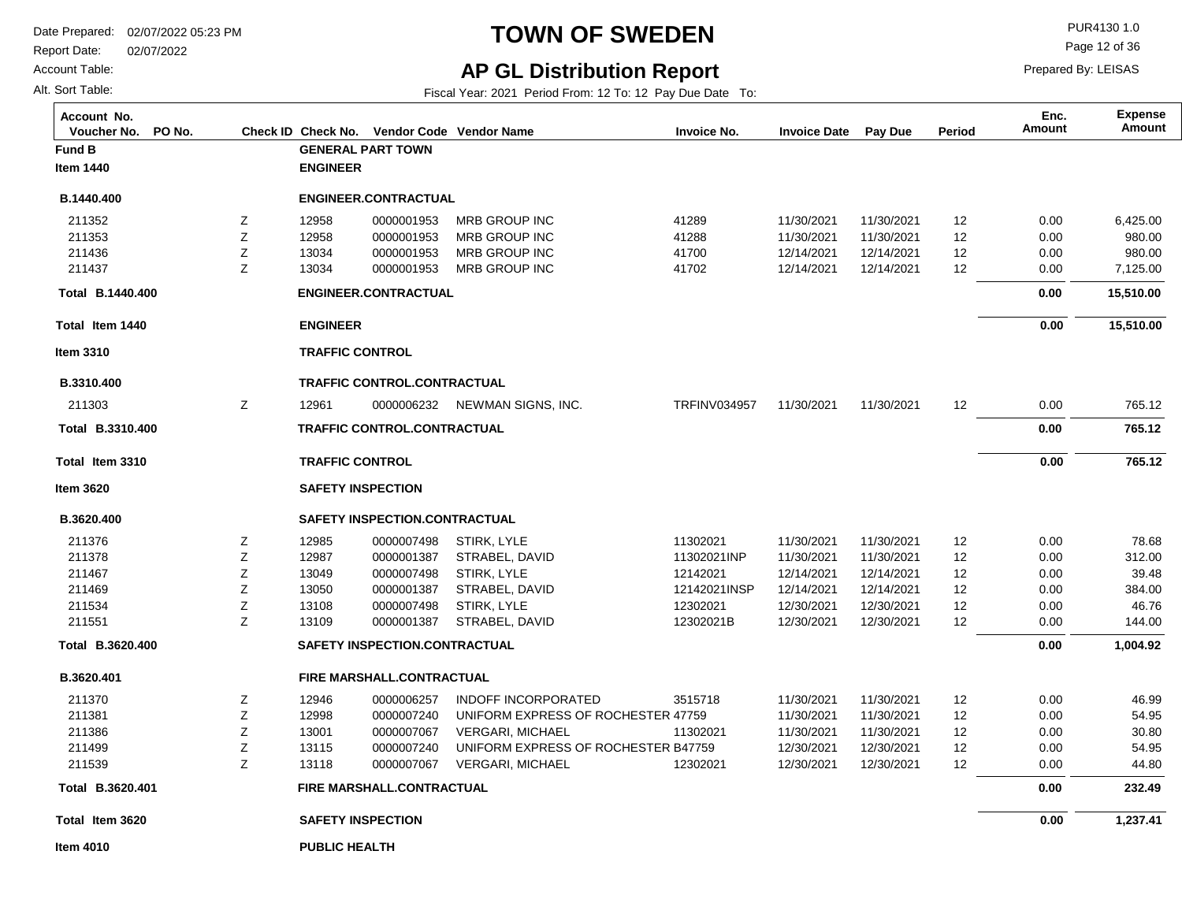**Fund B GENERAL PART TOWN**

**ENGINEER**

Report Date: 02/07/2022

**Total Item 1440**

**B.1440.400 Total** 

**Item 3310**

**B.3310.400**

211303

**Total Item 3310**

**B.3310.400 Total** 

**Item 3620**

**B.3620.400**

Account Table:

Alt. Sort Table:

**Item 1440**

**B.1440.400**

## **TOWN OF SWEDEN** PURA130 1.0

Page 12 of 36

Prepared By: LEISAS

**Amount Enc.**

### **AP GL Distribution Report**

Fiscal Year: 2021 Period From: 12 To: 12 Pay Due Date To:

**Voucher No. PO No. Check ID Check No. Vendor Code Invoice No. Invoice Date Pay Due Period Amount Vendor NameAccount No. Expense**

|   |                        | <b>ENGINEER.CONTRACTUAL</b>          |                                     |                     |            |            |    |      |           |
|---|------------------------|--------------------------------------|-------------------------------------|---------------------|------------|------------|----|------|-----------|
| Ζ | 12958                  | 0000001953                           | <b>MRB GROUP INC</b>                | 41289               | 11/30/2021 | 11/30/2021 | 12 | 0.00 | 6,425.00  |
| Z | 12958                  | 0000001953                           | <b>MRB GROUP INC</b>                | 41288               | 11/30/2021 | 11/30/2021 | 12 | 0.00 | 980.00    |
| Ζ | 13034                  | 0000001953                           | <b>MRB GROUP INC</b>                | 41700               | 12/14/2021 | 12/14/2021 | 12 | 0.00 | 980.00    |
| Z | 13034                  | 0000001953                           | <b>MRB GROUP INC</b>                | 41702               | 12/14/2021 | 12/14/2021 | 12 | 0.00 | 7,125.00  |
|   |                        | <b>ENGINEER.CONTRACTUAL</b>          |                                     |                     |            |            |    | 0.00 | 15,510.00 |
|   | <b>ENGINEER</b>        |                                      |                                     |                     |            |            |    | 0.00 | 15,510.00 |
|   | <b>TRAFFIC CONTROL</b> |                                      |                                     |                     |            |            |    |      |           |
|   |                        | TRAFFIC CONTROL.CONTRACTUAL          |                                     |                     |            |            |    |      |           |
| Z | 12961                  |                                      | 0000006232 NEWMAN SIGNS, INC.       | <b>TRFINV034957</b> | 11/30/2021 | 11/30/2021 | 12 | 0.00 | 765.12    |
|   |                        | <b>TRAFFIC CONTROL.CONTRACTUAL</b>   |                                     |                     |            |            |    | 0.00 | 765.12    |
|   | <b>TRAFFIC CONTROL</b> |                                      |                                     |                     |            |            |    | 0.00 | 765.12    |
|   |                        | <b>SAFETY INSPECTION</b>             |                                     |                     |            |            |    |      |           |
|   |                        | SAFETY INSPECTION.CONTRACTUAL        |                                     |                     |            |            |    |      |           |
| Z | 12985                  | 0000007498                           | STIRK, LYLE                         | 11302021            | 11/30/2021 | 11/30/2021 | 12 | 0.00 | 78.68     |
| Z | 12987                  | 0000001387                           | STRABEL, DAVID                      | 11302021INP         | 11/30/2021 | 11/30/2021 | 12 | 0.00 | 312.00    |
| Ζ | 13049                  | 0000007498                           | STIRK, LYLE                         | 12142021            | 12/14/2021 | 12/14/2021 | 12 | 0.00 | 39.48     |
| Z | 13050                  | 0000001387                           | STRABEL, DAVID                      | 12142021INSP        | 12/14/2021 | 12/14/2021 | 12 | 0.00 | 384.00    |
| Z | 13108                  | 0000007498                           | STIRK, LYLE                         | 12302021            | 12/30/2021 | 12/30/2021 | 12 | 0.00 | 46.76     |
| Z | 13109                  | 0000001387                           | STRABEL, DAVID                      | 12302021B           | 12/30/2021 | 12/30/2021 | 12 | 0.00 | 144.00    |
|   |                        | <b>SAFETY INSPECTION.CONTRACTUAL</b> |                                     |                     |            |            |    | 0.00 | 1,004.92  |
|   |                        | FIRE MARSHALL.CONTRACTUAL            |                                     |                     |            |            |    |      |           |
| Ζ | 12946                  | 0000006257                           | <b>INDOFF INCORPORATED</b>          | 3515718             | 11/30/2021 | 11/30/2021 | 12 | 0.00 | 46.99     |
| Ζ | 12998                  | 0000007240                           | UNIFORM EXPRESS OF ROCHESTER 47759  |                     | 11/30/2021 | 11/30/2021 | 12 | 0.00 | 54.95     |
| Ζ | 13001                  | 0000007067                           | <b>VERGARI, MICHAEL</b>             | 11302021            | 11/30/2021 | 11/30/2021 | 12 | 0.00 | 30.80     |
| Ζ | 13115                  | 0000007240                           | UNIFORM EXPRESS OF ROCHESTER B47759 |                     | 12/30/2021 | 12/30/2021 | 12 | 0.00 | 54.95     |
| Z | 13118                  | 0000007067                           | <b>VERGARI, MICHAEL</b>             | 12302021            | 12/30/2021 | 12/30/2021 | 12 | 0.00 | 44.80     |
|   |                        | <b>FIRE MARSHALL.CONTRACTUAL</b>     |                                     |                     |            |            |    | 0.00 | 232.49    |
|   |                        | <b>SAFETY INSPECTION</b>             |                                     |                     |            |            |    | 0.00 | 1,237.41  |

**Item 4010**

**Total Item 3620**

**B.3620.401 Total** 

**B.3620.400 Total** 

**B.3620.401**

**PUBLIC HEALTH**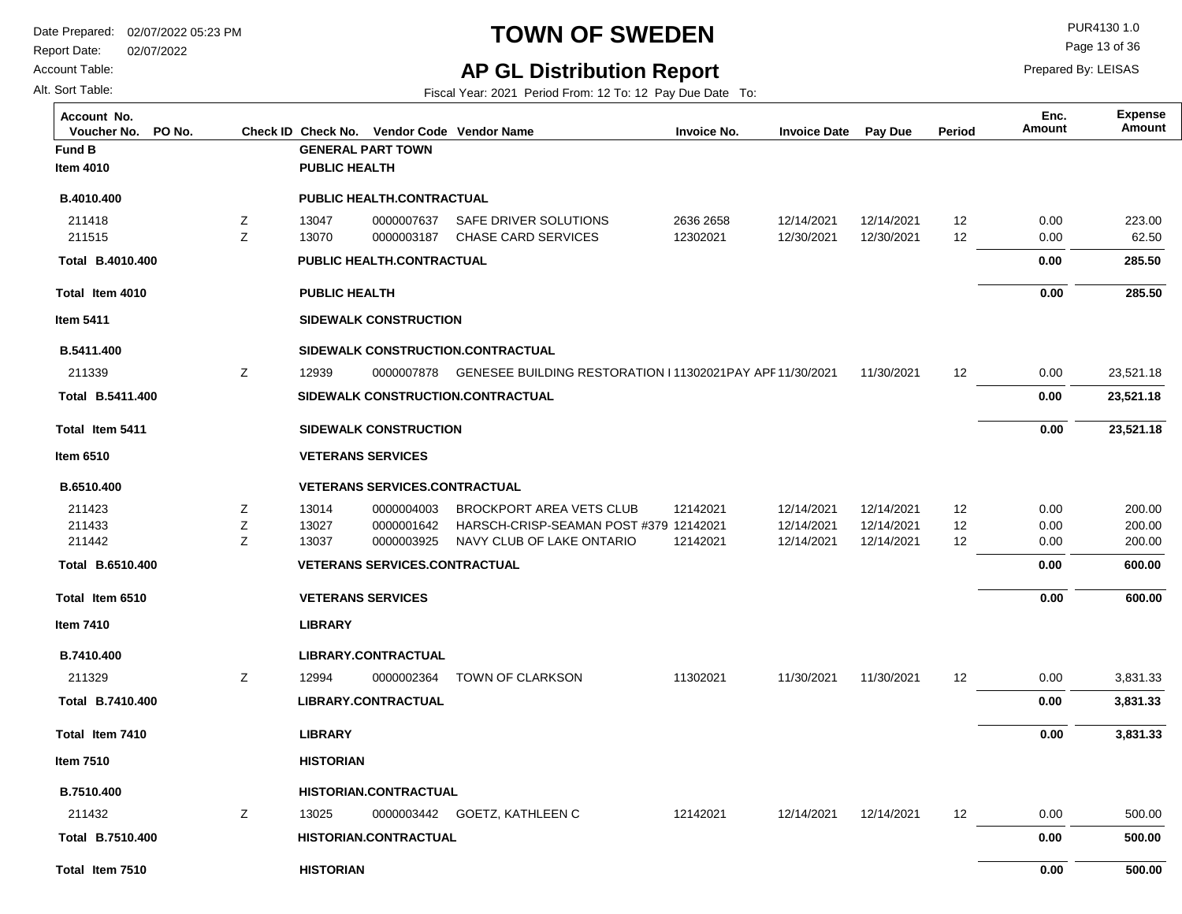**Fund B GENERAL PART TOWN**

**PUBLIC HEALTH**

**HISTORIAN**

**HISTORIAN.CONTRACTUAL**

Report Date: 02/07/2022

**Item 5411**

**Item 6510**

**Item 7410**

**Item 7510**

**Total Item 7510**

**B.7510.400 Total** 

Account Table:

Alt. Sort Table:

**Item 4010**

**B.4010.400**

## **TOWN OF SWEDEN** PUR4130 1.0

Page 13 of 36

### **AP GL Distribution Report**

Fiscal Year: 2021 Period From: 12 To: 12 Pay Due Date To:

**Voucher No. PO No. Check ID Check No. Vendor Code Invoice No. Invoice Date Pay Due Period Amount Vendor NameAccount No. Expense**

| B.4010.400             |   |                      | <b>PUBLIC HEALTH.CONTRACTUAL</b>     |                                                                      |           |            |            |                   |      |           |
|------------------------|---|----------------------|--------------------------------------|----------------------------------------------------------------------|-----------|------------|------------|-------------------|------|-----------|
| 211418                 | Ζ | 13047                | 0000007637                           | SAFE DRIVER SOLUTIONS                                                | 2636 2658 | 12/14/2021 | 12/14/2021 | 12                | 0.00 | 223.00    |
| 211515                 | Z | 13070                | 0000003187                           | <b>CHASE CARD SERVICES</b>                                           | 12302021  | 12/30/2021 | 12/30/2021 | 12                | 0.00 | 62.50     |
| Total B.4010.400       |   |                      | <b>PUBLIC HEALTH.CONTRACTUAL</b>     |                                                                      |           |            |            |                   | 0.00 | 285.50    |
| Total Item 4010        |   | <b>PUBLIC HEALTH</b> |                                      |                                                                      |           |            |            |                   | 0.00 | 285.50    |
| tem 5411               |   |                      | <b>SIDEWALK CONSTRUCTION</b>         |                                                                      |           |            |            |                   |      |           |
| B.5411.400             |   |                      |                                      | SIDEWALK CONSTRUCTION.CONTRACTUAL                                    |           |            |            |                   |      |           |
| 211339                 | Z | 12939                |                                      | 0000007878 GENESEE BUILDING RESTORATION I 11302021PAY APF 11/30/2021 |           |            | 11/30/2021 | $12 \overline{ }$ | 0.00 | 23,521.18 |
| Total B.5411.400       |   |                      |                                      | SIDEWALK CONSTRUCTION.CONTRACTUAL                                    |           |            |            |                   | 0.00 | 23,521.18 |
| <b>Fotal Item 5411</b> |   |                      | SIDEWALK CONSTRUCTION                |                                                                      |           |            |            |                   | 0.00 | 23,521.18 |
| tem 6510               |   |                      | <b>VETERANS SERVICES</b>             |                                                                      |           |            |            |                   |      |           |
| B.6510.400             |   |                      | <b>VETERANS SERVICES.CONTRACTUAL</b> |                                                                      |           |            |            |                   |      |           |
| 211423                 | Z | 13014                | 0000004003                           | <b>BROCKPORT AREA VETS CLUB</b>                                      | 12142021  | 12/14/2021 | 12/14/2021 | 12                | 0.00 | 200.00    |
| 211433                 | z | 13027                | 0000001642                           | HARSCH-CRISP-SEAMAN POST #379 12142021                               |           | 12/14/2021 | 12/14/2021 | 12                | 0.00 | 200.00    |
| 211442                 | Z | 13037                | 0000003925                           | NAVY CLUB OF LAKE ONTARIO                                            | 12142021  | 12/14/2021 | 12/14/2021 | 12                | 0.00 | 200.00    |
| Total B.6510.400       |   |                      | <b>VETERANS SERVICES.CONTRACTUAL</b> |                                                                      |           |            |            |                   | 0.00 | 600.00    |
| <b>Fotal Item 6510</b> |   |                      | <b>VETERANS SERVICES</b>             |                                                                      |           |            |            |                   | 0.00 | 600.00    |
| tem 7410               |   | <b>LIBRARY</b>       |                                      |                                                                      |           |            |            |                   |      |           |
| B.7410.400             |   |                      | <b>LIBRARY.CONTRACTUAL</b>           |                                                                      |           |            |            |                   |      |           |
| 211329                 | Ζ | 12994                | 0000002364                           | <b>TOWN OF CLARKSON</b>                                              | 11302021  | 11/30/2021 | 11/30/2021 | $12 \overline{ }$ | 0.00 | 3,831.33  |
| Total B.7410.400       |   |                      | <b>LIBRARY.CONTRACTUAL</b>           |                                                                      |           |            |            |                   | 0.00 | 3,831.33  |
| <b>Fotal Item 7410</b> |   | <b>LIBRARY</b>       |                                      |                                                                      |           |            |            |                   | 0.00 | 3,831.33  |
| tem 7510               |   | <b>HISTORIAN</b>     |                                      |                                                                      |           |            |            |                   |      |           |
| B.7510.400             |   |                      | <b>HISTORIAN.CONTRACTUAL</b>         |                                                                      |           |            |            |                   |      |           |
| 211432                 | Ζ | 13025                |                                      | 0000003442 GOETZ, KATHLEEN C                                         | 12142021  | 12/14/2021 | 12/14/2021 | 12                | 0.00 | 500.00    |
|                        |   |                      |                                      |                                                                      |           |            |            |                   |      |           |

 **0.00** 

 **0.00** 

 **500.00** 

Prepared By: LEISAS

**Amount Enc.**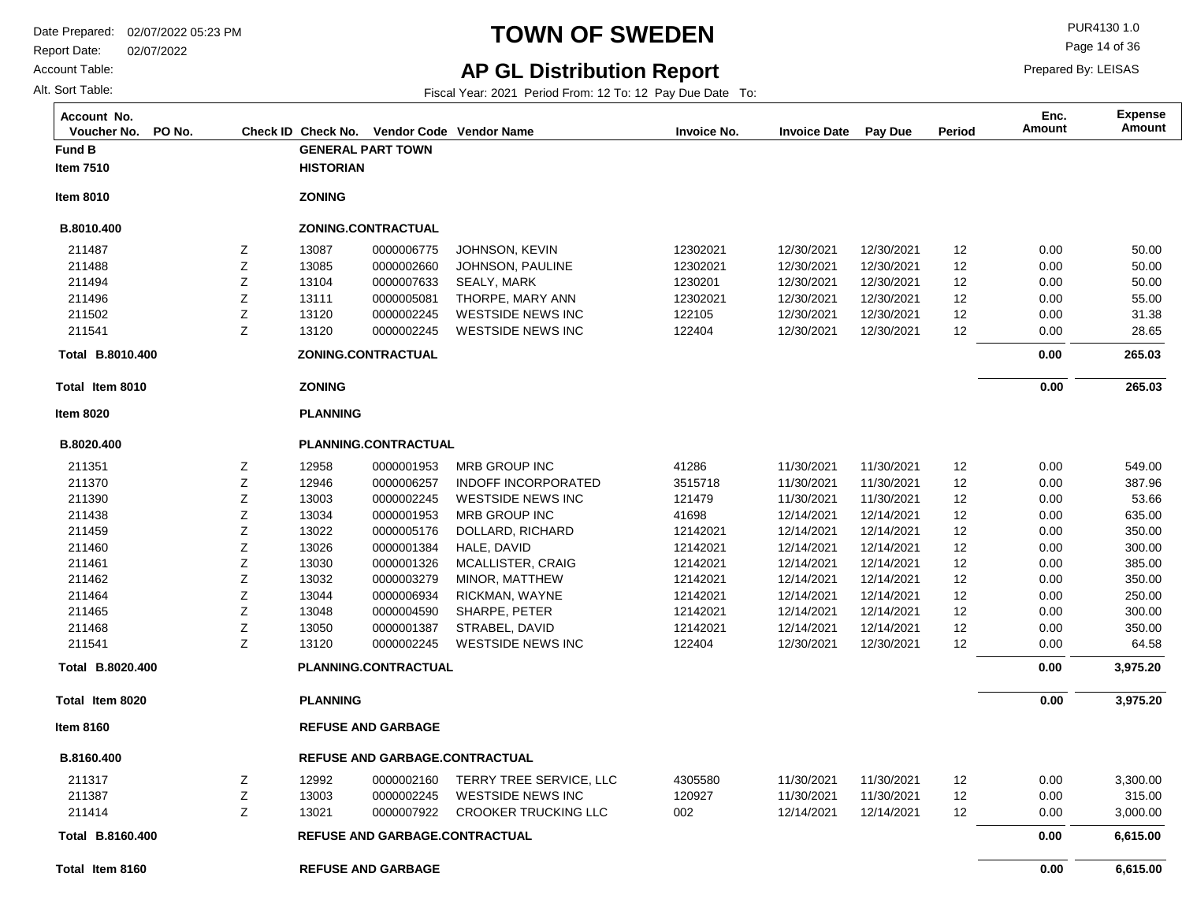Report Date: 02/07/2022

#### Account Table:

Alt. Sort Table:

# **TOWN OF SWEDEN** PURA130 1.0

**AP GL Distribution Report**

Fiscal Year: 2021 Period From: 12 To: 12 Pay Due Date To:

Page 14 of 36

| Account No.<br>PO No.<br>Voucher No. |             |                  | Check ID Check No. Vendor Code Vendor Name |                             | <b>Invoice No.</b> | <b>Invoice Date</b> | Pay Due    | Period | Enc.<br><b>Amount</b> | <b>Expense</b><br>Amount |
|--------------------------------------|-------------|------------------|--------------------------------------------|-----------------------------|--------------------|---------------------|------------|--------|-----------------------|--------------------------|
| <b>Fund B</b>                        |             |                  | <b>GENERAL PART TOWN</b>                   |                             |                    |                     |            |        |                       |                          |
| Item 7510                            |             | <b>HISTORIAN</b> |                                            |                             |                    |                     |            |        |                       |                          |
| <b>Item 8010</b>                     |             | <b>ZONING</b>    |                                            |                             |                    |                     |            |        |                       |                          |
| B.8010.400                           |             |                  | ZONING.CONTRACTUAL                         |                             |                    |                     |            |        |                       |                          |
| 211487                               | Ζ           | 13087            | 0000006775                                 | JOHNSON, KEVIN              | 12302021           | 12/30/2021          | 12/30/2021 | 12     | 0.00                  | 50.00                    |
| 211488                               | $\mathsf Z$ | 13085            | 0000002660                                 | JOHNSON, PAULINE            | 12302021           | 12/30/2021          | 12/30/2021 | 12     | 0.00                  | 50.00                    |
| 211494                               | $\mathsf Z$ | 13104            | 0000007633                                 | SEALY, MARK                 | 1230201            | 12/30/2021          | 12/30/2021 | 12     | 0.00                  | 50.00                    |
| 211496                               | Ζ           | 13111            | 0000005081                                 | THORPE, MARY ANN            | 12302021           | 12/30/2021          | 12/30/2021 | 12     | 0.00                  | 55.00                    |
| 211502                               | Ζ           | 13120            | 0000002245                                 | <b>WESTSIDE NEWS INC</b>    | 122105             | 12/30/2021          | 12/30/2021 | 12     | 0.00                  | 31.38                    |
| 211541                               | Z           | 13120            | 0000002245                                 | <b>WESTSIDE NEWS INC</b>    | 122404             | 12/30/2021          | 12/30/2021 | 12     | 0.00                  | 28.65                    |
| Total B.8010.400                     |             |                  | ZONING.CONTRACTUAL                         |                             |                    |                     |            |        | 0.00                  | 265.03                   |
| Total Item 8010                      |             | <b>ZONING</b>    |                                            |                             |                    |                     |            |        | 0.00                  | 265.03                   |
| <b>Item 8020</b>                     |             | <b>PLANNING</b>  |                                            |                             |                    |                     |            |        |                       |                          |
| B.8020.400                           |             |                  | PLANNING.CONTRACTUAL                       |                             |                    |                     |            |        |                       |                          |
| 211351                               | Z           | 12958            | 0000001953                                 | MRB GROUP INC               | 41286              | 11/30/2021          | 11/30/2021 | 12     | 0.00                  | 549.00                   |
| 211370                               | Z           | 12946            | 0000006257                                 | <b>INDOFF INCORPORATED</b>  | 3515718            | 11/30/2021          | 11/30/2021 | 12     | 0.00                  | 387.96                   |
| 211390                               | Ζ           | 13003            | 0000002245                                 | <b>WESTSIDE NEWS INC</b>    | 121479             | 11/30/2021          | 11/30/2021 | 12     | 0.00                  | 53.66                    |
| 211438                               | Z           | 13034            | 0000001953                                 | MRB GROUP INC               | 41698              | 12/14/2021          | 12/14/2021 | 12     | 0.00                  | 635.00                   |
| 211459                               | $\mathsf Z$ | 13022            | 0000005176                                 | DOLLARD, RICHARD            | 12142021           | 12/14/2021          | 12/14/2021 | 12     | 0.00                  | 350.00                   |
| 211460                               | Ζ           | 13026            | 0000001384                                 | HALE, DAVID                 | 12142021           | 12/14/2021          | 12/14/2021 | 12     | 0.00                  | 300.00                   |
| 211461                               | $\mathsf Z$ | 13030            | 0000001326                                 | <b>MCALLISTER, CRAIG</b>    | 12142021           | 12/14/2021          | 12/14/2021 | 12     | 0.00                  | 385.00                   |
| 211462                               | Ζ           | 13032            | 0000003279                                 | MINOR, MATTHEW              | 12142021           | 12/14/2021          | 12/14/2021 | 12     | 0.00                  | 350.00                   |
| 211464                               | Ζ           | 13044            | 0000006934                                 | RICKMAN, WAYNE              | 12142021           | 12/14/2021          | 12/14/2021 | 12     | 0.00                  | 250.00                   |
| 211465                               | $\mathsf Z$ | 13048            | 0000004590                                 | SHARPE, PETER               | 12142021           | 12/14/2021          | 12/14/2021 | 12     | 0.00                  | 300.00                   |
| 211468                               | Ζ           | 13050            | 0000001387                                 | STRABEL, DAVID              | 12142021           | 12/14/2021          | 12/14/2021 | 12     | 0.00                  | 350.00                   |
| 211541                               | Z           | 13120            | 0000002245                                 | <b>WESTSIDE NEWS INC</b>    | 122404             | 12/30/2021          | 12/30/2021 | 12     | 0.00                  | 64.58                    |
| Total B.8020.400                     |             |                  | PLANNING.CONTRACTUAL                       |                             |                    |                     |            |        | 0.00                  | 3,975.20                 |
| Total Item 8020                      |             | <b>PLANNING</b>  |                                            |                             |                    |                     |            |        | 0.00                  | 3,975.20                 |
| <b>Item 8160</b>                     |             |                  | <b>REFUSE AND GARBAGE</b>                  |                             |                    |                     |            |        |                       |                          |
| B.8160.400                           |             |                  | REFUSE AND GARBAGE.CONTRACTUAL             |                             |                    |                     |            |        |                       |                          |
| 211317                               | Z           | 12992            | 0000002160                                 | TERRY TREE SERVICE, LLC     | 4305580            | 11/30/2021          | 11/30/2021 | 12     | 0.00                  | 3,300.00                 |
| 211387                               | Z           | 13003            | 0000002245                                 | <b>WESTSIDE NEWS INC</b>    | 120927             | 11/30/2021          | 11/30/2021 | 12     | 0.00                  | 315.00                   |
| 211414                               | Z           | 13021            | 0000007922                                 | <b>CROOKER TRUCKING LLC</b> | 002                | 12/14/2021          | 12/14/2021 | 12     | 0.00                  | 3,000.00                 |
| Total B.8160.400                     |             |                  | <b>REFUSE AND GARBAGE.CONTRACTUAL</b>      |                             |                    |                     |            |        | 0.00                  | 6,615.00                 |
| Total Item 8160                      |             |                  | <b>REFUSE AND GARBAGE</b>                  |                             |                    |                     |            |        | 0.00                  | 6,615.00                 |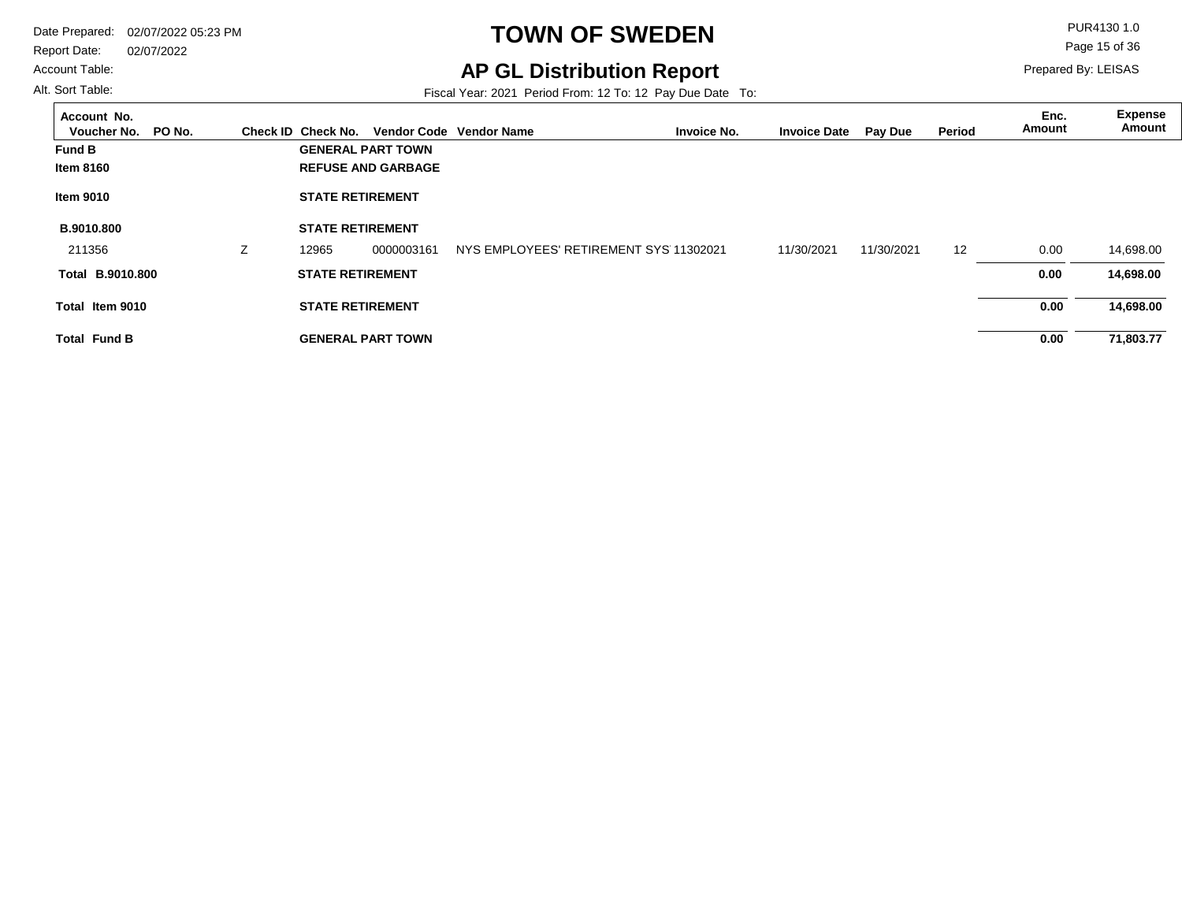Report Date: 02/07/2022

#### Account Table:

Alt. Sort Table:

# **TOWN OF SWEDEN** PUR4130 1.0

## **AP GL Distribution Report**

Fiscal Year: 2021 Period From: 12 To: 12 Pay Due Date To:

Page 15 of 36

| Account No.<br>Voucher No.<br>PO No. |    |                          |                           | Check ID Check No. Vendor Code Vendor Name | <b>Invoice No.</b> | <b>Invoice Date</b> | <b>Pay Due</b> | Period | Enc.<br>Amount | Expense<br>Amount |
|--------------------------------------|----|--------------------------|---------------------------|--------------------------------------------|--------------------|---------------------|----------------|--------|----------------|-------------------|
| <b>Fund B</b>                        |    |                          | <b>GENERAL PART TOWN</b>  |                                            |                    |                     |                |        |                |                   |
| <b>Item 8160</b>                     |    |                          | <b>REFUSE AND GARBAGE</b> |                                            |                    |                     |                |        |                |                   |
| <b>Item 9010</b>                     |    | <b>STATE RETIREMENT</b>  |                           |                                            |                    |                     |                |        |                |                   |
| B.9010.800                           |    | <b>STATE RETIREMENT</b>  |                           |                                            |                    |                     |                |        |                |                   |
| 211356                               | Z. | 12965                    | 0000003161                | NYS EMPLOYEES' RETIREMENT SYS 11302021     |                    | 11/30/2021          | 11/30/2021     | 12     | 0.00           | 14,698.00         |
| Total B.9010.800                     |    | <b>STATE RETIREMENT</b>  |                           |                                            |                    |                     |                |        | 0.00           | 14,698.00         |
| Total Item 9010                      |    | <b>STATE RETIREMENT</b>  |                           |                                            |                    |                     |                |        | 0.00           | 14,698.00         |
| <b>Total Fund B</b>                  |    | <b>GENERAL PART TOWN</b> |                           |                                            |                    |                     |                |        | 0.00           | 71,803.77         |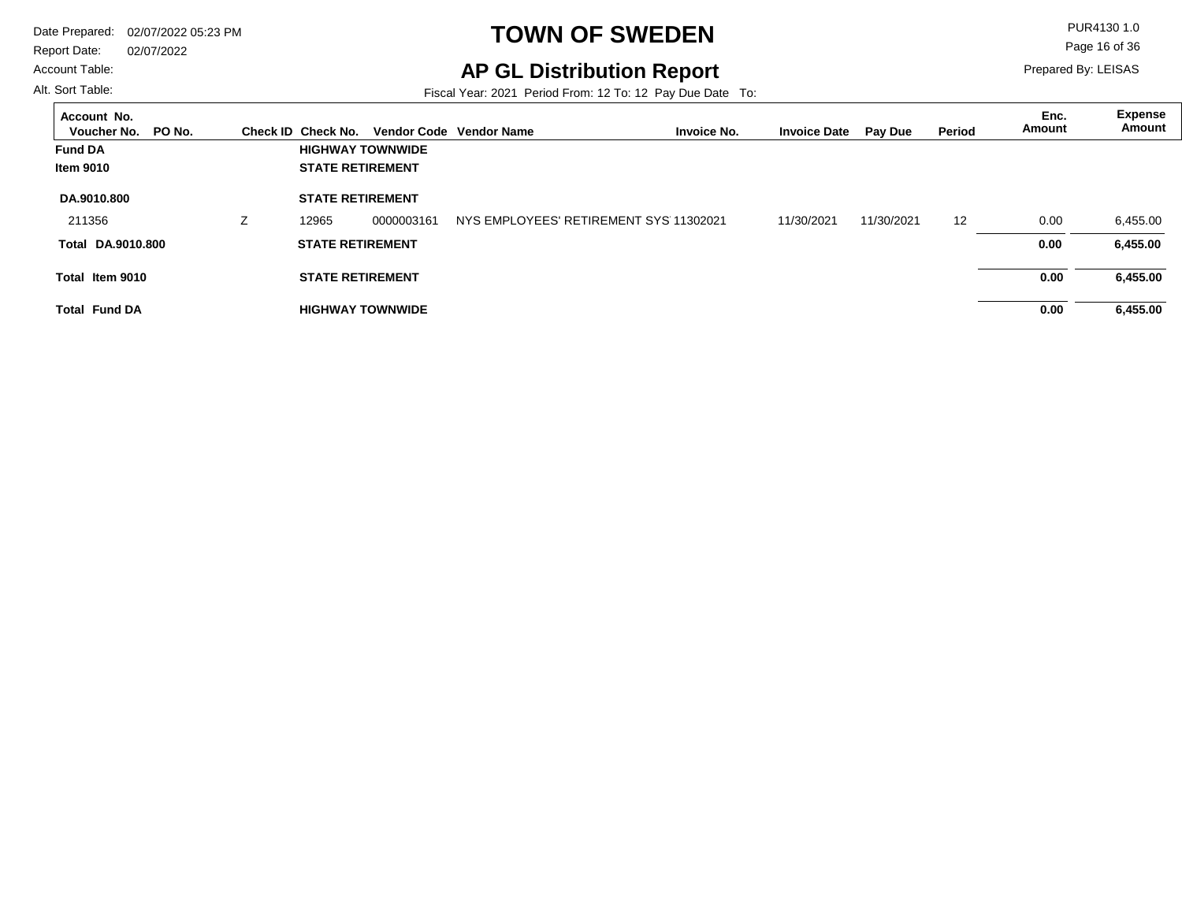Report Date: 02/07/2022

#### Account Table:

Alt. Sort Table:

 $\overline{a}$ 

# **TOWN OF SWEDEN** PUR4130 1.0

**AP GL Distribution Report**

Prepared By: LEISAS

Page 16 of 36

Fiscal Year: 2021 Period From: 12 To: 12 Pay Due Date To:

| Account No.<br>PO No.<br>Voucher No. |    | Check ID Check No.      |                         | Vendor Code Vendor Name | <b>Invoice No.</b>                     | <b>Invoice Date</b> | <b>Pay Due</b> | Period | Enc.<br>Amount | <b>Expense</b><br>Amount |
|--------------------------------------|----|-------------------------|-------------------------|-------------------------|----------------------------------------|---------------------|----------------|--------|----------------|--------------------------|
| <b>Fund DA</b>                       |    |                         | <b>HIGHWAY TOWNWIDE</b> |                         |                                        |                     |                |        |                |                          |
| Item 9010                            |    | <b>STATE RETIREMENT</b> |                         |                         |                                        |                     |                |        |                |                          |
| DA.9010.800                          |    | <b>STATE RETIREMENT</b> |                         |                         |                                        |                     |                |        |                |                          |
| 211356                               | Z. | 12965                   | 0000003161              |                         | NYS EMPLOYEES' RETIREMENT SYS 11302021 | 11/30/2021          | 11/30/2021     | 12     | 0.00           | 6,455.00                 |
| <b>Total DA.9010.800</b>             |    | <b>STATE RETIREMENT</b> |                         |                         |                                        |                     |                |        | 0.00           | 6,455.00                 |
| Total Item 9010                      |    | <b>STATE RETIREMENT</b> |                         |                         |                                        |                     |                |        | 0.00           | 6,455.00                 |
| <b>Total Fund DA</b>                 |    |                         | <b>HIGHWAY TOWNWIDE</b> |                         |                                        |                     |                |        | 0.00           | 6,455.00                 |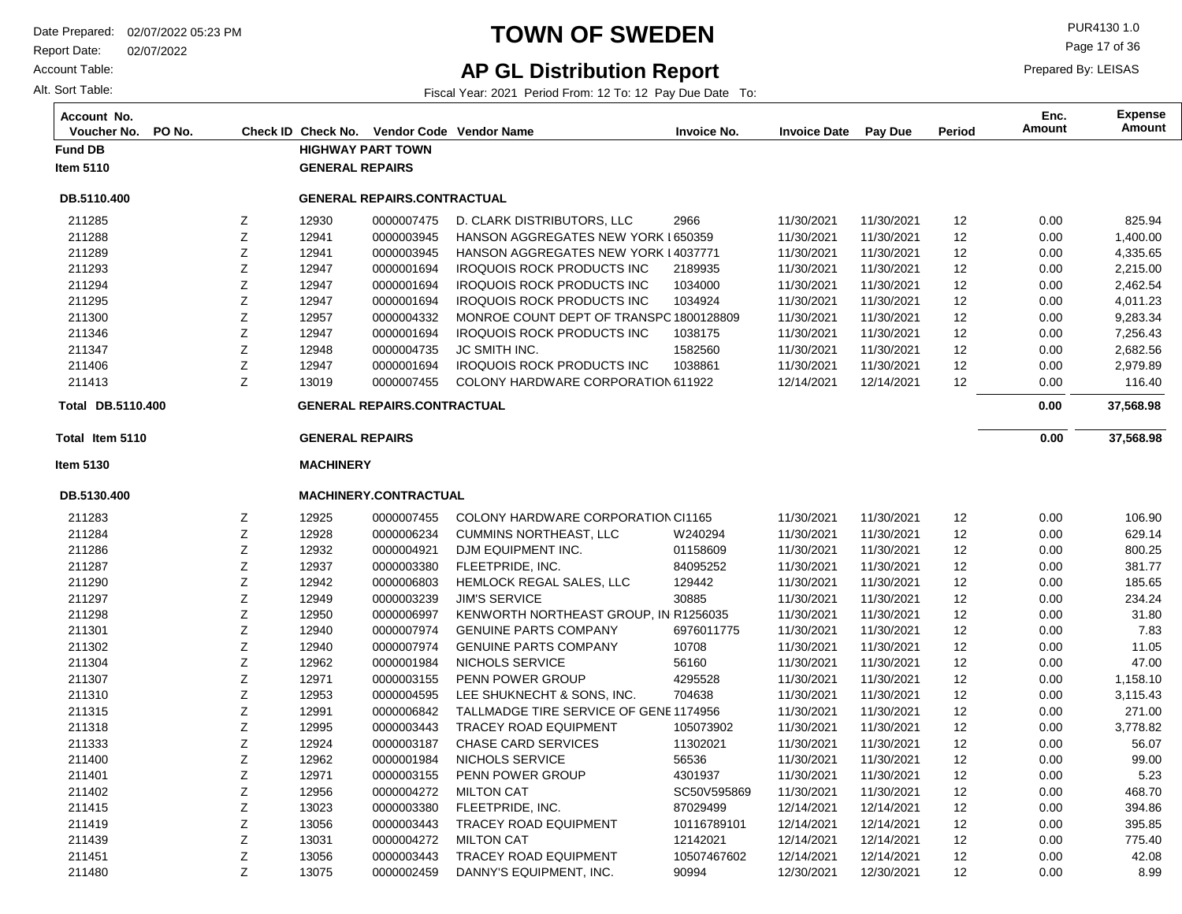Report Date: 02/07/2022

**Total Item 5110**

**Total** 

**DB.5130.400**

13031 13056 13075

MILTON CAT

0000004272 0000003443 0000002459

TRACEY ROAD EQUIPMENT DANNY'S EQUIPMENT, INC.

Z Z Z

**Item 5130**

Account Table:

Alt. Sort Table:

**Item 5110**

**DB.5110.400**

### **TOWN OF SWEDEN** PUR4130 1.0

### **AP GL Distribution Report**

Fiscal Year: 2021 Period From: 12 To: 12 Pay Due Date To:

**Fund DB HIGHWAY PART TOWN GENERAL REPAIRS MACHINERY GENERAL REPAIRS 37,568.98 Voucher No. PO No. Check ID Check No. Vendor Code Invoice No. Invoice Date Pay Due Period Amount Vendor NameAccount No. Expense Amount Enc. DB.5110.400 37,568.98 GENERAL REPAIRS.CONTRACTUAL** 11/30/2021 11/30/2021 11/30/2021 11/30/2021 11/30/2021 11/30/2021 11/30/2021 11/30/2021 11/30/2021 11/30/2021 12/14/2021 11/30/2021 11/30/2021 11/30/2021 11/30/2021 11/30/2021 11/30/2021 11/30/2021 11/30/2021 11/30/2021 11/30/2021 11/30/2021 11/30/2021 11/30/2021 11/30/2021 11/30/2021 11/30/2021 11/30/2021 11/30/2021 12/14/2021 12/14/2021 2966 650359 HANSON AGGREGATES NEW YORK L HANSON AGGREGATES NEW YORK L4037771 2189935 1034000 1034924 MONROE COUNT DEPT OF TRANSPO 1800128809 1038175 1582560 1038861 COLONY HARDWARE CORPORATION 611922 COLONY HARDWARE CORPORATION CI1165 W240294 01158609 84095252 129442 30885 KENWORTH NORTHEAST GROUP, IN R1256035 6976011775 10708 56160 4295528 704638 TALLMADGE TIRE SERVICE OF GENE1174956 105073902 11302021 56536 4301937 SC50V595869 87029499 10116789101 12 12 12 12 12 12 12 12 12 12 12 12 12 12 12 12 12 12 12 12 12 12 12 12 12 12 12 12 12 12 12 11/30/2021 11/30/2021 11/30/2021 11/30/2021 11/30/2021 11/30/2021 11/30/2021 11/30/2021 11/30/2021 11/30/2021 12/14/2021 11/30/2021 11/30/2021 11/30/2021 11/30/2021 11/30/2021 11/30/2021 11/30/2021 11/30/2021 11/30/2021 11/30/2021 11/30/2021 11/30/2021 11/30/2021 11/30/2021 11/30/2021 11/30/2021 11/30/2021 11/30/2021 12/14/2021 12/14/2021 12930 12941 12941 12947 12947 12947 12957 12947 12948 12947 13019 12925 12928 12932 12937 12942 12949 12950 12940 12940 12962 12971 12953 12991 12995 12924 12962 12971 12956 13023 13056 Z Z Z Z Z Z Z Z Z Z Z Z Z Z Z Z Z Z Z Z Z Z Z Z Z Z Z Z Z Z Z D. CLARK DISTRIBUTORS, LLC IROQUOIS ROCK PRODUCTS INC IROQUOIS ROCK PRODUCTS INC IROQUOIS ROCK PRODUCTS INC IROQUOIS ROCK PRODUCTS INC JC SMITH INC. IROQUOIS ROCK PRODUCTS INC CUMMINS NORTHEAST, LLC DJM EQUIPMENT INC. FLEETPRIDE, INC. HEMLOCK REGAL SALES, LLC JIM'S SERVICE GENUINE PARTS COMPANY GENUINE PARTS COMPANY NICHOLS SERVICE PENN POWER GROUP LEE SHUKNECHT & SONS, INC. TRACEY ROAD EQUIPMENT CHASE CARD SERVICES NICHOLS SERVICE PENN POWER GROUP MILTON CAT FLEETPRIDE, INC. TRACEY ROAD EQUIPMENT 0000007475 0000003945 0000003945 0000001694 0000001694 0000001694 0000004332 0000001694 0000004735 0000001694 0000007455 0000007455 0000006234 0000004921 0000003380 0000006803 0000003239 0000006997 0000007974 0000007974 0000001984 0000003155 0000004595 0000006842 0000003443 0000003187 0000001984 0000003155 0000004272 0000003380 0000003443 825.94 1,400.00 4,335.65 2,215.00 2,462.54 4,011.23 9,283.34 7,256.43 2,682.56 2,979.89 116.40 106.90 629.14 800.25 381.77 185.65 234.24 31.80 7.83 11.05 47.00 1,158.10 3,115.43 271.00 3,778.82 56.07 99.00 5.23 468.70 394.86 395.85 **GENERAL REPAIRS.CONTRACTUAL MACHINERY.CONTRACTUAL** 0.00 0.00 0.00 0.00 0.00 0.00 0.00 0.00 0.00 0.00 0.00 0.00 0.00 0.00 0.00 0.00 0.00 0.00 0.00 0.00 0.00 0.00 0.00 0.00 0.00 0.00 0.00 0.00 0.00 0.00 0.00  **0.00 0.00** 

> 12142021 10507467602 90994

12/14/2021 12/14/2021 12/30/2021

12 12 12

 0.00 0.00 0.00

 775.40 42.08 8.99

12/14/2021 12/14/2021 12/30/2021

Page 17 of 36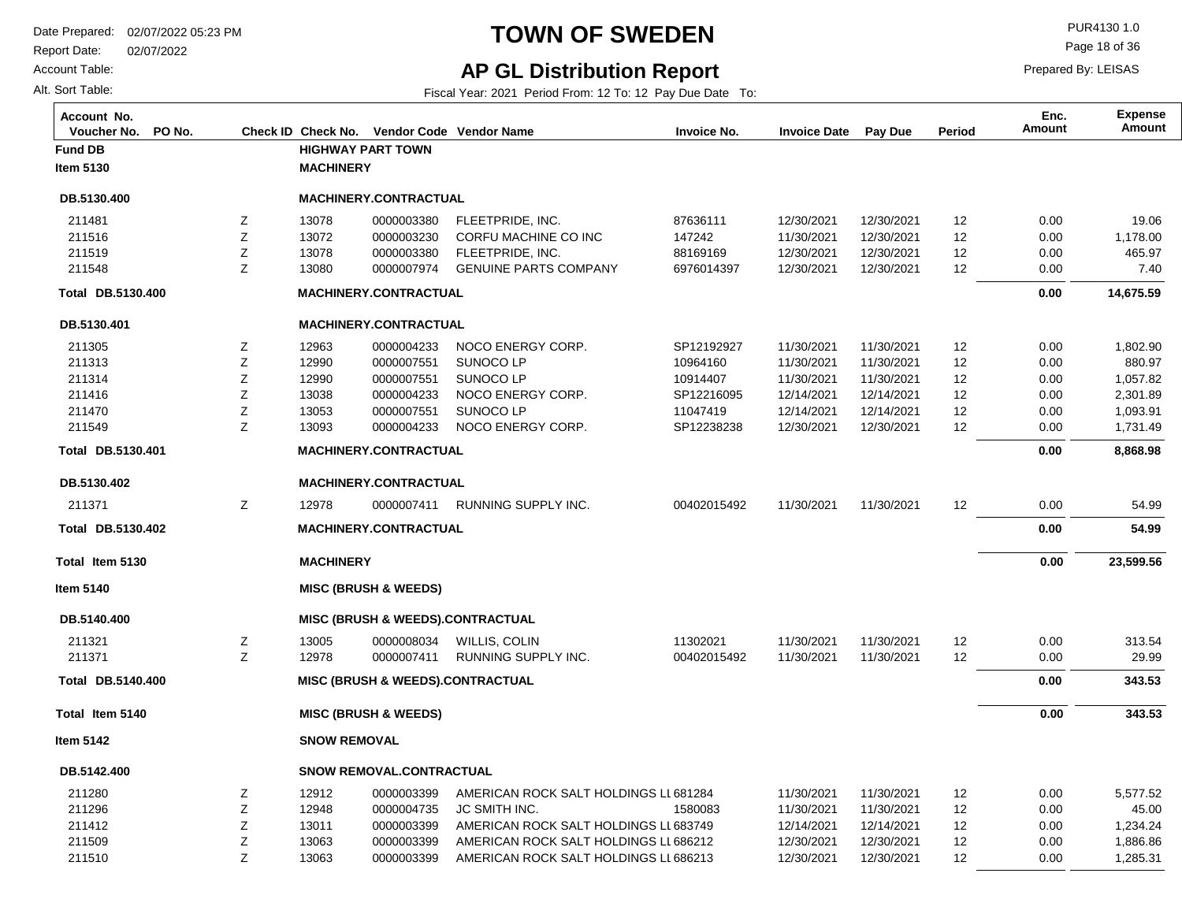Report Date: 02/07/2022

Account Table:

Alt. Sort Table:

# **TOWN OF SWEDEN** PUR4130 1.0

Page 18 of 36

## **AP GL Distribution Report**

Fiscal Year: 2021 Period From: 12 To: 12 Pay Due Date To:

| Account No.<br>PO No.<br>Voucher No. |   |                     | Check ID Check No. Vendor Code Vendor Name |                                             | <b>Invoice No.</b> | <b>Invoice Date</b> | <b>Pay Due</b> | Period | Enc.<br><b>Amount</b> | <b>Expense</b><br>Amount |
|--------------------------------------|---|---------------------|--------------------------------------------|---------------------------------------------|--------------------|---------------------|----------------|--------|-----------------------|--------------------------|
| <b>Fund DB</b>                       |   |                     | <b>HIGHWAY PART TOWN</b>                   |                                             |                    |                     |                |        |                       |                          |
| <b>Item 5130</b>                     |   | <b>MACHINERY</b>    |                                            |                                             |                    |                     |                |        |                       |                          |
| DB.5130.400                          |   |                     | MACHINERY.CONTRACTUAL                      |                                             |                    |                     |                |        |                       |                          |
| 211481                               | Z | 13078               | 0000003380                                 | FLEETPRIDE, INC.                            | 87636111           | 12/30/2021          | 12/30/2021     | 12     | 0.00                  | 19.06                    |
| 211516                               | Z | 13072               | 0000003230                                 | CORFU MACHINE CO INC                        | 147242             | 11/30/2021          | 12/30/2021     | 12     | 0.00                  | 1,178.00                 |
| 211519                               | Z | 13078               | 0000003380                                 | FLEETPRIDE. INC.                            | 88169169           | 12/30/2021          | 12/30/2021     | 12     | 0.00                  | 465.97                   |
| 211548                               | Z | 13080               | 0000007974                                 | <b>GENUINE PARTS COMPANY</b>                | 6976014397         | 12/30/2021          | 12/30/2021     | 12     | 0.00                  | 7.40                     |
| Total DB.5130.400                    |   |                     | MACHINERY.CONTRACTUAL                      |                                             |                    |                     |                |        | 0.00                  | 14,675.59                |
| DB.5130.401                          |   |                     | MACHINERY.CONTRACTUAL                      |                                             |                    |                     |                |        |                       |                          |
| 211305                               | Z | 12963               | 0000004233                                 | NOCO ENERGY CORP.                           | SP12192927         | 11/30/2021          | 11/30/2021     | 12     | 0.00                  | 1,802.90                 |
| 211313                               | Z | 12990               | 0000007551                                 | SUNOCO LP                                   | 10964160           | 11/30/2021          | 11/30/2021     | 12     | 0.00                  | 880.97                   |
| 211314                               | Ζ | 12990               | 0000007551                                 | SUNOCO LP                                   | 10914407           | 11/30/2021          | 11/30/2021     | 12     | 0.00                  | 1,057.82                 |
| 211416                               | Z | 13038               | 0000004233                                 | NOCO ENERGY CORP.                           | SP12216095         | 12/14/2021          | 12/14/2021     | 12     | 0.00                  | 2,301.89                 |
| 211470                               | Ζ | 13053               | 0000007551                                 | SUNOCO LP                                   | 11047419           | 12/14/2021          | 12/14/2021     | 12     | 0.00                  | 1,093.91                 |
| 211549                               | Z | 13093               | 0000004233                                 | NOCO ENERGY CORP.                           | SP12238238         | 12/30/2021          | 12/30/2021     | 12     | 0.00                  | 1,731.49                 |
| Total DB.5130.401                    |   |                     | MACHINERY.CONTRACTUAL                      |                                             |                    |                     |                |        | 0.00                  | 8,868.98                 |
| DB.5130.402                          |   |                     | <b>MACHINERY.CONTRACTUAL</b>               |                                             |                    |                     |                |        |                       |                          |
| 211371                               | Z | 12978               | 0000007411                                 | RUNNING SUPPLY INC.                         | 00402015492        | 11/30/2021          | 11/30/2021     | 12     | 0.00                  | 54.99                    |
| Total DB.5130.402                    |   |                     | <b>MACHINERY.CONTRACTUAL</b>               |                                             |                    |                     |                |        | 0.00                  | 54.99                    |
| Total Item 5130                      |   | <b>MACHINERY</b>    |                                            |                                             |                    |                     |                |        | 0.00                  | 23,599.56                |
| Item 5140                            |   |                     | <b>MISC (BRUSH &amp; WEEDS)</b>            |                                             |                    |                     |                |        |                       |                          |
| DB.5140.400                          |   |                     |                                            | <b>MISC (BRUSH &amp; WEEDS).CONTRACTUAL</b> |                    |                     |                |        |                       |                          |
| 211321                               | Z | 13005               | 0000008034                                 | WILLIS, COLIN                               | 11302021           | 11/30/2021          | 11/30/2021     | 12     | 0.00                  | 313.54                   |
| 211371                               | Z | 12978               | 0000007411                                 | RUNNING SUPPLY INC.                         | 00402015492        | 11/30/2021          | 11/30/2021     | 12     | 0.00                  | 29.99                    |
| Total DB.5140.400                    |   |                     |                                            | <b>MISC (BRUSH &amp; WEEDS).CONTRACTUAL</b> |                    |                     |                |        | 0.00                  | 343.53                   |
| Total Item 5140                      |   |                     | <b>MISC (BRUSH &amp; WEEDS)</b>            |                                             |                    |                     |                |        | 0.00                  | 343.53                   |
| <b>Item 5142</b>                     |   | <b>SNOW REMOVAL</b> |                                            |                                             |                    |                     |                |        |                       |                          |
| DB.5142.400                          |   |                     | <b>SNOW REMOVAL.CONTRACTUAL</b>            |                                             |                    |                     |                |        |                       |                          |
| 211280                               | Z | 12912               | 0000003399                                 | AMERICAN ROCK SALT HOLDINGS LL 681284       |                    | 11/30/2021          | 11/30/2021     | 12     | 0.00                  | 5,577.52                 |
| 211296                               | Ζ | 12948               | 0000004735                                 | JC SMITH INC.                               | 1580083            | 11/30/2021          | 11/30/2021     | 12     | 0.00                  | 45.00                    |
| 211412                               | Ζ | 13011               | 0000003399                                 | AMERICAN ROCK SALT HOLDINGS LL 683749       |                    | 12/14/2021          | 12/14/2021     | 12     | 0.00                  | 1,234.24                 |
| 211509                               | Z | 13063               | 0000003399                                 | AMERICAN ROCK SALT HOLDINGS LL 686212       |                    | 12/30/2021          | 12/30/2021     | 12     | 0.00                  | 1,886.86                 |
| 211510                               | Z | 13063               | 0000003399                                 | AMERICAN ROCK SALT HOLDINGS LL686213        |                    | 12/30/2021          | 12/30/2021     | 12     | 0.00                  | 1,285.31                 |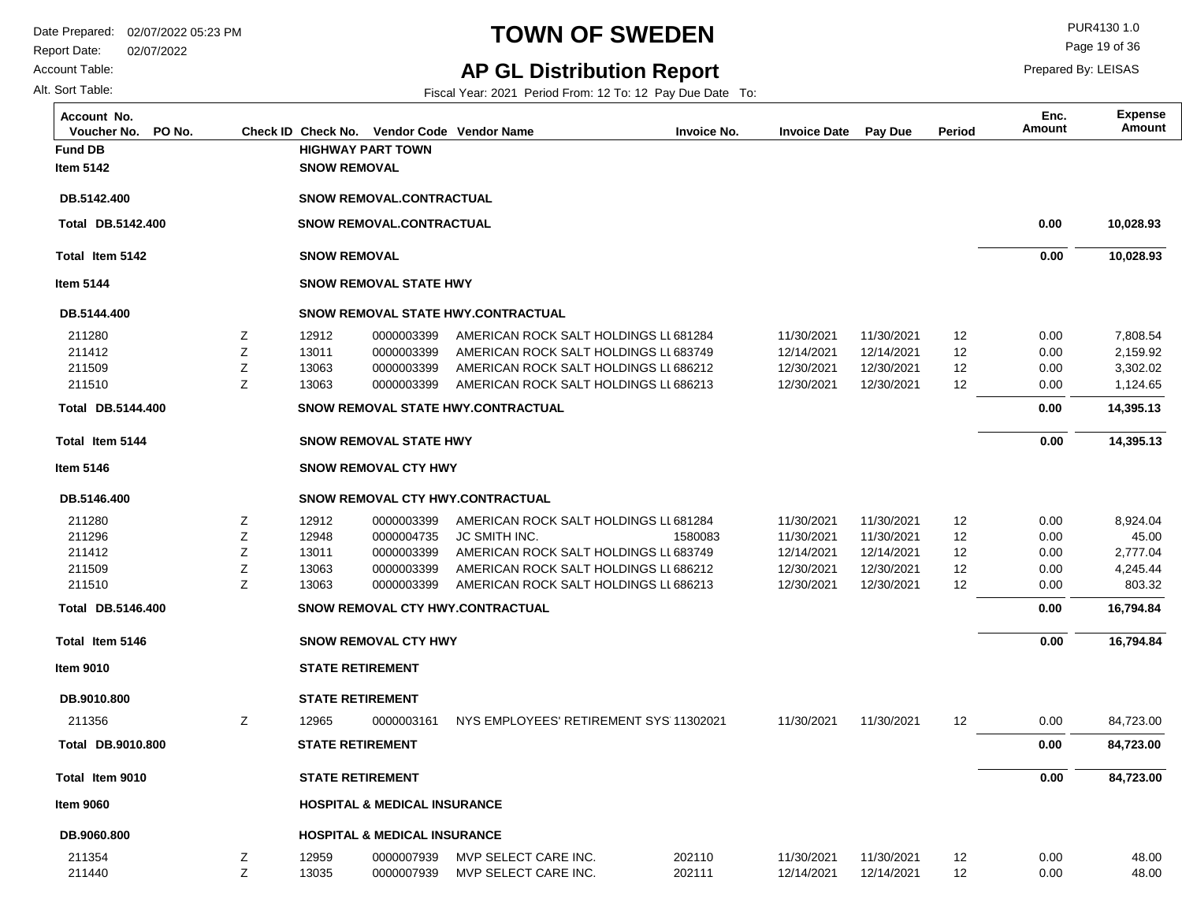**Fund DB HIGHWAY PART TOWN**

Z Z Z Z

Z Z Z Z Z

**SNOW REMOVAL**

**SNOW REMOVAL**

**SNOW REMOVAL STATE HWY**

**SNOW REMOVAL.CONTRACTUAL**

**SNOW REMOVAL.CONTRACTUAL**

0000003399 0000003399 0000003399 0000003399

**SNOW REMOVAL STATE HWY.CONTRACTUAL**

**SNOW REMOVAL STATE HWY.CONTRACTUAL**

**SNOW REMOVAL CTY HWY**

**SNOW REMOVAL STATE HWY**

**SNOW REMOVAL CTY HWY.CONTRACTUAL**

**SNOW REMOVAL CTY HWY.CONTRACTUAL**

JC SMITH INC.

**STATE RETIREMENT**

**SNOW REMOVAL CTY HWY**

Report Date: 02/07/2022

**Total Item 5142**

**DB.5142.400 Total** 

**Total Item 5144**

**DB.5144.400 Total** 

**Item 5146**

**DB.5146.400**

**Total Item 5146**

**DB.5146.400 Total** 

**Item 9010**

#### Account Table:

Alt. Sort Table:

**Item 5142**

**DB.5142.400**

**Item 5144**

**DB.5144.400**

### **TOWN OF SWEDEN** PUR4130 1.0

#### **AP GL Distribution Report**

Fiscal Year: 2021 Period From: 12 To: 12 Pay Due Date To:

**Voucher No. PO No. Check ID Check No. Vendor Code Invoice No. Invoice Date Pay Due Period Amount Vendor NameAccount No. Expense**

Page 19 of 36

Prepared By: LEISAS

**Amount Enc.**

 **10,028.93 14,395.13 16,794.84 10,028.93 14,395.13 16,794.84**  11/30/2021 12/14/2021 12/30/2021 12/30/2021 11/30/2021 11/30/2021 12/14/2021 12/30/2021 12/30/2021 11/30/2021 AMERICAN ROCK SALT HOLDINGS LL681284 AMERICAN ROCK SALT HOLDINGS LL683749 AMERICAN ROCK SALT HOLDINGS LL 686212 AMERICAN ROCK SALT HOLDINGS LL 686213 AMERICAN ROCK SALT HOLDINGS LL 681284 1580083 AMERICAN ROCK SALT HOLDINGS LL 683749 AMERICAN ROCK SALT HOLDINGS LL686212 AMERICAN ROCK SALT HOLDINGS LL 686213 11302021 12 12 12 12 12 12 12 12 12 12 11/30/2021 12/14/2021 12/30/2021 12/30/2021 11/30/2021 11/30/2021 12/14/2021 12/30/2021 12/30/2021 11/30/2021 7,808.54 2,159.92 3,302.02 1,124.65 8,924.04 45.00 2,777.04 4,245.44 803.32 84,723.00 0.00 0.00 0.00 0.00 0.00 0.00 0.00 0.00 0.00 0.00  **0.00 0.00 0.00 0.00 0.00 0.00** 

| DB.9010.800       | <b>STATE RETIREMENT</b> |                                         |                                              |                  |                          |                          |          |              |                |
|-------------------|-------------------------|-----------------------------------------|----------------------------------------------|------------------|--------------------------|--------------------------|----------|--------------|----------------|
| 211356            | 12965                   | 0000003161                              | NYS EMPLOYEES' RETIREMENT SYS 11302021       |                  | 11/30/2021               | 11/30/2021               | 12       | 0.00         | 84,723.00      |
| Total DB.9010.800 | <b>STATE RETIREMENT</b> |                                         |                                              |                  |                          |                          |          | 0.00         | 84,723.00      |
| Total Item 9010   | <b>STATE RETIREMENT</b> |                                         |                                              |                  |                          |                          |          | 0.00         | 84,723.00      |
| <b>Item 9060</b>  |                         | <b>HOSPITAL &amp; MEDICAL INSURANCE</b> |                                              |                  |                          |                          |          |              |                |
| DB.9060.800       |                         | <b>HOSPITAL &amp; MEDICAL INSURANCE</b> |                                              |                  |                          |                          |          |              |                |
| 211354<br>211440  | 12959<br>13035          | 0000007939<br>0000007939                | MVP SELECT CARE INC.<br>MVP SELECT CARE INC. | 202110<br>202111 | 11/30/2021<br>12/14/2021 | 11/30/2021<br>12/14/2021 | 12<br>12 | 0.00<br>0.00 | 48.00<br>48.00 |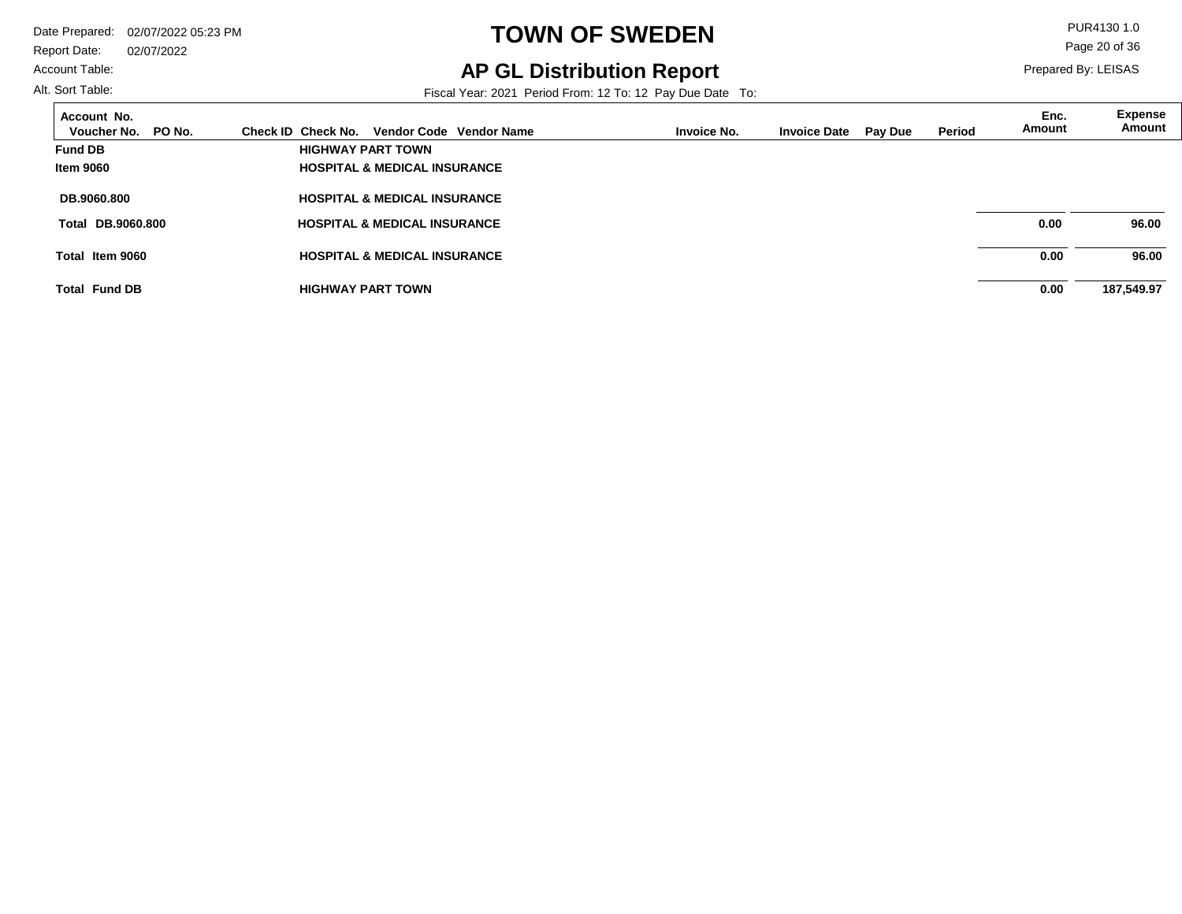Report Date: 02/07/2022

#### Account Table:

# **TOWN OF SWEDEN** PUR4130 1.0

**AP GL Distribution Report**

Prepared By: LEISAS

Page 20 of 36

Fiscal Year: 2021 Period From: 12 To: 12 Pay Due Date To:

| Account No.<br>PO No.<br>Voucher No. | Check ID Check No.<br>Vendor Code Vendor Name | Invoice No. | <b>Invoice Date</b> | <b>Pay Due</b> | Period | Enc.<br>Amount | <b>Expense</b><br>Amount |
|--------------------------------------|-----------------------------------------------|-------------|---------------------|----------------|--------|----------------|--------------------------|
| <b>Fund DB</b>                       | <b>HIGHWAY PART TOWN</b>                      |             |                     |                |        |                |                          |
| <b>Item 9060</b>                     | <b>HOSPITAL &amp; MEDICAL INSURANCE</b>       |             |                     |                |        |                |                          |
| <b>DB.9060.800</b>                   | <b>HOSPITAL &amp; MEDICAL INSURANCE</b>       |             |                     |                |        |                |                          |
| <b>Total DB.9060.800</b>             | <b>HOSPITAL &amp; MEDICAL INSURANCE</b>       |             |                     |                |        | 0.00           | 96.00                    |
| Total Item 9060                      | <b>HOSPITAL &amp; MEDICAL INSURANCE</b>       |             |                     |                |        | 0.00           | 96.00                    |
| <b>Total Fund DB</b>                 | <b>HIGHWAY PART TOWN</b>                      |             |                     |                |        | 0.00           | 187,549.97               |

Alt. Sort Table:

 $\overline{a}$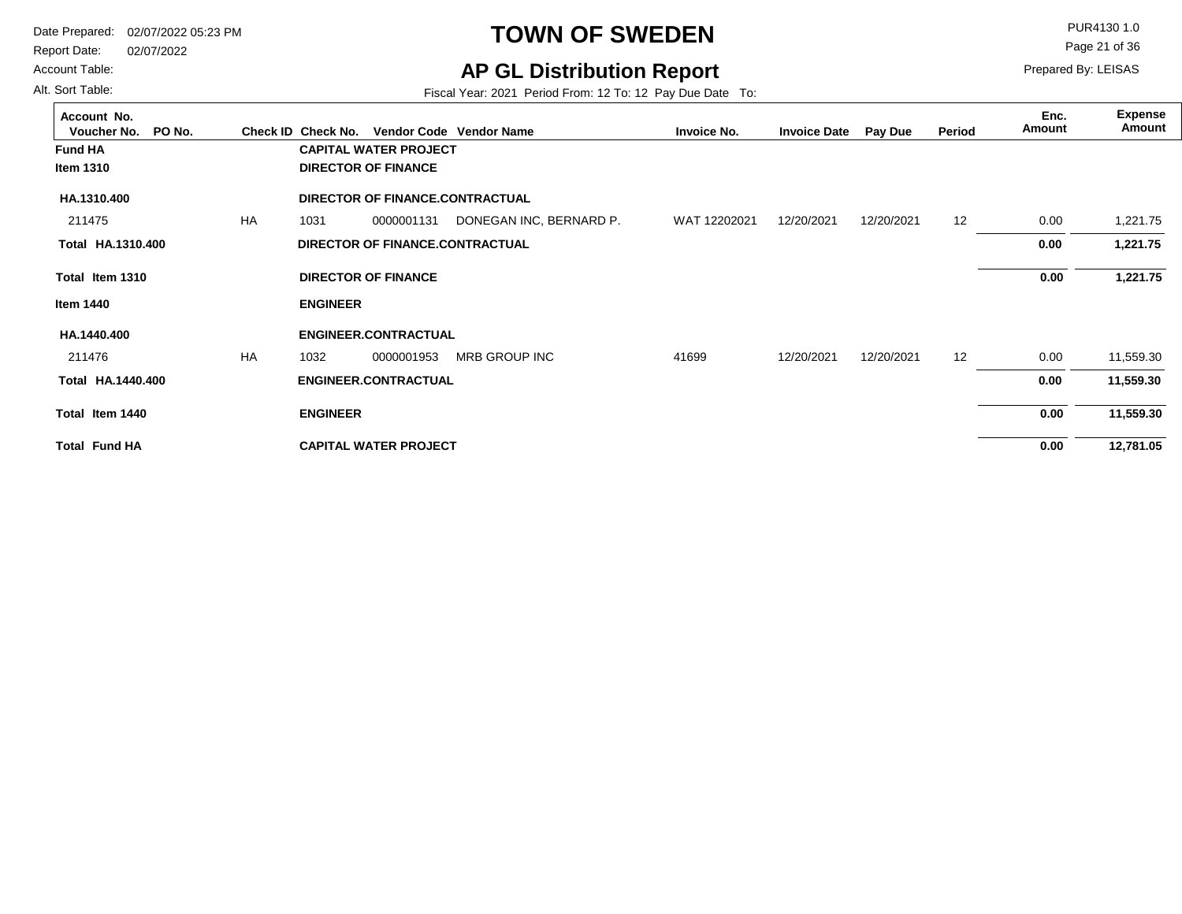Report Date: 02/07/2022

#### Account Table:

Alt. Sort Table:

 $\Box$ 

# **TOWN OF SWEDEN** PUR4130 1.0

**AP GL Distribution Report**

Page 21 of 36

Prepared By: LEISAS

Fiscal Year: 2021 Period From: 12 To: 12 Pay Due Date To:

| Account No.<br>PO No.<br>Voucher No. |           | Check ID Check No. |                                 | Vendor Code Vendor Name | <b>Invoice No.</b> | <b>Invoice Date</b> | Pay Due    | Period | Enc.<br>Amount | <b>Expense</b><br>Amount |
|--------------------------------------|-----------|--------------------|---------------------------------|-------------------------|--------------------|---------------------|------------|--------|----------------|--------------------------|
| <b>Fund HA</b>                       |           |                    | <b>CAPITAL WATER PROJECT</b>    |                         |                    |                     |            |        |                |                          |
| Item 1310                            |           |                    | <b>DIRECTOR OF FINANCE</b>      |                         |                    |                     |            |        |                |                          |
| HA.1310.400                          |           |                    | DIRECTOR OF FINANCE.CONTRACTUAL |                         |                    |                     |            |        |                |                          |
| 211475                               | <b>HA</b> | 1031               | 0000001131                      | DONEGAN INC, BERNARD P. | WAT 12202021       | 12/20/2021          | 12/20/2021 | 12     | 0.00           | 1,221.75                 |
| Total HA.1310.400                    |           |                    | DIRECTOR OF FINANCE.CONTRACTUAL |                         |                    |                     |            |        | 0.00           | 1,221.75                 |
| Total Item 1310                      |           |                    | <b>DIRECTOR OF FINANCE</b>      |                         |                    |                     |            |        | 0.00           | 1,221.75                 |
| Item 1440                            |           | <b>ENGINEER</b>    |                                 |                         |                    |                     |            |        |                |                          |
| HA.1440.400                          |           |                    | <b>ENGINEER.CONTRACTUAL</b>     |                         |                    |                     |            |        |                |                          |
| 211476                               | <b>HA</b> | 1032               | 0000001953                      | <b>MRB GROUP INC</b>    | 41699              | 12/20/2021          | 12/20/2021 | 12     | 0.00           | 11,559.30                |
| Total HA.1440.400                    |           |                    | <b>ENGINEER.CONTRACTUAL</b>     |                         |                    |                     |            |        | 0.00           | 11,559.30                |
| Total Item 1440                      |           | <b>ENGINEER</b>    |                                 |                         |                    |                     |            |        | 0.00           | 11,559.30                |
| <b>Total Fund HA</b>                 |           |                    | <b>CAPITAL WATER PROJECT</b>    |                         |                    |                     |            |        | 0.00           | 12,781.05                |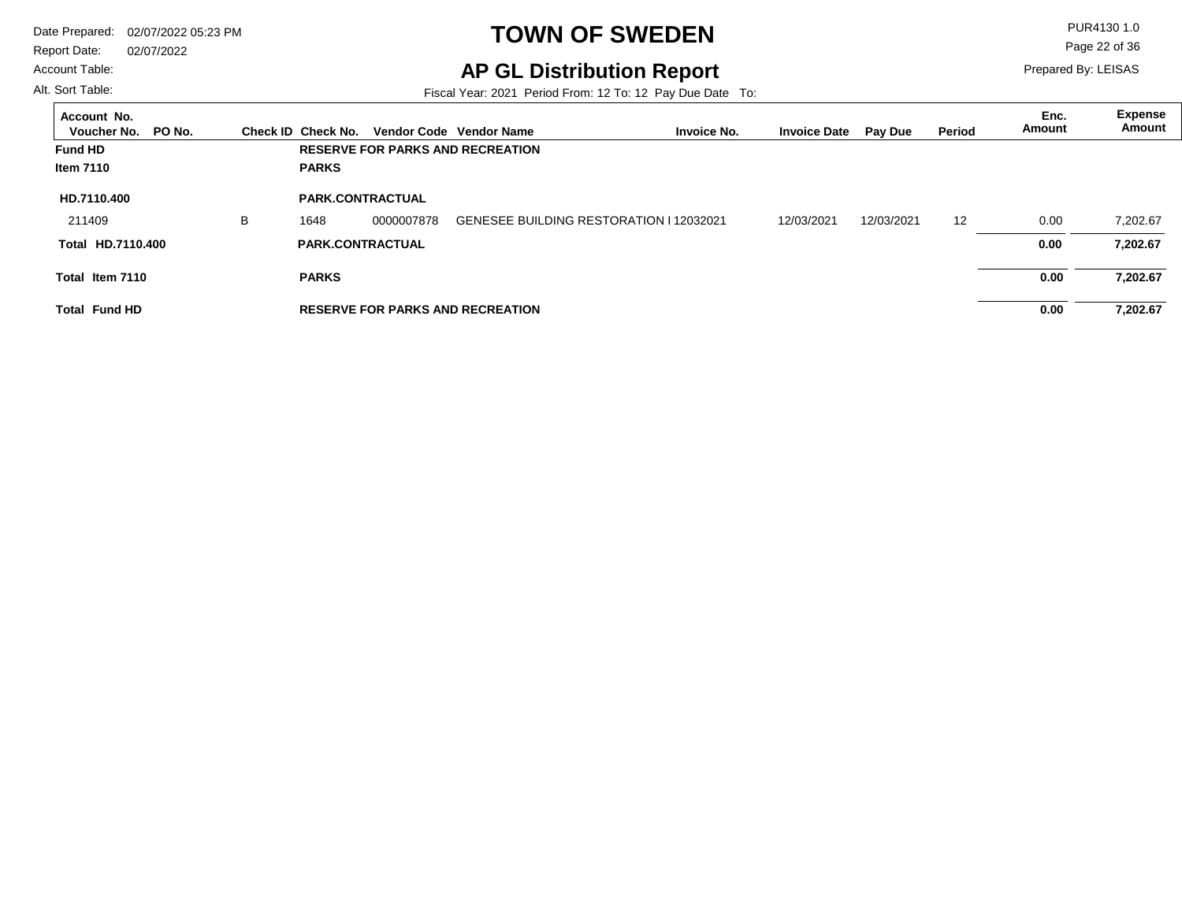Report Date: 02/07/2022

#### Account Table:

Alt. Sort Table:

 $\overline{a}$ 

# **TOWN OF SWEDEN** PUR4130 1.0

**AP GL Distribution Report**

Prepared By: LEISAS Page 22 of 36

Fiscal Year: 2021 Period From: 12 To: 12 Pay Due Date To:

| Account No.<br>PO No.<br>Voucher No. |   | Check ID Check No.      |            | Vendor Code Vendor Name                 |                                                | <b>Invoice No.</b> | <b>Invoice Date</b> | <b>Pay Due</b> | Period            | Enc.<br>Amount | Expense<br>Amount |
|--------------------------------------|---|-------------------------|------------|-----------------------------------------|------------------------------------------------|--------------------|---------------------|----------------|-------------------|----------------|-------------------|
| <b>Fund HD</b>                       |   |                         |            | <b>RESERVE FOR PARKS AND RECREATION</b> |                                                |                    |                     |                |                   |                |                   |
| Item 7110                            |   | <b>PARKS</b>            |            |                                         |                                                |                    |                     |                |                   |                |                   |
| HD.7110.400                          |   | <b>PARK.CONTRACTUAL</b> |            |                                         |                                                |                    |                     |                |                   |                |                   |
| 211409                               | в | 1648                    | 0000007878 |                                         | <b>GENESEE BUILDING RESTORATION I 12032021</b> |                    | 12/03/2021          | 12/03/2021     | $12 \overline{ }$ | 0.00           | 7.202.67          |
| Total HD.7110.400                    |   | <b>PARK.CONTRACTUAL</b> |            |                                         |                                                |                    |                     |                |                   | 0.00           | 7,202.67          |
| Total Item 7110                      |   | <b>PARKS</b>            |            |                                         |                                                |                    |                     |                |                   | 0.00           | 7,202.67          |
| <b>Total Fund HD</b>                 |   |                         |            | <b>RESERVE FOR PARKS AND RECREATION</b> |                                                |                    |                     |                |                   | 0.00           | 7.202.67          |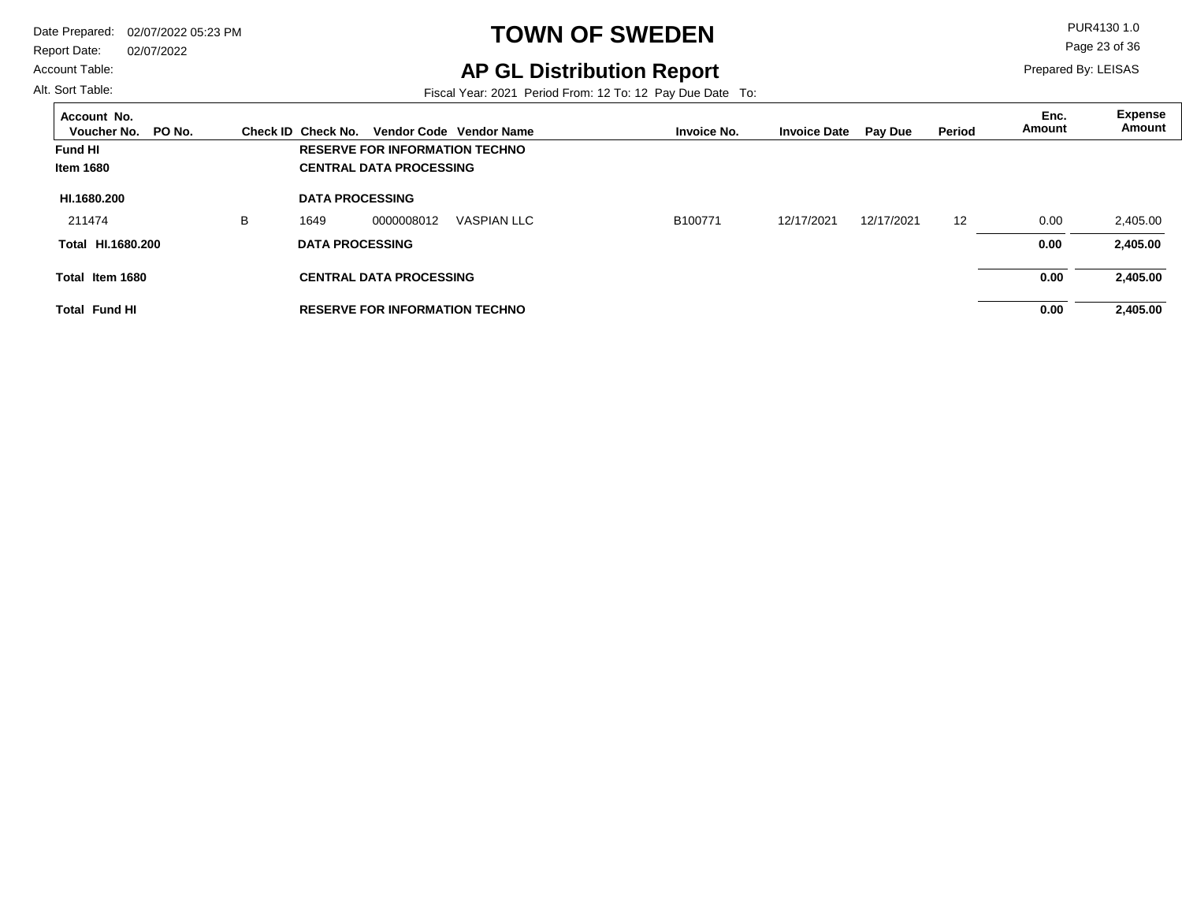Report Date: 02/07/2022

#### Account Table:

# **TOWN OF SWEDEN** PUR4130 1.0

**AP GL Distribution Report**

Fiscal Year: 2021 Period From: 12 To: 12 Pay Due Date To:

Page 23 of 36

Prepared By: LEISAS

| Account No.<br>PO No.<br>Voucher No. |   | Check ID Check No.     |                                       | Vendor Code Vendor Name | <b>Invoice No.</b> | <b>Invoice Date</b> | <b>Pay Due</b> | Period | Enc.<br>Amount | <b>Expense</b><br>Amount |
|--------------------------------------|---|------------------------|---------------------------------------|-------------------------|--------------------|---------------------|----------------|--------|----------------|--------------------------|
| <b>Fund HI</b>                       |   |                        | <b>RESERVE FOR INFORMATION TECHNO</b> |                         |                    |                     |                |        |                |                          |
| <b>Item 1680</b>                     |   |                        | <b>CENTRAL DATA PROCESSING</b>        |                         |                    |                     |                |        |                |                          |
| HI.1680.200                          |   | <b>DATA PROCESSING</b> |                                       |                         |                    |                     |                |        |                |                          |
| 211474                               | B | 1649                   | 0000008012                            | <b>VASPIAN LLC</b>      | B100771            | 12/17/2021          | 12/17/2021     | 12     | 0.00           | 2,405.00                 |
| HI.1680.200<br>Total                 |   | <b>DATA PROCESSING</b> |                                       |                         |                    |                     |                |        | 0.00           | 2,405.00                 |
| Total Item 1680                      |   |                        | <b>CENTRAL DATA PROCESSING</b>        |                         |                    |                     |                |        | 0.00           | 2,405.00                 |
| <b>Total Fund HI</b>                 |   |                        | <b>RESERVE FOR INFORMATION TECHNO</b> |                         |                    |                     |                |        | 0.00           | 2,405.00                 |

Alt. Sort Table: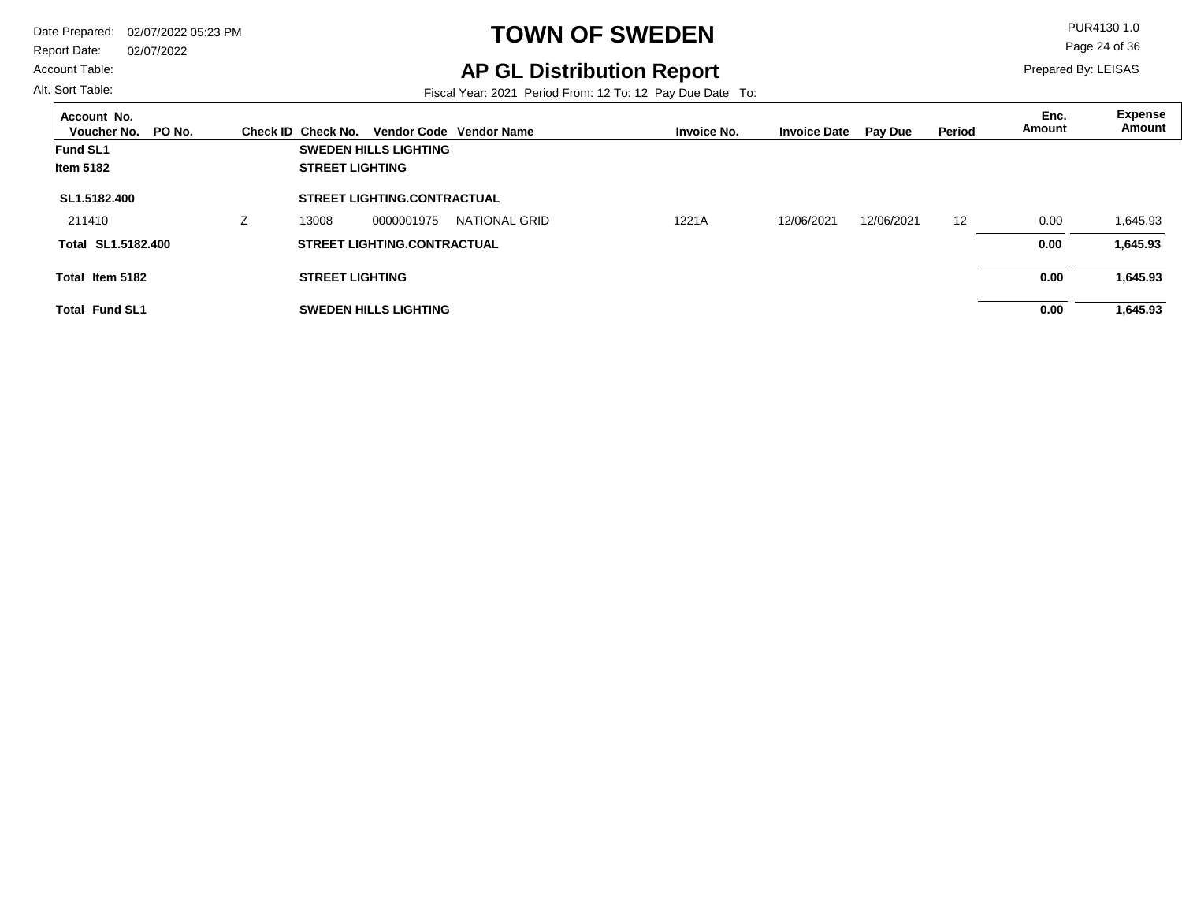Report Date: 02/07/2022

#### Account Table:

Alt. Sort Table:

# **TOWN OF SWEDEN** PUR4130 1.0

## **AP GL Distribution Report**

Fiscal Year: 2021 Period From: 12 To: 12 Pay Due Date To:

Page 24 of 36

| Account No.<br>PO No.<br>Voucher No. |   | Check ID Check No.     |                                    | Vendor Code Vendor Name | <b>Invoice No.</b> | <b>Invoice Date</b> | <b>Pay Due</b> | Period | Enc.<br>Amount | <b>Expense</b><br>Amount |
|--------------------------------------|---|------------------------|------------------------------------|-------------------------|--------------------|---------------------|----------------|--------|----------------|--------------------------|
| <b>Fund SL1</b>                      |   |                        | <b>SWEDEN HILLS LIGHTING</b>       |                         |                    |                     |                |        |                |                          |
| <b>Item 5182</b>                     |   | <b>STREET LIGHTING</b> |                                    |                         |                    |                     |                |        |                |                          |
| SL1.5182.400                         |   |                        | <b>STREET LIGHTING.CONTRACTUAL</b> |                         |                    |                     |                |        |                |                          |
| 211410                               | z | 13008                  | 0000001975                         | NATIONAL GRID           | 1221A              | 12/06/2021          | 12/06/2021     | 12     | 0.00           | 1,645.93                 |
| Total SL1.5182.400                   |   |                        | <b>STREET LIGHTING.CONTRACTUAL</b> |                         |                    |                     |                |        | 0.00           | 1,645.93                 |
| Total Item 5182                      |   | <b>STREET LIGHTING</b> |                                    |                         |                    |                     |                |        | 0.00           | 1,645.93                 |
| <b>Total Fund SL1</b>                |   |                        | <b>SWEDEN HILLS LIGHTING</b>       |                         |                    |                     |                |        | 0.00           | 1,645.93                 |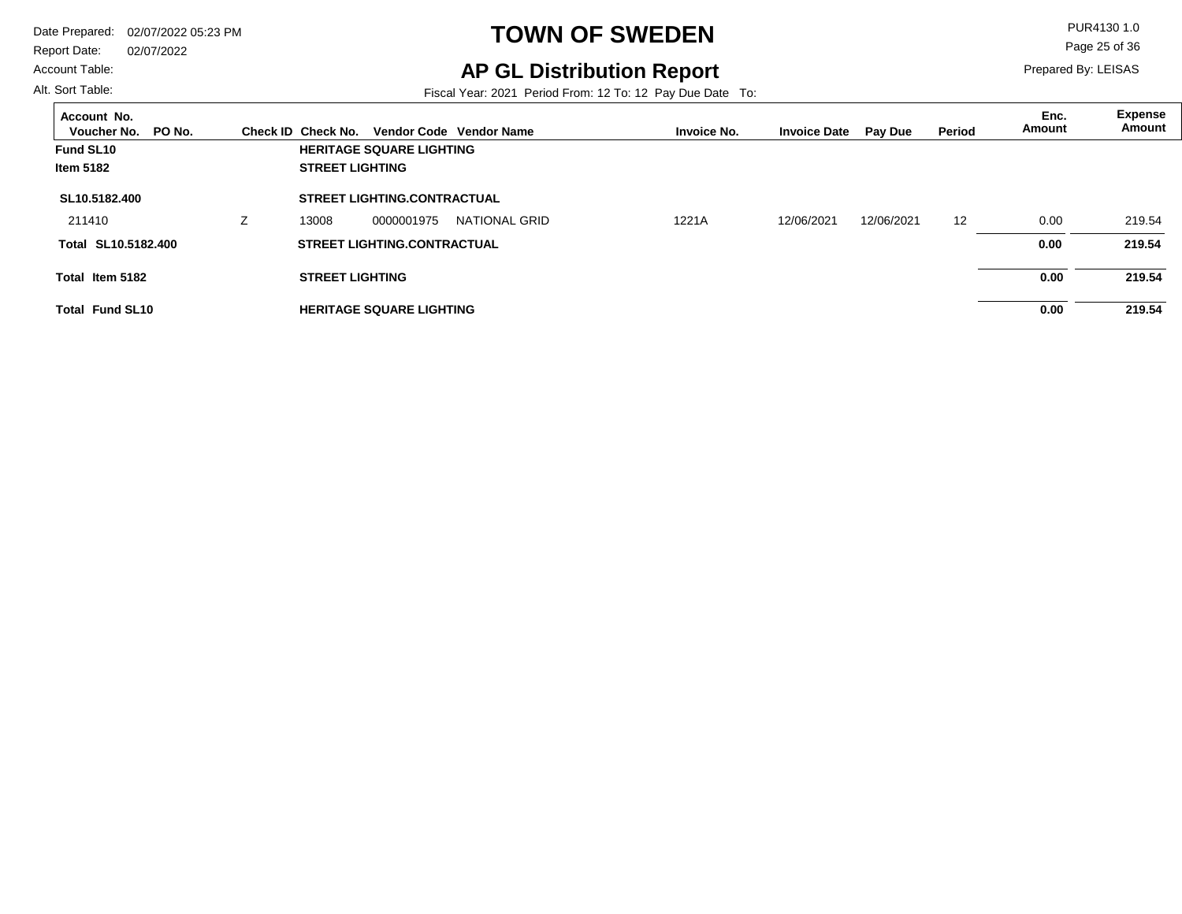Report Date: 02/07/2022

#### Account Table:

Alt. Sort Table:

# **TOWN OF SWEDEN** PUR4130 1.0

## **AP GL Distribution Report**

Fiscal Year: 2021 Period From: 12 To: 12 Pay Due Date To:

Page 25 of 36

| Account No.<br>PO No.<br>Voucher No. |   | Check ID Check No.     |                                    | Vendor Code Vendor Name | <b>Invoice No.</b> | <b>Invoice Date</b> | Pay Due    | <b>Period</b> | Enc.<br>Amount | <b>Expense</b><br>Amount |
|--------------------------------------|---|------------------------|------------------------------------|-------------------------|--------------------|---------------------|------------|---------------|----------------|--------------------------|
| Fund SL10                            |   |                        | <b>HERITAGE SQUARE LIGHTING</b>    |                         |                    |                     |            |               |                |                          |
| <b>Item 5182</b>                     |   | <b>STREET LIGHTING</b> |                                    |                         |                    |                     |            |               |                |                          |
| SL10.5182.400                        |   |                        | <b>STREET LIGHTING.CONTRACTUAL</b> |                         |                    |                     |            |               |                |                          |
| 211410                               | L | 13008                  | 0000001975                         | NATIONAL GRID           | 1221A              | 12/06/2021          | 12/06/2021 | 12            | 0.00           | 219.54                   |
| Total SL10.5182.400                  |   |                        | <b>STREET LIGHTING.CONTRACTUAL</b> |                         |                    |                     |            |               | 0.00           | 219.54                   |
| Total Item 5182                      |   | <b>STREET LIGHTING</b> |                                    |                         |                    |                     |            |               | 0.00           | 219.54                   |
| <b>Total Fund SL10</b>               |   |                        | <b>HERITAGE SQUARE LIGHTING</b>    |                         |                    |                     |            |               | 0.00           | 219.54                   |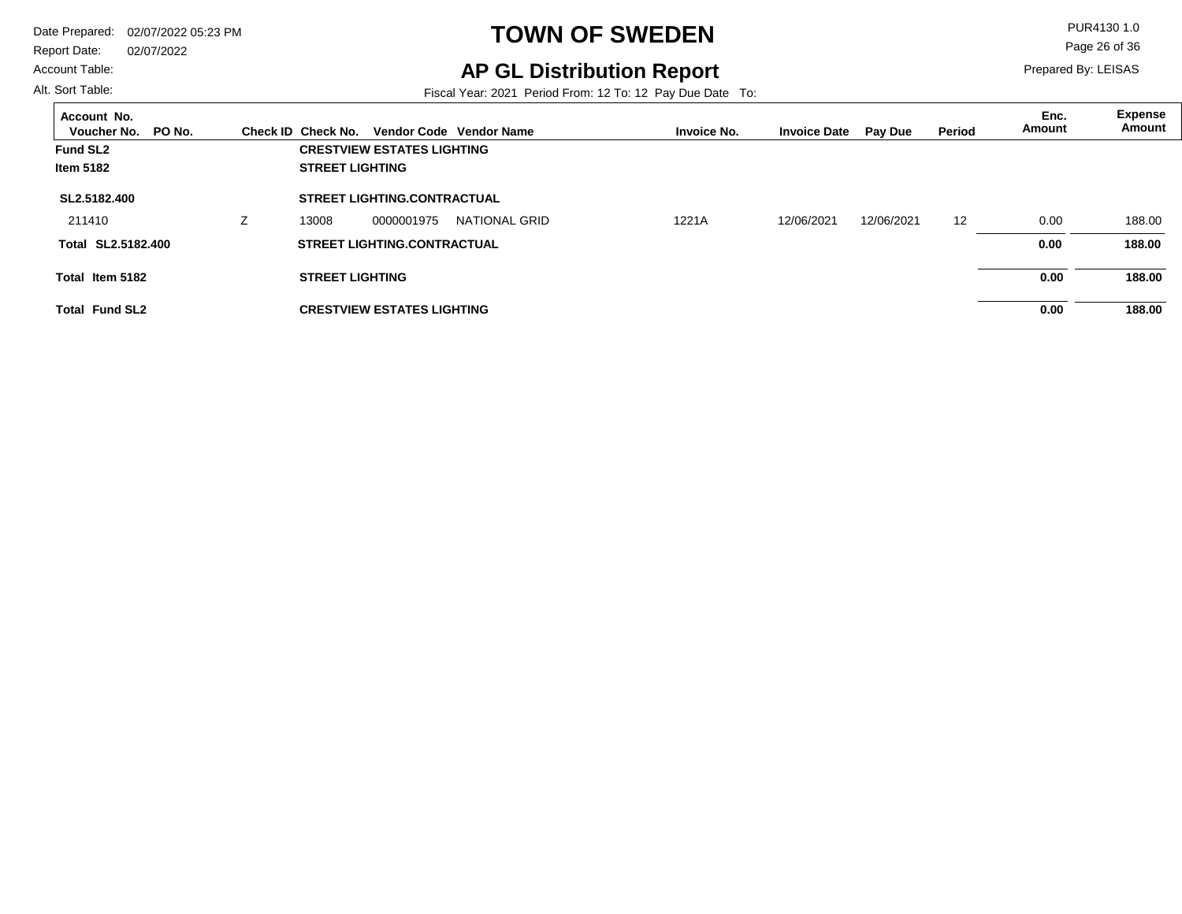Report Date: 02/07/2022

#### Account Table:

Alt. Sort Table:

# **TOWN OF SWEDEN** PUR4130 1.0

## **AP GL Distribution Report**

Fiscal Year: 2021 Period From: 12 To: 12 Pay Due Date To:

Page 26 of 36

| Account No.<br>PO No.<br>Voucher No. |   | Check ID Check No.     |                                    | Vendor Code Vendor Name | <b>Invoice No.</b> | <b>Invoice Date</b> | <b>Pay Due</b> | Period | Enc.<br>Amount | <b>Expense</b><br>Amount |
|--------------------------------------|---|------------------------|------------------------------------|-------------------------|--------------------|---------------------|----------------|--------|----------------|--------------------------|
| <b>Fund SL2</b>                      |   |                        | <b>CRESTVIEW ESTATES LIGHTING</b>  |                         |                    |                     |                |        |                |                          |
| <b>Item 5182</b>                     |   | <b>STREET LIGHTING</b> |                                    |                         |                    |                     |                |        |                |                          |
| SL2.5182.400                         |   |                        | <b>STREET LIGHTING.CONTRACTUAL</b> |                         |                    |                     |                |        |                |                          |
| 211410                               | Ζ | 13008                  | 0000001975                         | NATIONAL GRID           | 1221A              | 12/06/2021          | 12/06/2021     | 12     | 0.00           | 188.00                   |
| SL2.5182.400<br>Total                |   |                        | <b>STREET LIGHTING.CONTRACTUAL</b> |                         |                    |                     |                |        | 0.00           | 188.00                   |
| Total Item 5182                      |   | <b>STREET LIGHTING</b> |                                    |                         |                    |                     |                |        | 0.00           | 188.00                   |
| <b>Total Fund SL2</b>                |   |                        | <b>CRESTVIEW ESTATES LIGHTING</b>  |                         |                    |                     |                |        | 0.00           | 188.00                   |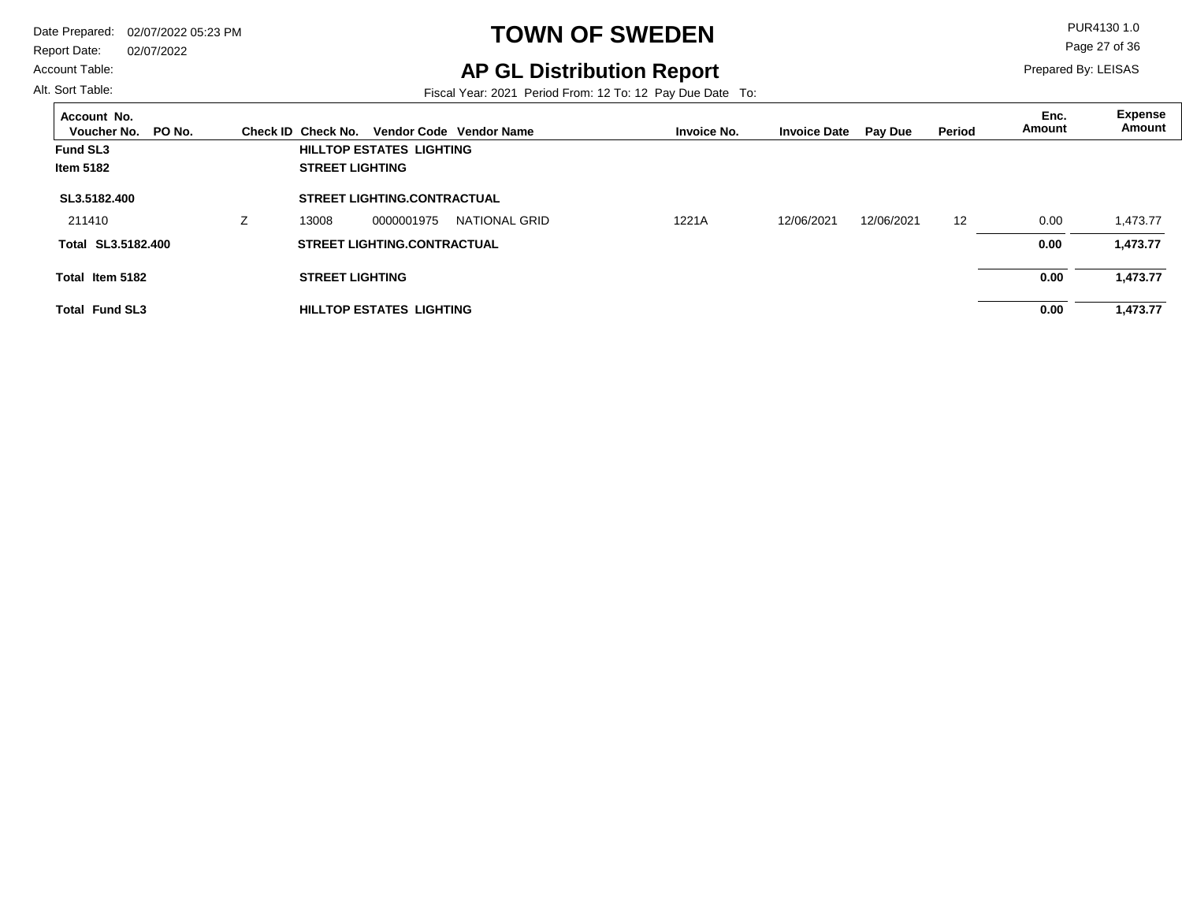Report Date: 02/07/2022

#### Account Table:

Alt. Sort Table:

# **TOWN OF SWEDEN** PUR4130 1.0

**AP GL Distribution Report**

Fiscal Year: 2021 Period From: 12 To: 12 Pay Due Date To:

Page 27 of 36

| Account No.<br>PO No.<br>Voucher No. | Check ID Check No.     |                                    | Vendor Code Vendor Name | <b>Invoice No.</b> | <b>Invoice Date</b> | <b>Pay Due</b> | <b>Period</b> | Enc.<br>Amount | <b>Expense</b><br>Amount |
|--------------------------------------|------------------------|------------------------------------|-------------------------|--------------------|---------------------|----------------|---------------|----------------|--------------------------|
| <b>Fund SL3</b>                      |                        | HILLTOP ESTATES LIGHTING           |                         |                    |                     |                |               |                |                          |
| <b>Item 5182</b>                     | <b>STREET LIGHTING</b> |                                    |                         |                    |                     |                |               |                |                          |
| SL3.5182.400                         |                        | <b>STREET LIGHTING.CONTRACTUAL</b> |                         |                    |                     |                |               |                |                          |
| 211410                               | 13008                  | 0000001975                         | NATIONAL GRID           | 1221A              | 12/06/2021          | 12/06/2021     | 12            | 0.00           | 1.473.77                 |
| Total SL3.5182.400                   |                        | <b>STREET LIGHTING.CONTRACTUAL</b> |                         |                    |                     |                |               | 0.00           | 1,473.77                 |
| Total Item 5182                      | <b>STREET LIGHTING</b> |                                    |                         |                    |                     |                |               | 0.00           | 1,473.77                 |
| <b>Total Fund SL3</b>                |                        | HILLTOP ESTATES LIGHTING           |                         |                    |                     |                |               | 0.00           | 1,473.77                 |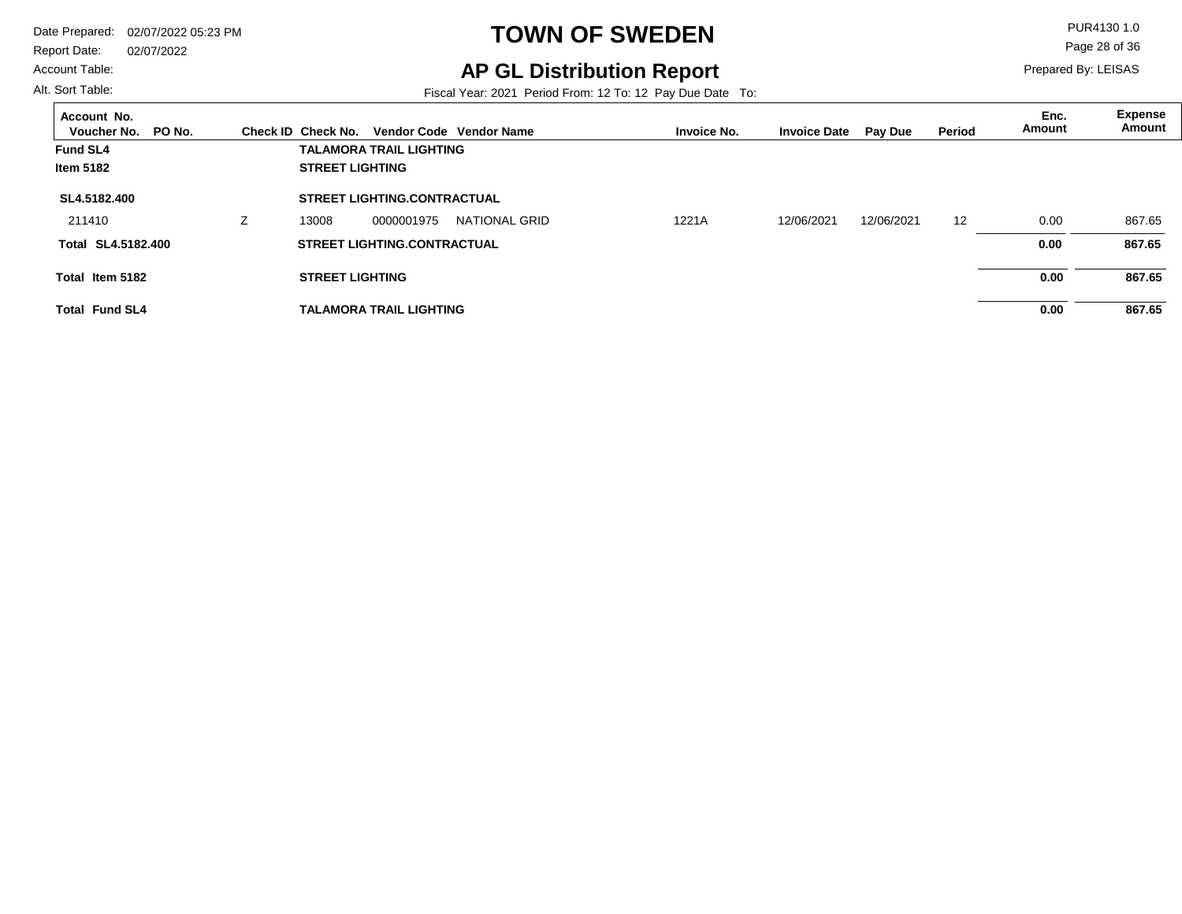Report Date: 02/07/2022

#### Account Table:

Alt. Sort Table:

# **TOWN OF SWEDEN** PUR4130 1.0

## **AP GL Distribution Report**

Fiscal Year: 2021 Period From: 12 To: 12 Pay Due Date To:

Page 28 of 36

| Account No.<br>PO No.<br>Voucher No. |    | Check ID Check No.     |                                    | Vendor Code Vendor Name | <b>Invoice No.</b> | <b>Invoice Date</b> | <b>Pay Due</b> | <b>Period</b> | Enc.<br>Amount | Expense<br>Amount |
|--------------------------------------|----|------------------------|------------------------------------|-------------------------|--------------------|---------------------|----------------|---------------|----------------|-------------------|
| <b>Fund SL4</b>                      |    |                        | <b>TALAMORA TRAIL LIGHTING</b>     |                         |                    |                     |                |               |                |                   |
| Item 5182                            |    | <b>STREET LIGHTING</b> |                                    |                         |                    |                     |                |               |                |                   |
| SL4.5182.400                         |    |                        | <b>STREET LIGHTING.CONTRACTUAL</b> |                         |                    |                     |                |               |                |                   |
| 211410                               | Z. | 13008                  | 0000001975                         | <b>NATIONAL GRID</b>    | 1221A              | 12/06/2021          | 12/06/2021     | 12            | 0.00           | 867.65            |
| Total SL4.5182.400                   |    |                        | <b>STREET LIGHTING.CONTRACTUAL</b> |                         |                    |                     |                |               | 0.00           | 867.65            |
| Total Item 5182                      |    | <b>STREET LIGHTING</b> |                                    |                         |                    |                     |                |               | 0.00           | 867.65            |
| <b>Total Fund SL4</b>                |    |                        | <b>TALAMORA TRAIL LIGHTING</b>     |                         |                    |                     |                |               | 0.00           | 867.65            |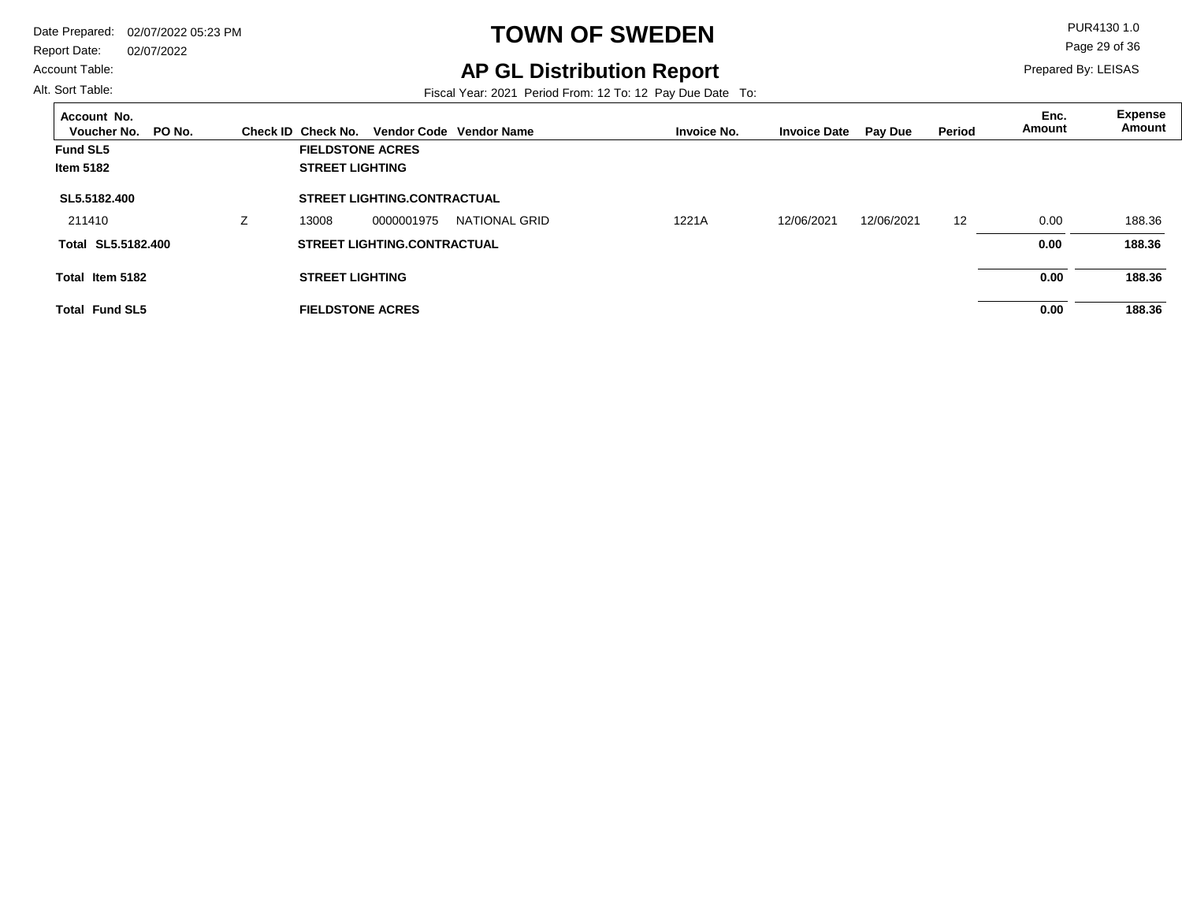Report Date: 02/07/2022

#### Account Table:

Alt. Sort Table:

# **TOWN OF SWEDEN** PUR4130 1.0

## **AP GL Distribution Report**

Fiscal Year: 2021 Period From: 12 To: 12 Pay Due Date To:

Page 29 of 36

| Account No.<br>Voucher No.<br>PO No. | Check ID Check No.     |                                    | Vendor Code Vendor Name | <b>Invoice No.</b> | <b>Invoice Date</b> | <b>Pay Due</b> | Period | Enc.<br>Amount | <b>Expense</b><br>Amount |
|--------------------------------------|------------------------|------------------------------------|-------------------------|--------------------|---------------------|----------------|--------|----------------|--------------------------|
| <b>Fund SL5</b>                      |                        | <b>FIELDSTONE ACRES</b>            |                         |                    |                     |                |        |                |                          |
| <b>Item 5182</b>                     | <b>STREET LIGHTING</b> |                                    |                         |                    |                     |                |        |                |                          |
| SL5.5182.400                         |                        | <b>STREET LIGHTING.CONTRACTUAL</b> |                         |                    |                     |                |        |                |                          |
| 211410                               | 13008                  | 0000001975                         | NATIONAL GRID           | 1221A              | 12/06/2021          | 12/06/2021     | 12     | 0.00           | 188.36                   |
| Total SL5.5182.400                   |                        | <b>STREET LIGHTING.CONTRACTUAL</b> |                         |                    |                     |                |        | 0.00           | 188.36                   |
| Total Item 5182                      | <b>STREET LIGHTING</b> |                                    |                         |                    |                     |                |        | 0.00           | 188.36                   |
| <b>Total Fund SL5</b>                |                        | <b>FIELDSTONE ACRES</b>            |                         |                    |                     |                |        | 0.00           | 188.36                   |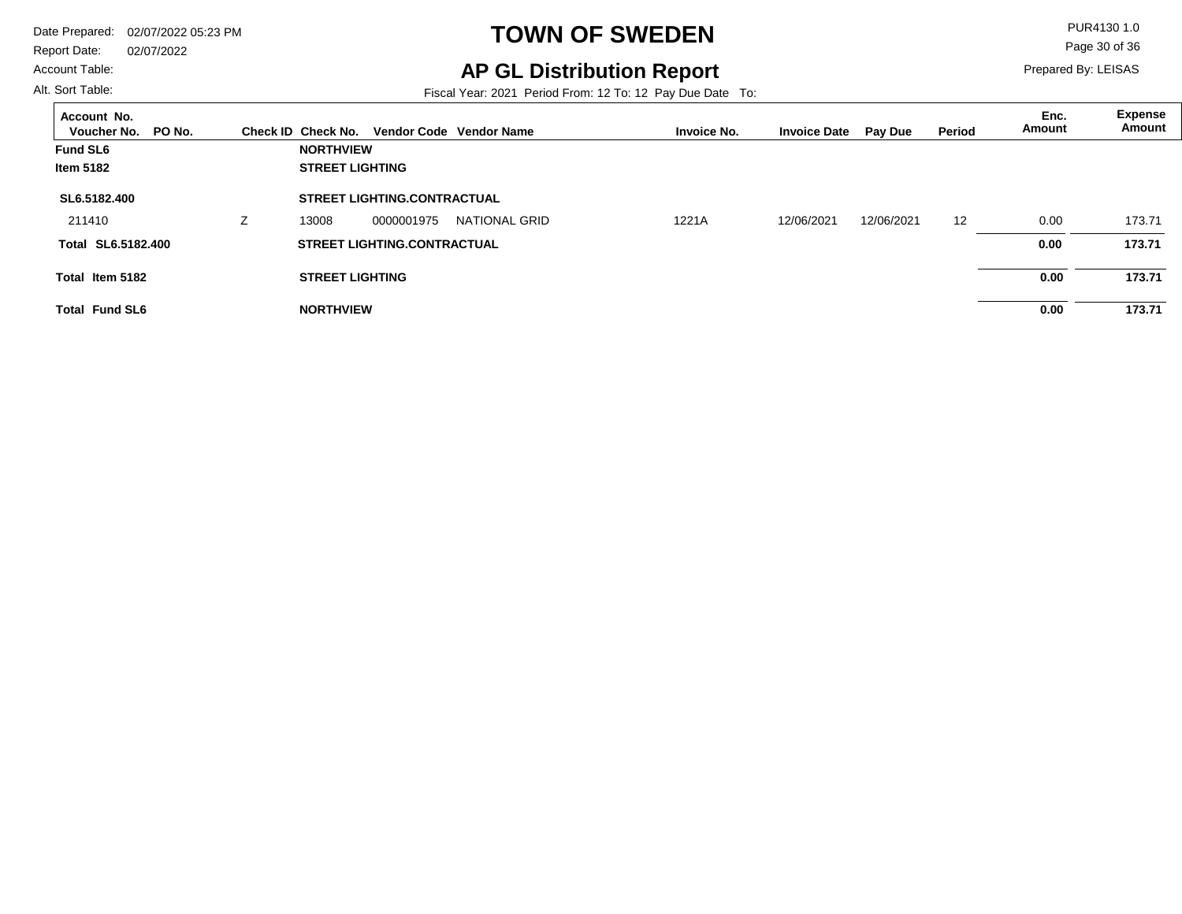Report Date: 02/07/2022

#### Account Table:

Alt. Sort Table:

 $\overline{a}$ 

# **TOWN OF SWEDEN** PUR4130 1.0

**AP GL Distribution Report**

Prepared By: LEISAS

Page 30 of 36

Fiscal Year: 2021 Period From: 12 To: 12 Pay Due Date To:

| Account No.<br>PO No.<br>Voucher No. | Check ID Check No.     |                                    | Vendor Code Vendor Name | <b>Invoice No.</b> | <b>Invoice Date</b> | <b>Pay Due</b> | Period | Enc.<br>Amount | <b>Expense</b><br>Amount |
|--------------------------------------|------------------------|------------------------------------|-------------------------|--------------------|---------------------|----------------|--------|----------------|--------------------------|
| <b>Fund SL6</b>                      | <b>NORTHVIEW</b>       |                                    |                         |                    |                     |                |        |                |                          |
| <b>Item 5182</b>                     | <b>STREET LIGHTING</b> |                                    |                         |                    |                     |                |        |                |                          |
| SL6.5182.400                         |                        | <b>STREET LIGHTING.CONTRACTUAL</b> |                         |                    |                     |                |        |                |                          |
| 211410                               | 13008                  | 0000001975                         | NATIONAL GRID           | 1221A              | 12/06/2021          | 12/06/2021     | 12     | 0.00           | 173.71                   |
| Total SL6.5182.400                   |                        | <b>STREET LIGHTING.CONTRACTUAL</b> |                         |                    |                     |                |        | 0.00           | 173.71                   |
| Total Item 5182                      | <b>STREET LIGHTING</b> |                                    |                         |                    |                     |                |        | 0.00           | 173.71                   |
| <b>Total Fund SL6</b>                | <b>NORTHVIEW</b>       |                                    |                         |                    |                     |                |        | 0.00           | 173.71                   |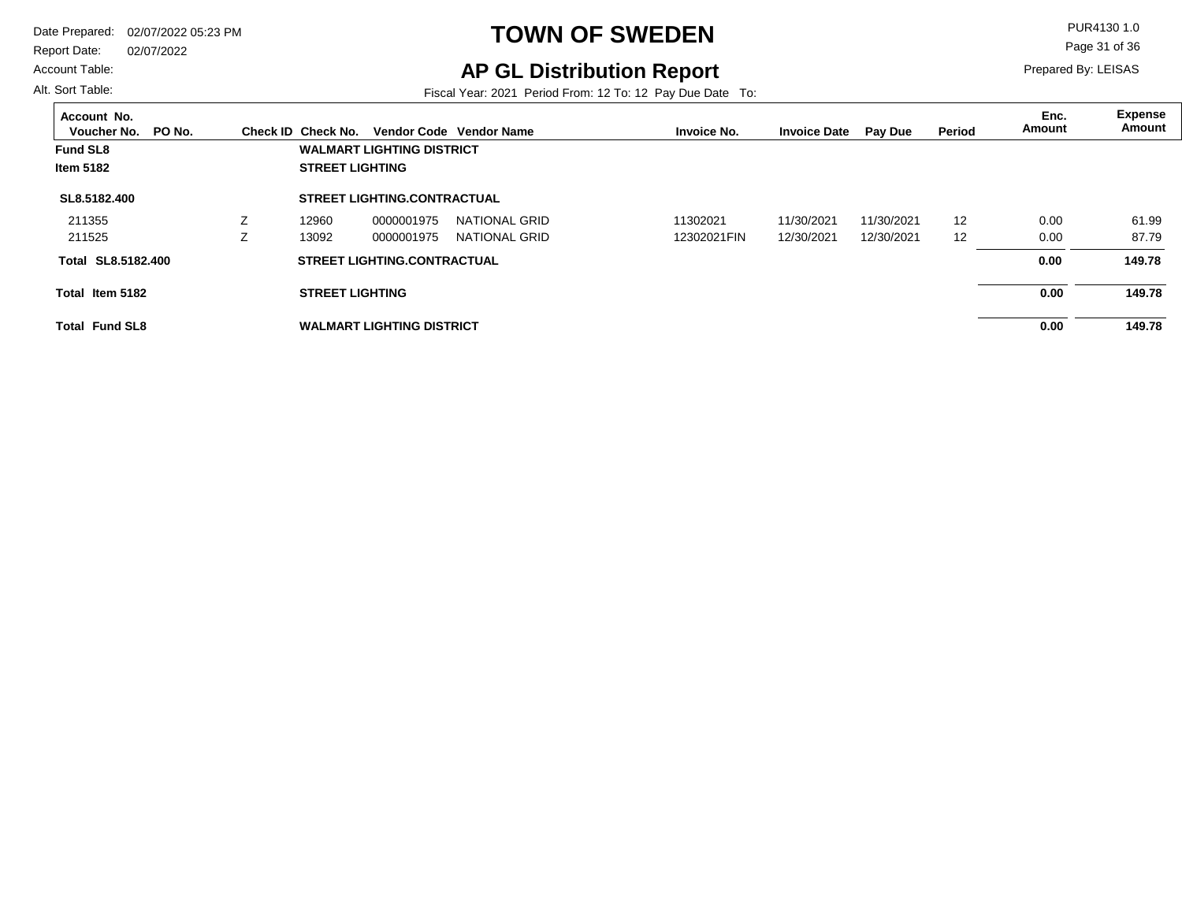Report Date: 02/07/2022

Account Table:

Alt. Sort Table:

# **TOWN OF SWEDEN** PUR4130 1.0

## **AP GL Distribution Report**

Fiscal Year: 2021 Period From: 12 To: 12 Pay Due Date To:

Page 31 of 36

| Account No.<br>PO No.<br>Voucher No. | Check ID Check No.     |                                    | Vendor Code Vendor Name | <b>Invoice No.</b> | <b>Invoice Date</b> | <b>Pay Due</b> | Period | Enc.<br>Amount | <b>Expense</b><br>Amount |
|--------------------------------------|------------------------|------------------------------------|-------------------------|--------------------|---------------------|----------------|--------|----------------|--------------------------|
| <b>Fund SL8</b>                      |                        | <b>WALMART LIGHTING DISTRICT</b>   |                         |                    |                     |                |        |                |                          |
| <b>Item 5182</b>                     | <b>STREET LIGHTING</b> |                                    |                         |                    |                     |                |        |                |                          |
| SL8.5182.400                         |                        | <b>STREET LIGHTING.CONTRACTUAL</b> |                         |                    |                     |                |        |                |                          |
| 211355                               | 12960                  | 0000001975                         | NATIONAL GRID           | 11302021           | 11/30/2021          | 11/30/2021     | 12     | 0.00           | 61.99                    |
| 211525                               | 13092                  | 0000001975                         | NATIONAL GRID           | 12302021FIN        | 12/30/2021          | 12/30/2021     | 12     | 0.00           | 87.79                    |
| SL8.5182.400<br>Total                |                        | <b>STREET LIGHTING.CONTRACTUAL</b> |                         |                    |                     |                |        | 0.00           | 149.78                   |
| Total Item 5182                      | <b>STREET LIGHTING</b> |                                    |                         |                    |                     |                |        | 0.00           | 149.78                   |
| <b>Total Fund SL8</b>                |                        | <b>WALMART LIGHTING DISTRICT</b>   |                         |                    |                     |                |        | 0.00           | 149.78                   |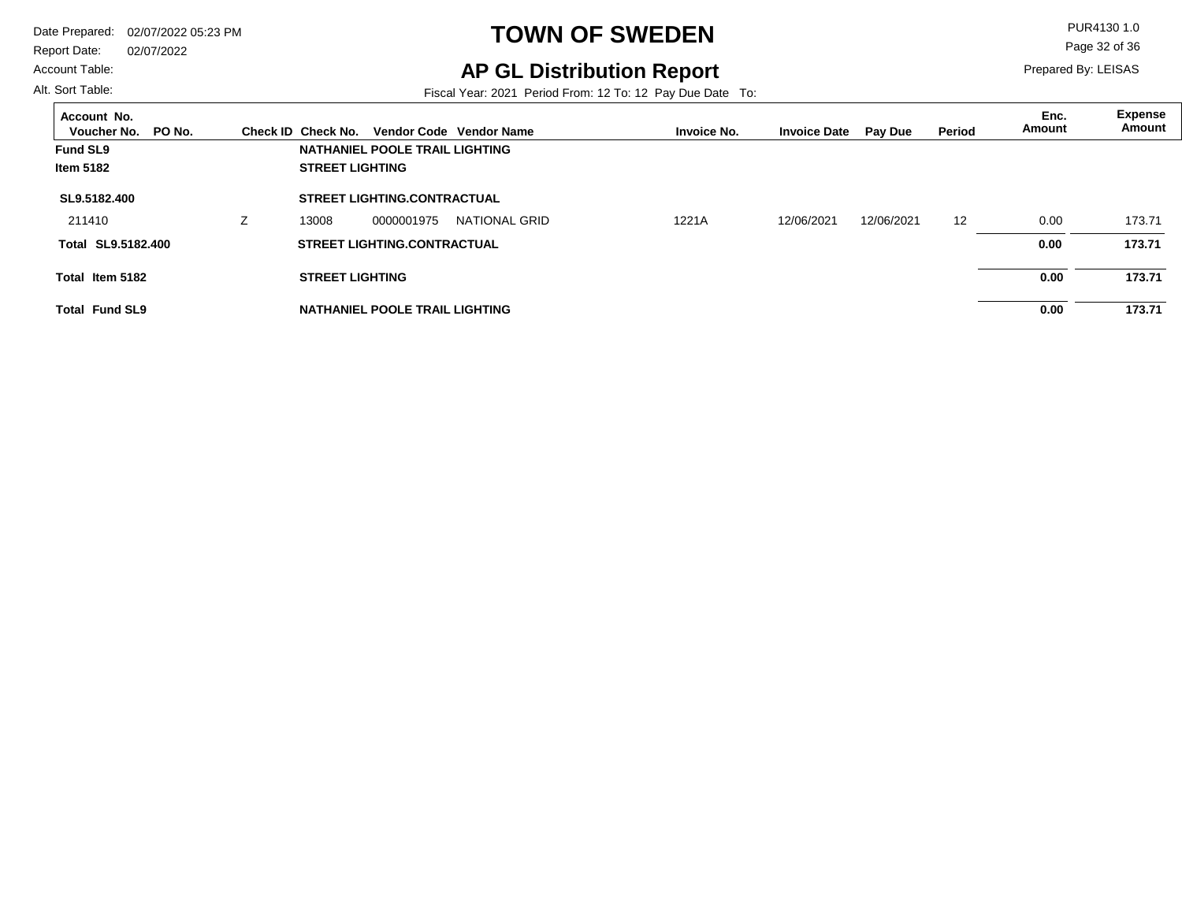Report Date: 02/07/2022

#### Account Table:

Alt. Sort Table:

# **TOWN OF SWEDEN** PUR4130 1.0

## **AP GL Distribution Report**

Fiscal Year: 2021 Period From: 12 To: 12 Pay Due Date To:

Page 32 of 36

| Account No.<br>PO No.<br>Voucher No. | Check ID Check No.     |                                    | Vendor Code Vendor Name | <b>Invoice No.</b> | <b>Invoice Date</b> | <b>Pay Due</b> | Period | Enc.<br>Amount | <b>Expense</b><br>Amount |
|--------------------------------------|------------------------|------------------------------------|-------------------------|--------------------|---------------------|----------------|--------|----------------|--------------------------|
| <b>Fund SL9</b>                      |                        | NATHANIEL POOLE TRAIL LIGHTING     |                         |                    |                     |                |        |                |                          |
| <b>Item 5182</b>                     | <b>STREET LIGHTING</b> |                                    |                         |                    |                     |                |        |                |                          |
| SL9.5182.400                         |                        | <b>STREET LIGHTING.CONTRACTUAL</b> |                         |                    |                     |                |        |                |                          |
| 211410                               | 13008                  | 0000001975                         | NATIONAL GRID           | 1221A              | 12/06/2021          | 12/06/2021     | 12     | 0.00           | 173.71                   |
| Total SL9.5182.400                   |                        | <b>STREET LIGHTING.CONTRACTUAL</b> |                         |                    |                     |                |        | 0.00           | 173.71                   |
| Total Item 5182                      | <b>STREET LIGHTING</b> |                                    |                         |                    |                     |                |        | 0.00           | 173.71                   |
| <b>Total Fund SL9</b>                |                        | NATHANIEL POOLE TRAIL LIGHTING     |                         |                    |                     |                |        | 0.00           | 173.71                   |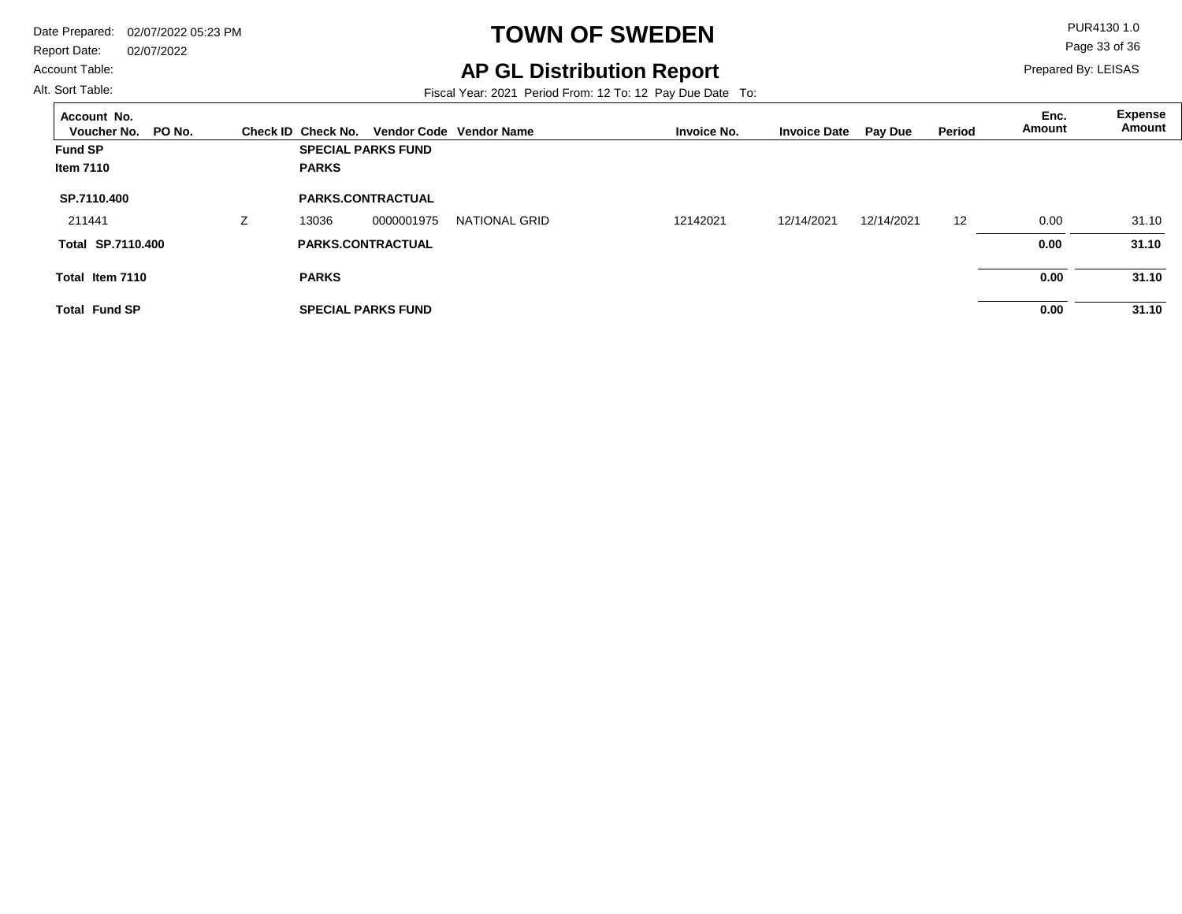Report Date: 02/07/2022

#### Account Table:

Alt. Sort Table:

# **TOWN OF SWEDEN** PUR4130 1.0

## **AP GL Distribution Report**

Fiscal Year: 2021 Period From: 12 To: 12 Pay Due Date To:

Page 33 of 36

| Account No.<br>Voucher No.<br>PO No. |   | Check ID Check No.       |                           | Vendor Code Vendor Name |          | <b>Invoice No.</b> | <b>Invoice Date</b> | <b>Pay Due</b> | <b>Period</b> | Enc.<br>Amount | Expense<br>Amount |
|--------------------------------------|---|--------------------------|---------------------------|-------------------------|----------|--------------------|---------------------|----------------|---------------|----------------|-------------------|
| <b>Fund SP</b>                       |   |                          | <b>SPECIAL PARKS FUND</b> |                         |          |                    |                     |                |               |                |                   |
| Item 7110                            |   | <b>PARKS</b>             |                           |                         |          |                    |                     |                |               |                |                   |
| SP.7110.400                          |   | <b>PARKS.CONTRACTUAL</b> |                           |                         |          |                    |                     |                |               |                |                   |
| 211441                               | Z | 13036                    | 0000001975                | <b>NATIONAL GRID</b>    | 12142021 |                    | 12/14/2021          | 12/14/2021     | 12            | 0.00           | 31.10             |
| <b>Total SP.7110.400</b>             |   | <b>PARKS.CONTRACTUAL</b> |                           |                         |          |                    |                     |                |               | 0.00           | 31.10             |
| Total Item 7110                      |   | <b>PARKS</b>             |                           |                         |          |                    |                     |                |               | 0.00           | 31.10             |
| <b>Total Fund SP</b>                 |   |                          | <b>SPECIAL PARKS FUND</b> |                         |          |                    |                     |                |               | 0.00           | 31.10             |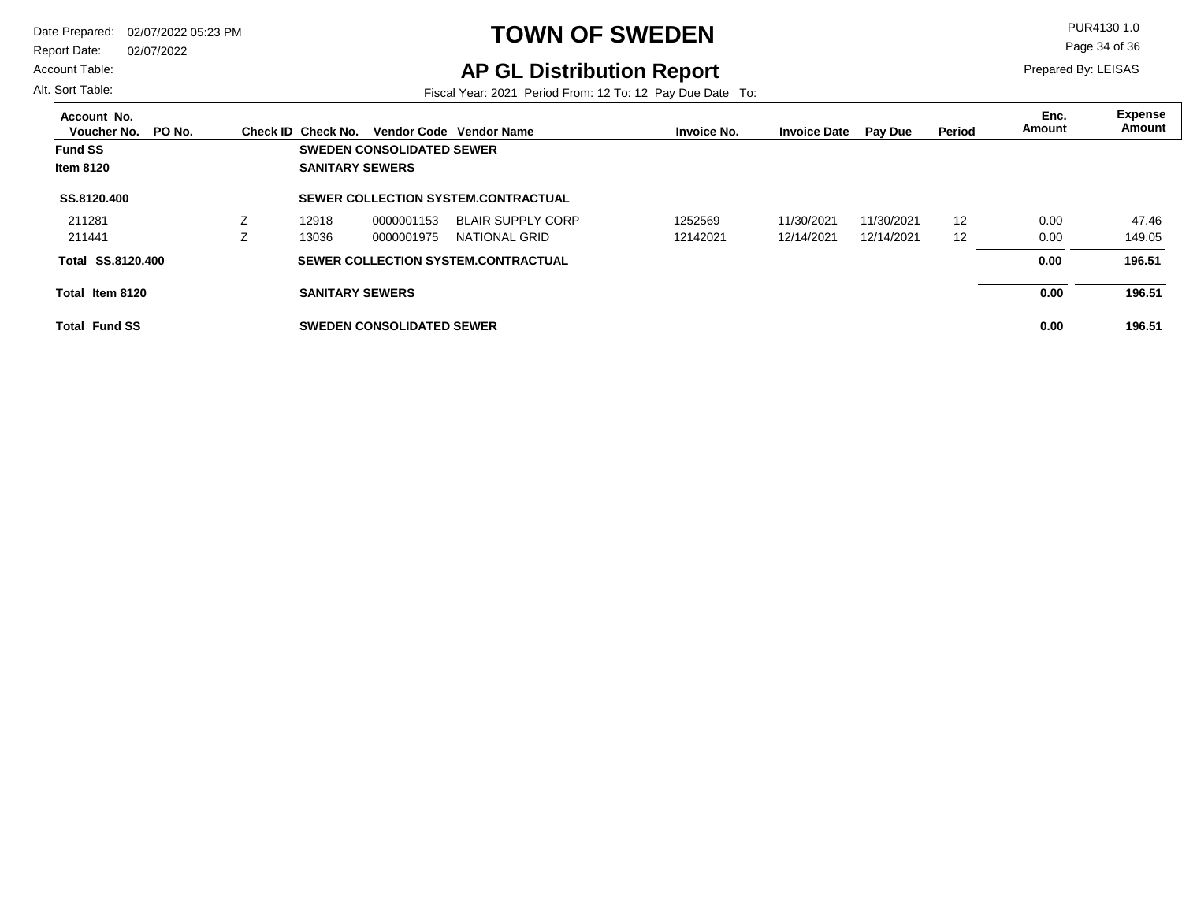Report Date: 02/07/2022

#### Account Table:

Alt. Sort Table:

# **TOWN OF SWEDEN** PUR4130 1.0

## **AP GL Distribution Report**

Fiscal Year: 2021 Period From: 12 To: 12 Pay Due Date To:

Page 34 of 36

| Account No.<br>PO No.<br>Voucher No. |          | Check ID Check No.     |                                  | Vendor Code Vendor Name                    | <b>Invoice No.</b> | <b>Invoice Date</b> | <b>Pay Due</b> | Period            | Enc.<br>Amount | Expense<br>Amount |
|--------------------------------------|----------|------------------------|----------------------------------|--------------------------------------------|--------------------|---------------------|----------------|-------------------|----------------|-------------------|
| <b>Fund SS</b>                       |          |                        | <b>SWEDEN CONSOLIDATED SEWER</b> |                                            |                    |                     |                |                   |                |                   |
| <b>Item 8120</b>                     |          | <b>SANITARY SEWERS</b> |                                  |                                            |                    |                     |                |                   |                |                   |
| SS.8120.400                          |          |                        |                                  | <b>SEWER COLLECTION SYSTEM.CONTRACTUAL</b> |                    |                     |                |                   |                |                   |
| 211281                               |          | 12918                  | 0000001153                       | <b>BLAIR SUPPLY CORP</b>                   | 1252569            | 11/30/2021          | 11/30/2021     | 12                | 0.00           | 47.46             |
| 211441                               | <u>L</u> | 13036                  | 0000001975                       | NATIONAL GRID                              | 12142021           | 12/14/2021          | 12/14/2021     | $12 \overline{ }$ | 0.00           | 149.05            |
| <b>Total SS.8120.400</b>             |          |                        |                                  | SEWER COLLECTION SYSTEM.CONTRACTUAL        |                    |                     |                |                   | 0.00           | 196.51            |
| Total Item 8120                      |          | <b>SANITARY SEWERS</b> |                                  |                                            |                    |                     |                |                   | 0.00           | 196.51            |
| <b>Total Fund SS</b>                 |          |                        | <b>SWEDEN CONSOLIDATED SEWER</b> |                                            |                    |                     |                |                   | 0.00           | 196.51            |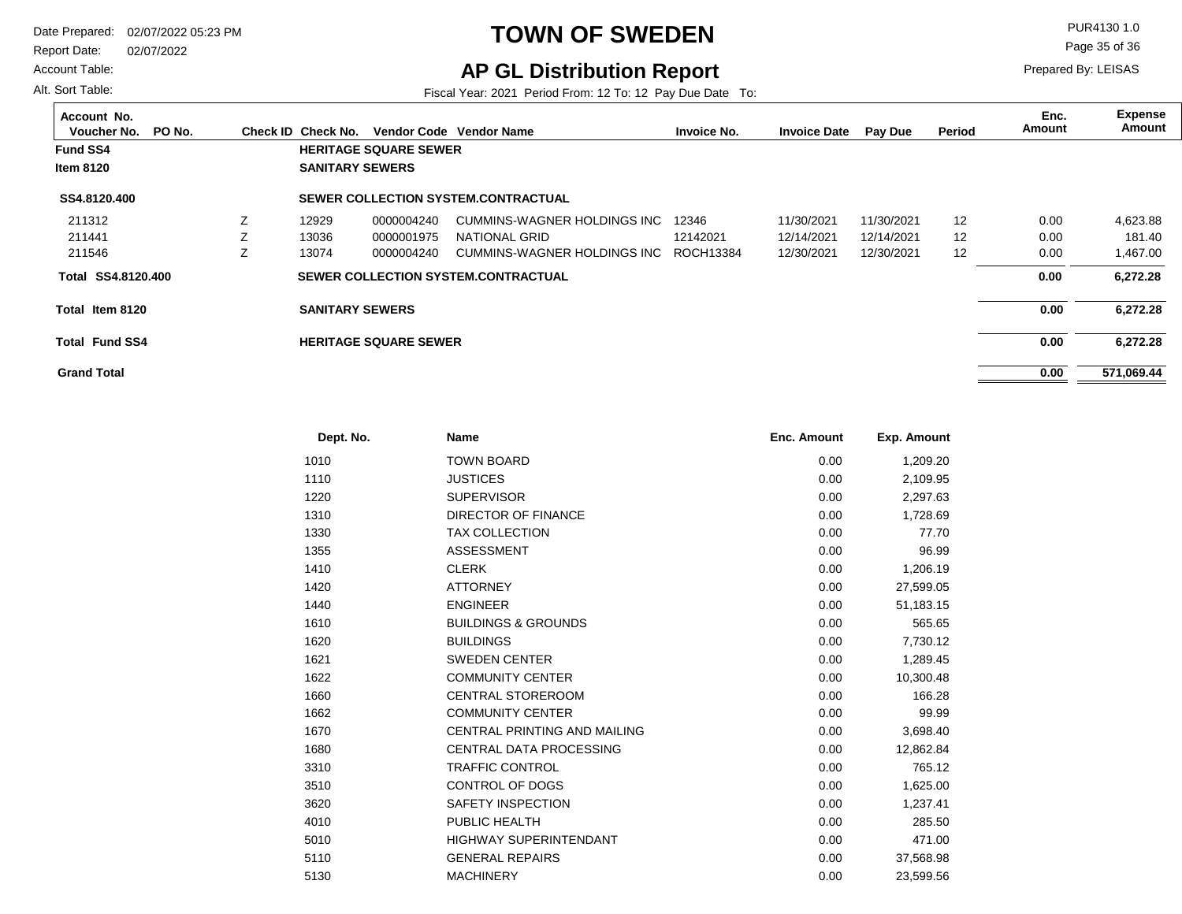Report Date: 02/07/2022

Account Table:

Alt. Sort Table:

# **TOWN OF SWEDEN** PUR4130 1.0

**AP GL Distribution Report**

Fiscal Year: 2021 Period From: 12 To: 12 Pay Due Date To:

Page 35 of 36

| Account No.<br>PO No.<br>Voucher No. |   | Check ID Check No.     |                              | Vendor Code Vendor Name             | <b>Invoice No.</b> | <b>Invoice Date</b> | <b>Pay Due</b> | Period            | Enc.<br>Amount | <b>Expense</b><br>Amount |
|--------------------------------------|---|------------------------|------------------------------|-------------------------------------|--------------------|---------------------|----------------|-------------------|----------------|--------------------------|
| <b>Fund SS4</b>                      |   |                        | <b>HERITAGE SQUARE SEWER</b> |                                     |                    |                     |                |                   |                |                          |
| <b>Item 8120</b>                     |   | <b>SANITARY SEWERS</b> |                              |                                     |                    |                     |                |                   |                |                          |
| SS4.8120.400                         |   |                        |                              | SEWER COLLECTION SYSTEM.CONTRACTUAL |                    |                     |                |                   |                |                          |
| 211312                               | Z | 12929                  | 0000004240                   | CUMMINS-WAGNER HOLDINGS INC         | 12346              | 11/30/2021          | 11/30/2021     | $12 \overline{ }$ | 0.00           | 4,623.88                 |
| 211441                               |   | 13036                  | 0000001975                   | NATIONAL GRID                       | 12142021           | 12/14/2021          | 12/14/2021     | $12 \overline{ }$ | 0.00           | 181.40                   |
| 211546                               |   | 13074                  | 0000004240                   | CUMMINS-WAGNER HOLDINGS INC         | ROCH13384          | 12/30/2021          | 12/30/2021     | 12                | 0.00           | 1,467.00                 |
| SS4.8120.400<br>Total                |   |                        |                              | SEWER COLLECTION SYSTEM.CONTRACTUAL |                    |                     |                |                   | 0.00           | 6,272.28                 |
| Total Item 8120                      |   | <b>SANITARY SEWERS</b> |                              |                                     |                    |                     |                |                   | 0.00           | 6,272.28                 |
| <b>Total Fund SS4</b>                |   |                        | <b>HERITAGE SQUARE SEWER</b> |                                     |                    |                     |                |                   | 0.00           | 6,272.28                 |
| <b>Grand Total</b>                   |   |                        |                              |                                     |                    |                     |                |                   | 0.00           | 571.069.44               |

| Dept. No. | <b>Name</b>                         | <b>Enc. Amount</b> | Exp. Amount |
|-----------|-------------------------------------|--------------------|-------------|
| 1010      | <b>TOWN BOARD</b>                   | 0.00               | 1,209.20    |
| 1110      | <b>JUSTICES</b>                     | 0.00               | 2,109.95    |
| 1220      | <b>SUPERVISOR</b>                   | 0.00               | 2,297.63    |
| 1310      | DIRECTOR OF FINANCE                 | 0.00               | 1,728.69    |
| 1330      | <b>TAX COLLECTION</b>               | 0.00               | 77.70       |
| 1355      | <b>ASSESSMENT</b>                   | 0.00               | 96.99       |
| 1410      | <b>CLERK</b>                        | 0.00               | 1,206.19    |
| 1420      | <b>ATTORNEY</b>                     | 0.00               | 27,599.05   |
| 1440      | <b>ENGINEER</b>                     | 0.00               | 51,183.15   |
| 1610      | <b>BUILDINGS &amp; GROUNDS</b>      | 0.00               | 565.65      |
| 1620      | <b>BUILDINGS</b>                    | 0.00               | 7,730.12    |
| 1621      | <b>SWEDEN CENTER</b>                | 0.00               | 1,289.45    |
| 1622      | <b>COMMUNITY CENTER</b>             | 0.00               | 10,300.48   |
| 1660      | <b>CENTRAL STOREROOM</b>            | 0.00               | 166.28      |
| 1662      | <b>COMMUNITY CENTER</b>             | 0.00               | 99.99       |
| 1670      | <b>CENTRAL PRINTING AND MAILING</b> | 0.00               | 3,698.40    |
| 1680      | <b>CENTRAL DATA PROCESSING</b>      | 0.00               | 12,862.84   |
| 3310      | <b>TRAFFIC CONTROL</b>              | 0.00               | 765.12      |
| 3510      | CONTROL OF DOGS                     | 0.00               | 1,625.00    |
| 3620      | <b>SAFETY INSPECTION</b>            | 0.00               | 1,237.41    |
| 4010      | PUBLIC HEALTH                       | 0.00               | 285.50      |
| 5010      | <b>HIGHWAY SUPERINTENDANT</b>       | 0.00               | 471.00      |
| 5110      | <b>GENERAL REPAIRS</b>              | 0.00               | 37,568.98   |
| 5130      | <b>MACHINERY</b>                    | 0.00               | 23.599.56   |